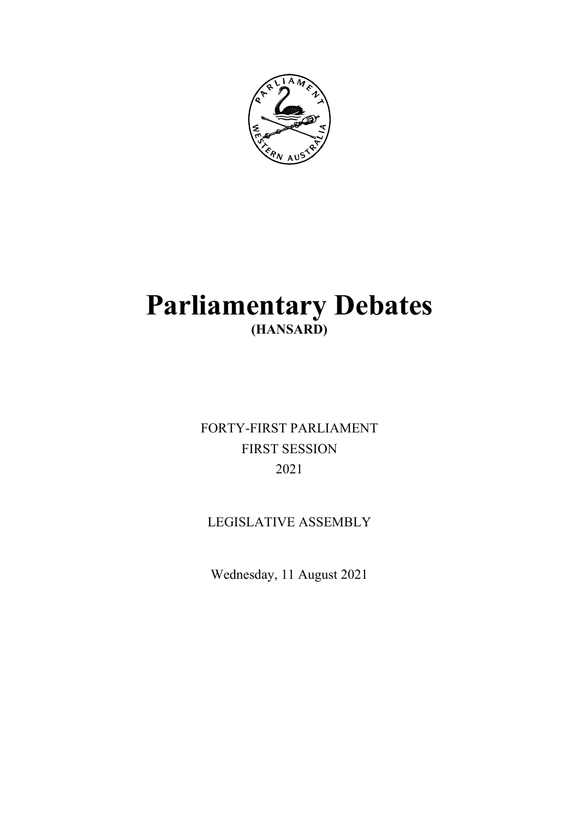

# **Parliamentary Debates (HANSARD)**

FORTY-FIRST PARLIAMENT FIRST SESSION 2021

## LEGISLATIVE ASSEMBLY

Wednesday, 11 August 2021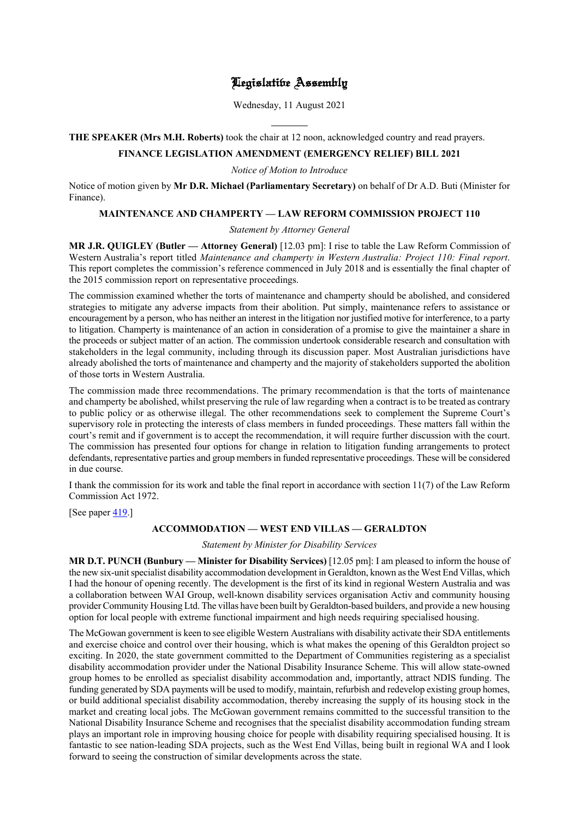## Legislative Assembly

Wednesday, 11 August 2021

## **THE SPEAKER (Mrs M.H. Roberts)** took the chair at 12 noon, acknowledged country and read prayers.

l

#### **FINANCE LEGISLATION AMENDMENT (EMERGENCY RELIEF) BILL 2021**

*Notice of Motion to Introduce*

Notice of motion given by **Mr D.R. Michael (Parliamentary Secretary)** on behalf of Dr A.D. Buti (Minister for Finance).

#### **MAINTENANCE AND CHAMPERTY — LAW REFORM COMMISSION PROJECT 110**

#### *Statement by Attorney General*

**MR J.R. QUIGLEY (Butler — Attorney General)** [12.03 pm]: I rise to table the Law Reform Commission of Western Australia's report titled *Maintenance and champerty in Western Australia: Project 110: Final report*. This report completes the commission's reference commenced in July 2018 and is essentially the final chapter of the 2015 commission report on representative proceedings.

The commission examined whether the torts of maintenance and champerty should be abolished, and considered strategies to mitigate any adverse impacts from their abolition. Put simply, maintenance refers to assistance or encouragement by a person, who has neither an interest in the litigation nor justified motive for interference, to a party to litigation. Champerty is maintenance of an action in consideration of a promise to give the maintainer a share in the proceeds or subject matter of an action. The commission undertook considerable research and consultation with stakeholders in the legal community, including through its discussion paper. Most Australian jurisdictions have already abolished the torts of maintenance and champerty and the majority of stakeholders supported the abolition of those torts in Western Australia.

The commission made three recommendations. The primary recommendation is that the torts of maintenance and champerty be abolished, whilst preserving the rule of law regarding when a contract is to be treated as contrary to public policy or as otherwise illegal. The other recommendations seek to complement the Supreme Court's supervisory role in protecting the interests of class members in funded proceedings. These matters fall within the court's remit and if government is to accept the recommendation, it will require further discussion with the court. The commission has presented four options for change in relation to litigation funding arrangements to protect defendants, representative parties and group members in funded representative proceedings. These will be considered in due course.

I thank the commission for its work and table the final report in accordance with section 11(7) of the Law Reform Commission Act 1972.

[See paper  $419$ .]

### **ACCOMMODATION — WEST END VILLAS — GERALDTON**

*Statement by Minister for Disability Services*

**MR D.T. PUNCH (Bunbury — Minister for Disability Services)** [12.05 pm]: I am pleased to inform the house of the new six-unit specialist disability accommodation development in Geraldton, known as the West End Villas, which I had the honour of opening recently. The development is the first of its kind in regional Western Australia and was a collaboration between WAI Group, well-known disability services organisation Activ and community housing provider Community Housing Ltd. The villas have been built by Geraldton-based builders, and provide a new housing option for local people with extreme functional impairment and high needs requiring specialised housing.

The McGowan government is keen to see eligible Western Australians with disability activate their SDA entitlements and exercise choice and control over their housing, which is what makes the opening of this Geraldton project so exciting. In 2020, the state government committed to the Department of Communities registering as a specialist disability accommodation provider under the National Disability Insurance Scheme. This will allow state-owned group homes to be enrolled as specialist disability accommodation and, importantly, attract NDIS funding. The funding generated by SDA payments will be used to modify, maintain, refurbish and redevelop existing group homes, or build additional specialist disability accommodation, thereby increasing the supply of its housing stock in the market and creating local jobs. The McGowan government remains committed to the successful transition to the National Disability Insurance Scheme and recognises that the specialist disability accommodation funding stream plays an important role in improving housing choice for people with disability requiring specialised housing. It is fantastic to see nation-leading SDA projects, such as the West End Villas, being built in regional WA and I look forward to seeing the construction of similar developments across the state.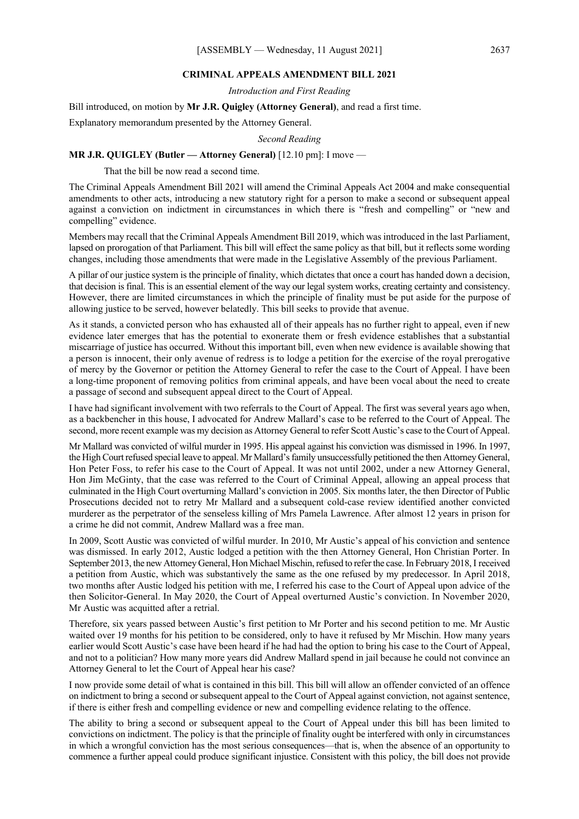#### **CRIMINAL APPEALS AMENDMENT BILL 2021**

*Introduction and First Reading*

Bill introduced, on motion by **Mr J.R. Quigley (Attorney General)**, and read a first time.

Explanatory memorandum presented by the Attorney General.

*Second Reading*

#### **MR J.R. QUIGLEY (Butler — Attorney General)** [12.10 pm]: I move —

That the bill be now read a second time.

The Criminal Appeals Amendment Bill 2021 will amend the Criminal Appeals Act 2004 and make consequential amendments to other acts, introducing a new statutory right for a person to make a second or subsequent appeal against a conviction on indictment in circumstances in which there is "fresh and compelling" or "new and compelling" evidence.

Members may recall that the Criminal Appeals Amendment Bill 2019, which was introduced in the last Parliament, lapsed on prorogation of that Parliament. This bill will effect the same policy as that bill, but it reflects some wording changes, including those amendments that were made in the Legislative Assembly of the previous Parliament.

A pillar of our justice system is the principle of finality, which dictates that once a court has handed down a decision, that decision is final. This is an essential element of the way our legal system works, creating certainty and consistency. However, there are limited circumstances in which the principle of finality must be put aside for the purpose of allowing justice to be served, however belatedly. This bill seeks to provide that avenue.

As it stands, a convicted person who has exhausted all of their appeals has no further right to appeal, even if new evidence later emerges that has the potential to exonerate them or fresh evidence establishes that a substantial miscarriage of justice has occurred. Without this important bill, even when new evidence is available showing that a person is innocent, their only avenue of redress is to lodge a petition for the exercise of the royal prerogative of mercy by the Governor or petition the Attorney General to refer the case to the Court of Appeal. I have been a long-time proponent of removing politics from criminal appeals, and have been vocal about the need to create a passage of second and subsequent appeal direct to the Court of Appeal.

I have had significant involvement with two referrals to the Court of Appeal. The first was several years ago when, as a backbencher in this house, I advocated for Andrew Mallard's case to be referred to the Court of Appeal. The second, more recent example was my decision as Attorney General to refer Scott Austic's case to the Court of Appeal.

Mr Mallard was convicted of wilful murder in 1995. His appeal against his conviction was dismissed in 1996. In 1997, the High Court refused special leave to appeal. Mr Mallard's family unsuccessfully petitioned the then Attorney General, Hon Peter Foss, to refer his case to the Court of Appeal. It was not until 2002, under a new Attorney General, Hon Jim McGinty, that the case was referred to the Court of Criminal Appeal, allowing an appeal process that culminated in the High Court overturning Mallard's conviction in 2005. Six months later, the then Director of Public Prosecutions decided not to retry Mr Mallard and a subsequent cold-case review identified another convicted murderer as the perpetrator of the senseless killing of Mrs Pamela Lawrence. After almost 12 years in prison for a crime he did not commit, Andrew Mallard was a free man.

In 2009, Scott Austic was convicted of wilful murder. In 2010, Mr Austic's appeal of his conviction and sentence was dismissed. In early 2012, Austic lodged a petition with the then Attorney General, Hon Christian Porter. In September 2013, the new Attorney General, Hon Michael Mischin, refused to refer the case. In February 2018, I received a petition from Austic, which was substantively the same as the one refused by my predecessor. In April 2018, two months after Austic lodged his petition with me, I referred his case to the Court of Appeal upon advice of the then Solicitor-General. In May 2020, the Court of Appeal overturned Austic's conviction. In November 2020, Mr Austic was acquitted after a retrial.

Therefore, six years passed between Austic's first petition to Mr Porter and his second petition to me. Mr Austic waited over 19 months for his petition to be considered, only to have it refused by Mr Mischin. How many years earlier would Scott Austic's case have been heard if he had had the option to bring his case to the Court of Appeal, and not to a politician? How many more years did Andrew Mallard spend in jail because he could not convince an Attorney General to let the Court of Appeal hear his case?

I now provide some detail of what is contained in this bill. This bill will allow an offender convicted of an offence on indictment to bring a second or subsequent appeal to the Court of Appeal against conviction, not against sentence, if there is either fresh and compelling evidence or new and compelling evidence relating to the offence.

The ability to bring a second or subsequent appeal to the Court of Appeal under this bill has been limited to convictions on indictment. The policy is that the principle of finality ought be interfered with only in circumstances in which a wrongful conviction has the most serious consequences—that is, when the absence of an opportunity to commence a further appeal could produce significant injustice. Consistent with this policy, the bill does not provide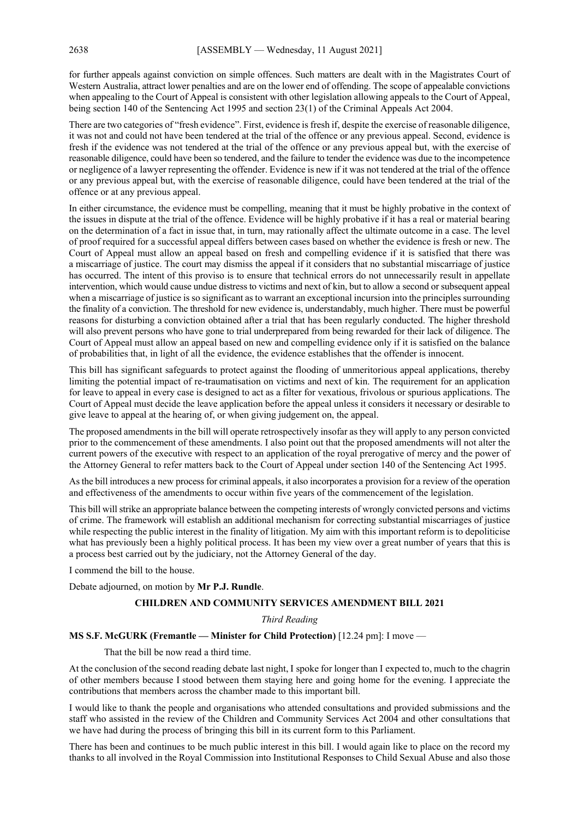for further appeals against conviction on simple offences. Such matters are dealt with in the Magistrates Court of Western Australia, attract lower penalties and are on the lower end of offending. The scope of appealable convictions when appealing to the Court of Appeal is consistent with other legislation allowing appeals to the Court of Appeal, being section 140 of the Sentencing Act 1995 and section 23(1) of the Criminal Appeals Act 2004.

There are two categories of "fresh evidence". First, evidence is fresh if, despite the exercise of reasonable diligence, it was not and could not have been tendered at the trial of the offence or any previous appeal. Second, evidence is fresh if the evidence was not tendered at the trial of the offence or any previous appeal but, with the exercise of reasonable diligence, could have been so tendered, and the failure to tender the evidence was due to the incompetence or negligence of a lawyer representing the offender. Evidence is new if it was not tendered at the trial of the offence or any previous appeal but, with the exercise of reasonable diligence, could have been tendered at the trial of the offence or at any previous appeal.

In either circumstance, the evidence must be compelling, meaning that it must be highly probative in the context of the issues in dispute at the trial of the offence. Evidence will be highly probative if it has a real or material bearing on the determination of a fact in issue that, in turn, may rationally affect the ultimate outcome in a case. The level of proof required for a successful appeal differs between cases based on whether the evidence is fresh or new. The Court of Appeal must allow an appeal based on fresh and compelling evidence if it is satisfied that there was a miscarriage of justice. The court may dismiss the appeal if it considers that no substantial miscarriage of justice has occurred. The intent of this proviso is to ensure that technical errors do not unnecessarily result in appellate intervention, which would cause undue distress to victims and next of kin, but to allow a second or subsequent appeal when a miscarriage of justice is so significant as to warrant an exceptional incursion into the principles surrounding the finality of a conviction. The threshold for new evidence is, understandably, much higher. There must be powerful reasons for disturbing a conviction obtained after a trial that has been regularly conducted. The higher threshold will also prevent persons who have gone to trial underprepared from being rewarded for their lack of diligence. The Court of Appeal must allow an appeal based on new and compelling evidence only if it is satisfied on the balance of probabilities that, in light of all the evidence, the evidence establishes that the offender is innocent.

This bill has significant safeguards to protect against the flooding of unmeritorious appeal applications, thereby limiting the potential impact of re-traumatisation on victims and next of kin. The requirement for an application for leave to appeal in every case is designed to act as a filter for vexatious, frivolous or spurious applications. The Court of Appeal must decide the leave application before the appeal unless it considers it necessary or desirable to give leave to appeal at the hearing of, or when giving judgement on, the appeal.

The proposed amendments in the bill will operate retrospectively insofar as they will apply to any person convicted prior to the commencement of these amendments. I also point out that the proposed amendments will not alter the current powers of the executive with respect to an application of the royal prerogative of mercy and the power of the Attorney General to refer matters back to the Court of Appeal under section 140 of the Sentencing Act 1995.

As the bill introduces a new process for criminal appeals, it also incorporates a provision for a review of the operation and effectiveness of the amendments to occur within five years of the commencement of the legislation.

This bill will strike an appropriate balance between the competing interests of wrongly convicted persons and victims of crime. The framework will establish an additional mechanism for correcting substantial miscarriages of justice while respecting the public interest in the finality of litigation. My aim with this important reform is to depoliticise what has previously been a highly political process. It has been my view over a great number of years that this is a process best carried out by the judiciary, not the Attorney General of the day.

I commend the bill to the house.

Debate adjourned, on motion by **Mr P.J. Rundle**.

#### **CHILDREN AND COMMUNITY SERVICES AMENDMENT BILL 2021**

#### *Third Reading*

#### **MS S.F. McGURK (Fremantle — Minister for Child Protection)** [12.24 pm]: I move —

That the bill be now read a third time.

At the conclusion of the second reading debate last night, I spoke for longer than I expected to, much to the chagrin of other members because I stood between them staying here and going home for the evening. I appreciate the contributions that members across the chamber made to this important bill.

I would like to thank the people and organisations who attended consultations and provided submissions and the staff who assisted in the review of the Children and Community Services Act 2004 and other consultations that we have had during the process of bringing this bill in its current form to this Parliament.

There has been and continues to be much public interest in this bill. I would again like to place on the record my thanks to all involved in the Royal Commission into Institutional Responses to Child Sexual Abuse and also those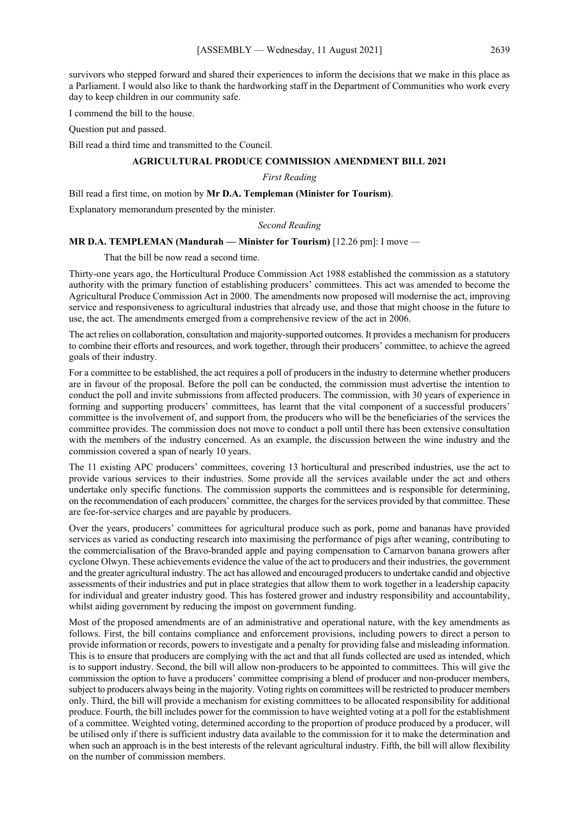survivors who stepped forward and shared their experiences to inform the decisions that we make in this place as a Parliament. I would also like to thank the hardworking staff in the Department of Communities who work every day to keep children in our community safe.

I commend the bill to the house.

Question put and passed.

Bill read a third time and transmitted to the Council.

#### **AGRICULTURAL PRODUCE COMMISSION AMENDMENT BILL 2021**

#### *First Reading*

Bill read a first time, on motion by **Mr D.A. Templeman (Minister for Tourism)**.

Explanatory memorandum presented by the minister.

*Second Reading*

#### **MR D.A. TEMPLEMAN (Mandurah — Minister for Tourism)** [12.26 pm]: I move —

That the bill be now read a second time.

Thirty-one years ago, the Horticultural Produce Commission Act 1988 established the commission as a statutory authority with the primary function of establishing producers' committees. This act was amended to become the Agricultural Produce Commission Act in 2000. The amendments now proposed will modernise the act, improving service and responsiveness to agricultural industries that already use, and those that might choose in the future to use, the act. The amendments emerged from a comprehensive review of the act in 2006.

The act relies on collaboration, consultation and majority-supported outcomes. It provides a mechanism for producers to combine their efforts and resources, and work together, through their producers' committee, to achieve the agreed goals of their industry.

For a committee to be established, the act requires a poll of producers in the industry to determine whether producers are in favour of the proposal. Before the poll can be conducted, the commission must advertise the intention to conduct the poll and invite submissions from affected producers. The commission, with 30 years of experience in forming and supporting producers' committees, has learnt that the vital component of a successful producers' committee is the involvement of, and support from, the producers who will be the beneficiaries of the services the committee provides. The commission does not move to conduct a poll until there has been extensive consultation with the members of the industry concerned. As an example, the discussion between the wine industry and the commission covered a span of nearly 10 years.

The 11 existing APC producers' committees, covering 13 horticultural and prescribed industries, use the act to provide various services to their industries. Some provide all the services available under the act and others undertake only specific functions. The commission supports the committees and is responsible for determining, on the recommendation of each producers' committee, the charges for the services provided by that committee. These are fee-for-service charges and are payable by producers.

Over the years, producers' committees for agricultural produce such as pork, pome and bananas have provided services as varied as conducting research into maximising the performance of pigs after weaning, contributing to the commercialisation of the Bravo-branded apple and paying compensation to Carnarvon banana growers after cyclone Olwyn. These achievements evidence the value of the act to producers and their industries, the government and the greater agricultural industry. The act has allowed and encouraged producers to undertake candid and objective assessments of their industries and put in place strategies that allow them to work together in a leadership capacity for individual and greater industry good. This has fostered grower and industry responsibility and accountability, whilst aiding government by reducing the impost on government funding.

Most of the proposed amendments are of an administrative and operational nature, with the key amendments as follows. First, the bill contains compliance and enforcement provisions, including powers to direct a person to provide information or records, powers to investigate and a penalty for providing false and misleading information. This is to ensure that producers are complying with the act and that all funds collected are used as intended, which is to support industry. Second, the bill will allow non-producers to be appointed to committees. This will give the commission the option to have a producers' committee comprising a blend of producer and non-producer members, subject to producers always being in the majority. Voting rights on committees will be restricted to producer members only. Third, the bill will provide a mechanism for existing committees to be allocated responsibility for additional produce. Fourth, the bill includes power for the commission to have weighted voting at a poll for the establishment of a committee. Weighted voting, determined according to the proportion of produce produced by a producer, will be utilised only if there is sufficient industry data available to the commission for it to make the determination and when such an approach is in the best interests of the relevant agricultural industry. Fifth, the bill will allow flexibility on the number of commission members.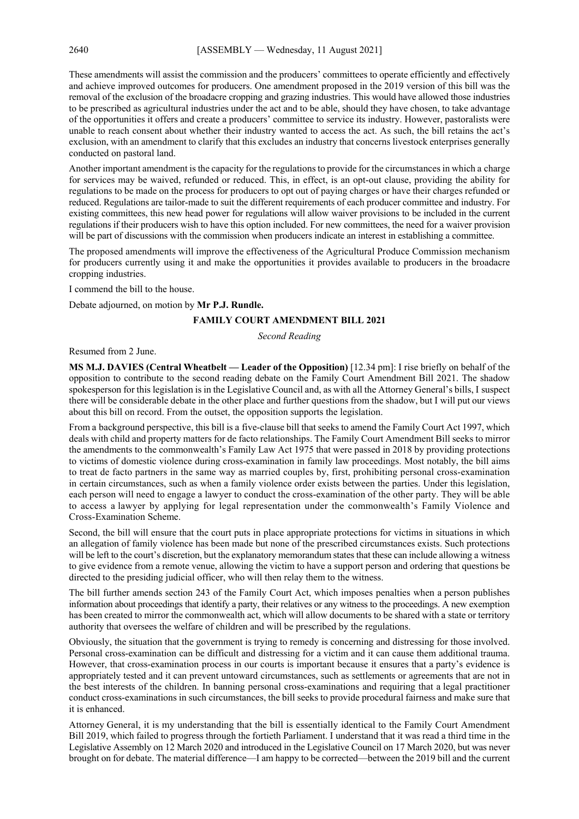These amendments will assist the commission and the producers' committees to operate efficiently and effectively and achieve improved outcomes for producers. One amendment proposed in the 2019 version of this bill was the removal of the exclusion of the broadacre cropping and grazing industries. This would have allowed those industries to be prescribed as agricultural industries under the act and to be able, should they have chosen, to take advantage of the opportunities it offers and create a producers' committee to service its industry. However, pastoralists were unable to reach consent about whether their industry wanted to access the act. As such, the bill retains the act's exclusion, with an amendment to clarify that this excludes an industry that concerns livestock enterprises generally conducted on pastoral land.

Another important amendment is the capacity for the regulations to provide for the circumstances in which a charge for services may be waived, refunded or reduced. This, in effect, is an opt-out clause, providing the ability for regulations to be made on the process for producers to opt out of paying charges or have their charges refunded or reduced. Regulations are tailor-made to suit the different requirements of each producer committee and industry. For existing committees, this new head power for regulations will allow waiver provisions to be included in the current regulations if their producers wish to have this option included. For new committees, the need for a waiver provision will be part of discussions with the commission when producers indicate an interest in establishing a committee.

The proposed amendments will improve the effectiveness of the Agricultural Produce Commission mechanism for producers currently using it and make the opportunities it provides available to producers in the broadacre cropping industries.

I commend the bill to the house.

Debate adjourned, on motion by **Mr P.J. Rundle.**

### **FAMILY COURT AMENDMENT BILL 2021**

*Second Reading*

Resumed from 2 June.

**MS M.J. DAVIES (Central Wheatbelt — Leader of the Opposition)** [12.34 pm]: I rise briefly on behalf of the opposition to contribute to the second reading debate on the Family Court Amendment Bill 2021. The shadow spokesperson for this legislation is in the Legislative Council and, as with all the Attorney General's bills, I suspect there will be considerable debate in the other place and further questions from the shadow, but I will put our views about this bill on record. From the outset, the opposition supports the legislation.

From a background perspective, this bill is a five-clause bill that seeks to amend the Family Court Act 1997, which deals with child and property matters for de facto relationships. The Family Court Amendment Bill seeks to mirror the amendments to the commonwealth's Family Law Act 1975 that were passed in 2018 by providing protections to victims of domestic violence during cross-examination in family law proceedings. Most notably, the bill aims to treat de facto partners in the same way as married couples by, first, prohibiting personal cross-examination in certain circumstances, such as when a family violence order exists between the parties. Under this legislation, each person will need to engage a lawyer to conduct the cross-examination of the other party. They will be able to access a lawyer by applying for legal representation under the commonwealth's Family Violence and Cross-Examination Scheme.

Second, the bill will ensure that the court puts in place appropriate protections for victims in situations in which an allegation of family violence has been made but none of the prescribed circumstances exists. Such protections will be left to the court's discretion, but the explanatory memorandum states that these can include allowing a witness to give evidence from a remote venue, allowing the victim to have a support person and ordering that questions be directed to the presiding judicial officer, who will then relay them to the witness.

The bill further amends section 243 of the Family Court Act, which imposes penalties when a person publishes information about proceedings that identify a party, their relatives or any witness to the proceedings. A new exemption has been created to mirror the commonwealth act, which will allow documents to be shared with a state or territory authority that oversees the welfare of children and will be prescribed by the regulations.

Obviously, the situation that the government is trying to remedy is concerning and distressing for those involved. Personal cross-examination can be difficult and distressing for a victim and it can cause them additional trauma. However, that cross-examination process in our courts is important because it ensures that a party's evidence is appropriately tested and it can prevent untoward circumstances, such as settlements or agreements that are not in the best interests of the children. In banning personal cross-examinations and requiring that a legal practitioner conduct cross-examinations in such circumstances, the bill seeks to provide procedural fairness and make sure that it is enhanced.

Attorney General, it is my understanding that the bill is essentially identical to the Family Court Amendment Bill 2019, which failed to progress through the fortieth Parliament. I understand that it was read a third time in the Legislative Assembly on 12 March 2020 and introduced in the Legislative Council on 17 March 2020, but was never brought on for debate. The material difference—I am happy to be corrected—between the 2019 bill and the current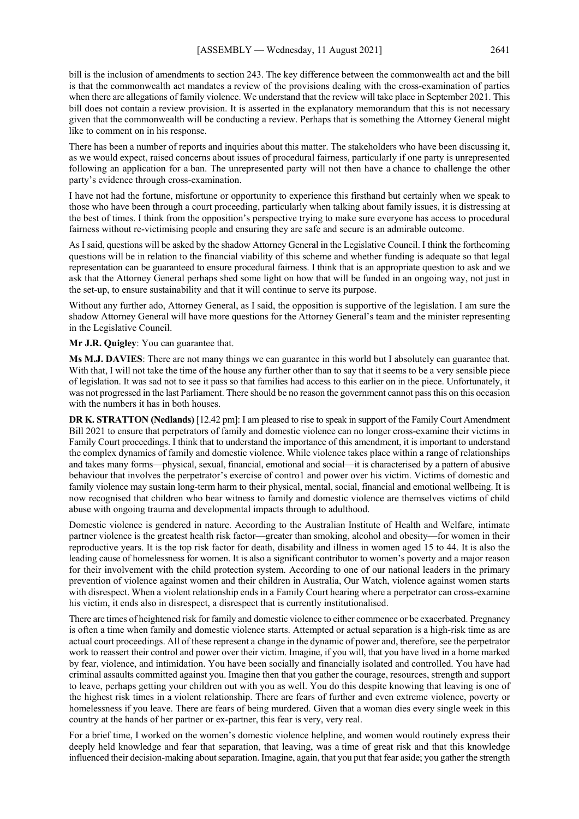bill is the inclusion of amendments to section 243. The key difference between the commonwealth act and the bill is that the commonwealth act mandates a review of the provisions dealing with the cross-examination of parties when there are allegations of family violence. We understand that the review will take place in September 2021. This bill does not contain a review provision. It is asserted in the explanatory memorandum that this is not necessary given that the commonwealth will be conducting a review. Perhaps that is something the Attorney General might like to comment on in his response.

There has been a number of reports and inquiries about this matter. The stakeholders who have been discussing it, as we would expect, raised concerns about issues of procedural fairness, particularly if one party is unrepresented following an application for a ban. The unrepresented party will not then have a chance to challenge the other party's evidence through cross-examination.

I have not had the fortune, misfortune or opportunity to experience this firsthand but certainly when we speak to those who have been through a court proceeding, particularly when talking about family issues, it is distressing at the best of times. I think from the opposition's perspective trying to make sure everyone has access to procedural fairness without re-victimising people and ensuring they are safe and secure is an admirable outcome.

As I said, questions will be asked by the shadow Attorney General in the Legislative Council. I think the forthcoming questions will be in relation to the financial viability of this scheme and whether funding is adequate so that legal representation can be guaranteed to ensure procedural fairness. I think that is an appropriate question to ask and we ask that the Attorney General perhaps shed some light on how that will be funded in an ongoing way, not just in the set-up, to ensure sustainability and that it will continue to serve its purpose.

Without any further ado, Attorney General, as I said, the opposition is supportive of the legislation. I am sure the shadow Attorney General will have more questions for the Attorney General's team and the minister representing in the Legislative Council.

**Mr J.R. Quigley**: You can guarantee that.

**Ms M.J. DAVIES**: There are not many things we can guarantee in this world but I absolutely can guarantee that. With that, I will not take the time of the house any further other than to say that it seems to be a very sensible piece of legislation. It was sad not to see it pass so that families had access to this earlier on in the piece. Unfortunately, it was not progressed in the last Parliament. There should be no reason the government cannot pass this on this occasion with the numbers it has in both houses.

**DR K. STRATTON (Nedlands)** [12.42 pm]: I am pleased to rise to speak in support of the Family Court Amendment Bill 2021 to ensure that perpetrators of family and domestic violence can no longer cross-examine their victims in Family Court proceedings. I think that to understand the importance of this amendment, it is important to understand the complex dynamics of family and domestic violence. While violence takes place within a range of relationships and takes many forms—physical, sexual, financial, emotional and social—it is characterised by a pattern of abusive behaviour that involves the perpetrator's exercise of contro1 and power over his victim. Victims of domestic and family violence may sustain long-term harm to their physical, mental, social, financial and emotional wellbeing. It is now recognised that children who bear witness to family and domestic violence are themselves victims of child abuse with ongoing trauma and developmental impacts through to adulthood.

Domestic violence is gendered in nature. According to the Australian Institute of Health and Welfare, intimate partner violence is the greatest health risk factor—greater than smoking, alcohol and obesity—for women in their reproductive years. It is the top risk factor for death, disability and illness in women aged 15 to 44. It is also the leading cause of homelessness for women. It is also a significant contributor to women's poverty and a major reason for their involvement with the child protection system. According to one of our national leaders in the primary prevention of violence against women and their children in Australia, Our Watch, violence against women starts with disrespect. When a violent relationship ends in a Family Court hearing where a perpetrator can cross-examine his victim, it ends also in disrespect, a disrespect that is currently institutionalised.

There are times of heightened risk for family and domestic violence to either commence or be exacerbated. Pregnancy is often a time when family and domestic violence starts. Attempted or actual separation is a high-risk time as are actual court proceedings. All of these represent a change in the dynamic of power and, therefore, see the perpetrator work to reassert their control and power over their victim. Imagine, if you will, that you have lived in a home marked by fear, violence, and intimidation. You have been socially and financially isolated and controlled. You have had criminal assaults committed against you. Imagine then that you gather the courage, resources, strength and support to leave, perhaps getting your children out with you as well. You do this despite knowing that leaving is one of the highest risk times in a violent relationship. There are fears of further and even extreme violence, poverty or homelessness if you leave. There are fears of being murdered. Given that a woman dies every single week in this country at the hands of her partner or ex-partner, this fear is very, very real.

For a brief time, I worked on the women's domestic violence helpline, and women would routinely express their deeply held knowledge and fear that separation, that leaving, was a time of great risk and that this knowledge influenced their decision-making about separation. Imagine, again, that you put that fear aside; you gather the strength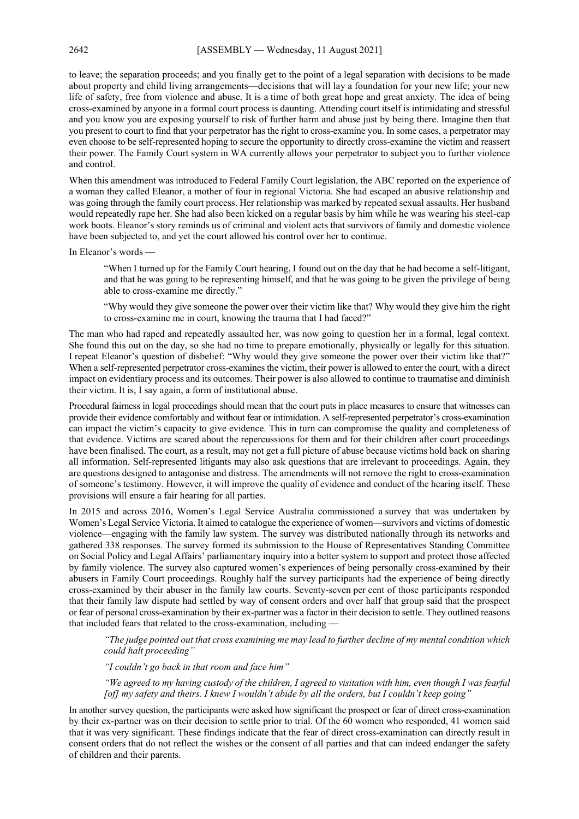to leave; the separation proceeds; and you finally get to the point of a legal separation with decisions to be made about property and child living arrangements—decisions that will lay a foundation for your new life; your new life of safety, free from violence and abuse. It is a time of both great hope and great anxiety. The idea of being cross-examined by anyone in a formal court process is daunting. Attending court itself is intimidating and stressful and you know you are exposing yourself to risk of further harm and abuse just by being there. Imagine then that you present to court to find that your perpetrator has the right to cross-examine you. In some cases, a perpetrator may even choose to be self-represented hoping to secure the opportunity to directly cross-examine the victim and reassert their power. The Family Court system in WA currently allows your perpetrator to subject you to further violence and control.

When this amendment was introduced to Federal Family Court legislation, the ABC reported on the experience of a woman they called Eleanor, a mother of four in regional Victoria. She had escaped an abusive relationship and was going through the family court process. Her relationship was marked by repeated sexual assaults. Her husband would repeatedly rape her. She had also been kicked on a regular basis by him while he was wearing his steel-cap work boots. Eleanor's story reminds us of criminal and violent acts that survivors of family and domestic violence have been subjected to, and yet the court allowed his control over her to continue.

In Eleanor's words —

"When I turned up for the Family Court hearing, I found out on the day that he had become a self-litigant, and that he was going to be representing himself, and that he was going to be given the privilege of being able to cross-examine me directly."

"Why would they give someone the power over their victim like that? Why would they give him the right to cross-examine me in court, knowing the trauma that I had faced?"

The man who had raped and repeatedly assaulted her, was now going to question her in a formal, legal context. She found this out on the day, so she had no time to prepare emotionally, physically or legally for this situation. I repeat Eleanor's question of disbelief: "Why would they give someone the power over their victim like that?" When a self-represented perpetrator cross-examines the victim, their power is allowed to enter the court, with a direct impact on evidentiary process and its outcomes. Their power is also allowed to continue to traumatise and diminish their victim. It is, I say again, a form of institutional abuse.

Procedural fairness in legal proceedings should mean that the court puts in place measures to ensure that witnesses can provide their evidence comfortably and without fear or intimidation. A self-represented perpetrator's cross-examination can impact the victim's capacity to give evidence. This in turn can compromise the quality and completeness of that evidence. Victims are scared about the repercussions for them and for their children after court proceedings have been finalised. The court, as a result, may not get a full picture of abuse because victims hold back on sharing all information. Self-represented litigants may also ask questions that are irrelevant to proceedings. Again, they are questions designed to antagonise and distress. The amendments will not remove the right to cross-examination of someone's testimony. However, it will improve the quality of evidence and conduct of the hearing itself. These provisions will ensure a fair hearing for all parties.

In 2015 and across 2016, Women's Legal Service Australia commissioned a survey that was undertaken by Women's Legal Service Victoria. It aimed to catalogue the experience of women—survivors and victims of domestic violence—engaging with the family law system. The survey was distributed nationally through its networks and gathered 338 responses. The survey formed its submission to the House of Representatives Standing Committee on Social Policy and Legal Affairs' parliamentary inquiry into a better system to support and protect those affected by family violence. The survey also captured women's experiences of being personally cross-examined by their abusers in Family Court proceedings. Roughly half the survey participants had the experience of being directly cross-examined by their abuser in the family law courts. Seventy-seven per cent of those participants responded that their family law dispute had settled by way of consent orders and over half that group said that the prospect or fear of personal cross-examination by their ex-partner was a factor in their decision to settle. They outlined reasons that included fears that related to the cross-examination, including -

*"The judge pointed out that cross examining me may lead to further decline of my mental condition which could halt proceeding"*

*"I couldn't go back in that room and face him"*

*"We agreed to my having custody of the children, I agreed to visitation with him, even though I was fearful [of] my safety and theirs. I knew I wouldn't abide by all the orders, but I couldn't keep going"*

In another survey question, the participants were asked how significant the prospect or fear of direct cross-examination by their ex-partner was on their decision to settle prior to trial. Of the 60 women who responded, 41 women said that it was very significant. These findings indicate that the fear of direct cross-examination can directly result in consent orders that do not reflect the wishes or the consent of all parties and that can indeed endanger the safety of children and their parents.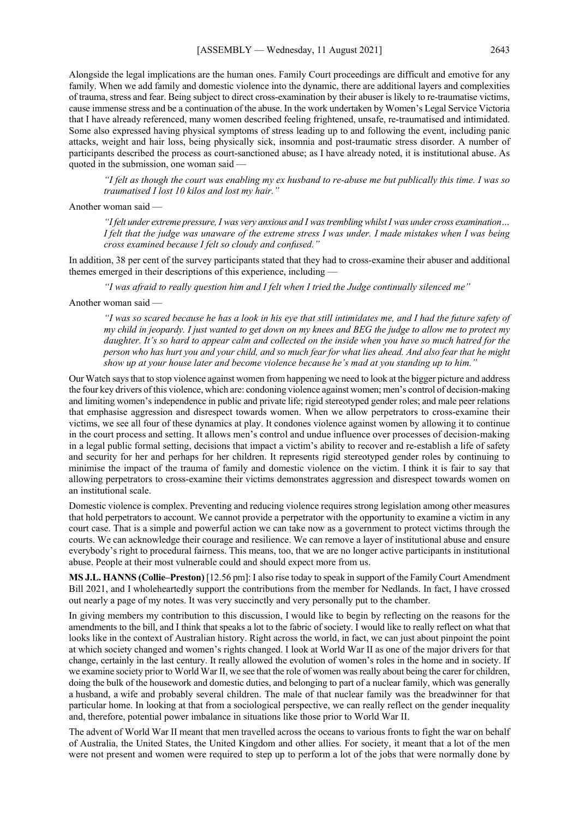Alongside the legal implications are the human ones. Family Court proceedings are difficult and emotive for any family. When we add family and domestic violence into the dynamic, there are additional layers and complexities of trauma, stress and fear. Being subject to direct cross-examination by their abuser is likely to re-traumatise victims, cause immense stress and be a continuation of the abuse. In the work undertaken by Women's Legal Service Victoria that I have already referenced, many women described feeling frightened, unsafe, re-traumatised and intimidated. Some also expressed having physical symptoms of stress leading up to and following the event, including panic attacks, weight and hair loss, being physically sick, insomnia and post-traumatic stress disorder. A number of participants described the process as court-sanctioned abuse; as I have already noted, it is institutional abuse. As quoted in the submission, one woman said —

*"I felt as though the court was enabling my ex husband to re-abuse me but publically this time. I was so traumatised I lost 10 kilos and lost my hair."*

#### Another woman said —

*"I felt under extreme pressure, I was very anxious and I was trembling whilst I was under cross examination… I felt that the judge was unaware of the extreme stress I was under. I made mistakes when I was being cross examined because I felt so cloudy and confused."*

In addition, 38 per cent of the survey participants stated that they had to cross-examine their abuser and additional themes emerged in their descriptions of this experience, including -

*"I was afraid to really question him and I felt when I tried the Judge continually silenced me"*

Another woman said —

*"I was so scared because he has a look in his eye that still intimidates me, and I had the future safety of my child in jeopardy. I just wanted to get down on my knees and BEG the judge to allow me to protect my daughter. It's so hard to appear calm and collected on the inside when you have so much hatred for the person who has hurt you and your child, and so much fear for what lies ahead. And also fear that he might show up at your house later and become violence because he's mad at you standing up to him."*

Our Watch says that to stop violence against women from happening we need to look at the bigger picture and address the four key drivers of this violence, which are: condoning violence against women; men's control of decision-making and limiting women's independence in public and private life; rigid stereotyped gender roles; and male peer relations that emphasise aggression and disrespect towards women. When we allow perpetrators to cross-examine their victims, we see all four of these dynamics at play. It condones violence against women by allowing it to continue in the court process and setting. It allows men's control and undue influence over processes of decision-making in a legal public formal setting, decisions that impact a victim's ability to recover and re-establish a life of safety and security for her and perhaps for her children. It represents rigid stereotyped gender roles by continuing to minimise the impact of the trauma of family and domestic violence on the victim. I think it is fair to say that allowing perpetrators to cross-examine their victims demonstrates aggression and disrespect towards women on an institutional scale.

Domestic violence is complex. Preventing and reducing violence requires strong legislation among other measures that hold perpetrators to account. We cannot provide a perpetrator with the opportunity to examine a victim in any court case. That is a simple and powerful action we can take now as a government to protect victims through the courts. We can acknowledge their courage and resilience. We can remove a layer of institutional abuse and ensure everybody's right to procedural fairness. This means, too, that we are no longer active participants in institutional abuse. People at their most vulnerable could and should expect more from us.

**MS J.L. HANNS (Collie–Preston)** [12.56 pm]: I also rise today to speak in support of the Family Court Amendment Bill 2021, and I wholeheartedly support the contributions from the member for Nedlands. In fact, I have crossed out nearly a page of my notes. It was very succinctly and very personally put to the chamber.

In giving members my contribution to this discussion, I would like to begin by reflecting on the reasons for the amendments to the bill, and I think that speaks a lot to the fabric of society. I would like to really reflect on what that looks like in the context of Australian history. Right across the world, in fact, we can just about pinpoint the point at which society changed and women's rights changed. I look at World War II as one of the major drivers for that change, certainly in the last century. It really allowed the evolution of women's roles in the home and in society. If we examine society prior to World War II, we see that the role of women was really about being the carer for children, doing the bulk of the housework and domestic duties, and belonging to part of a nuclear family, which was generally a husband, a wife and probably several children. The male of that nuclear family was the breadwinner for that particular home. In looking at that from a sociological perspective, we can really reflect on the gender inequality and, therefore, potential power imbalance in situations like those prior to World War II.

The advent of World War II meant that men travelled across the oceans to various fronts to fight the war on behalf of Australia, the United States, the United Kingdom and other allies. For society, it meant that a lot of the men were not present and women were required to step up to perform a lot of the jobs that were normally done by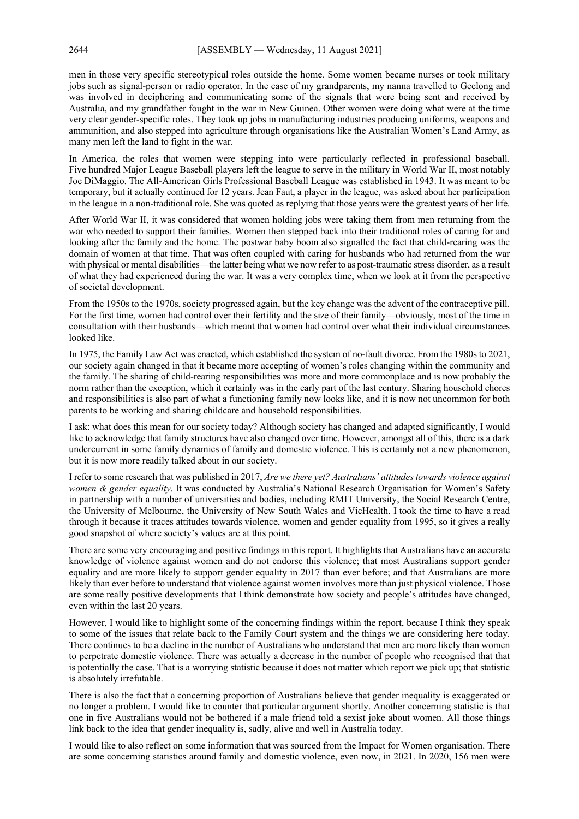men in those very specific stereotypical roles outside the home. Some women became nurses or took military jobs such as signal-person or radio operator. In the case of my grandparents, my nanna travelled to Geelong and was involved in deciphering and communicating some of the signals that were being sent and received by Australia, and my grandfather fought in the war in New Guinea. Other women were doing what were at the time very clear gender-specific roles. They took up jobs in manufacturing industries producing uniforms, weapons and ammunition, and also stepped into agriculture through organisations like the Australian Women's Land Army, as many men left the land to fight in the war.

In America, the roles that women were stepping into were particularly reflected in professional baseball. Five hundred Major League Baseball players left the league to serve in the military in World War II, most notably Joe DiMaggio. The All-American Girls Professional Baseball League was established in 1943. It was meant to be temporary, but it actually continued for 12 years. Jean Faut, a player in the league, was asked about her participation in the league in a non-traditional role. She was quoted as replying that those years were the greatest years of her life.

After World War II, it was considered that women holding jobs were taking them from men returning from the war who needed to support their families. Women then stepped back into their traditional roles of caring for and looking after the family and the home. The postwar baby boom also signalled the fact that child-rearing was the domain of women at that time. That was often coupled with caring for husbands who had returned from the war with physical or mental disabilities—the latter being what we now refer to as post-traumatic stress disorder, as a result of what they had experienced during the war. It was a very complex time, when we look at it from the perspective of societal development.

From the 1950s to the 1970s, society progressed again, but the key change was the advent of the contraceptive pill. For the first time, women had control over their fertility and the size of their family—obviously, most of the time in consultation with their husbands—which meant that women had control over what their individual circumstances looked like.

In 1975, the Family Law Act was enacted, which established the system of no-fault divorce. From the 1980s to 2021, our society again changed in that it became more accepting of women's roles changing within the community and the family. The sharing of child-rearing responsibilities was more and more commonplace and is now probably the norm rather than the exception, which it certainly was in the early part of the last century. Sharing household chores and responsibilities is also part of what a functioning family now looks like, and it is now not uncommon for both parents to be working and sharing childcare and household responsibilities.

I ask: what does this mean for our society today? Although society has changed and adapted significantly, I would like to acknowledge that family structures have also changed over time. However, amongst all of this, there is a dark undercurrent in some family dynamics of family and domestic violence. This is certainly not a new phenomenon, but it is now more readily talked about in our society.

I refer to some research that was published in 2017, *Are we there yet? Australians' attitudes towards violence against women & gender equality*. It was conducted by Australia's National Research Organisation for Women's Safety in partnership with a number of universities and bodies, including RMIT University, the Social Research Centre, the University of Melbourne, the University of New South Wales and VicHealth. I took the time to have a read through it because it traces attitudes towards violence, women and gender equality from 1995, so it gives a really good snapshot of where society's values are at this point.

There are some very encouraging and positive findings in this report. It highlights that Australians have an accurate knowledge of violence against women and do not endorse this violence; that most Australians support gender equality and are more likely to support gender equality in 2017 than ever before; and that Australians are more likely than ever before to understand that violence against women involves more than just physical violence. Those are some really positive developments that I think demonstrate how society and people's attitudes have changed, even within the last 20 years.

However, I would like to highlight some of the concerning findings within the report, because I think they speak to some of the issues that relate back to the Family Court system and the things we are considering here today. There continues to be a decline in the number of Australians who understand that men are more likely than women to perpetrate domestic violence. There was actually a decrease in the number of people who recognised that that is potentially the case. That is a worrying statistic because it does not matter which report we pick up; that statistic is absolutely irrefutable.

There is also the fact that a concerning proportion of Australians believe that gender inequality is exaggerated or no longer a problem. I would like to counter that particular argument shortly. Another concerning statistic is that one in five Australians would not be bothered if a male friend told a sexist joke about women. All those things link back to the idea that gender inequality is, sadly, alive and well in Australia today.

I would like to also reflect on some information that was sourced from the Impact for Women organisation. There are some concerning statistics around family and domestic violence, even now, in 2021. In 2020, 156 men were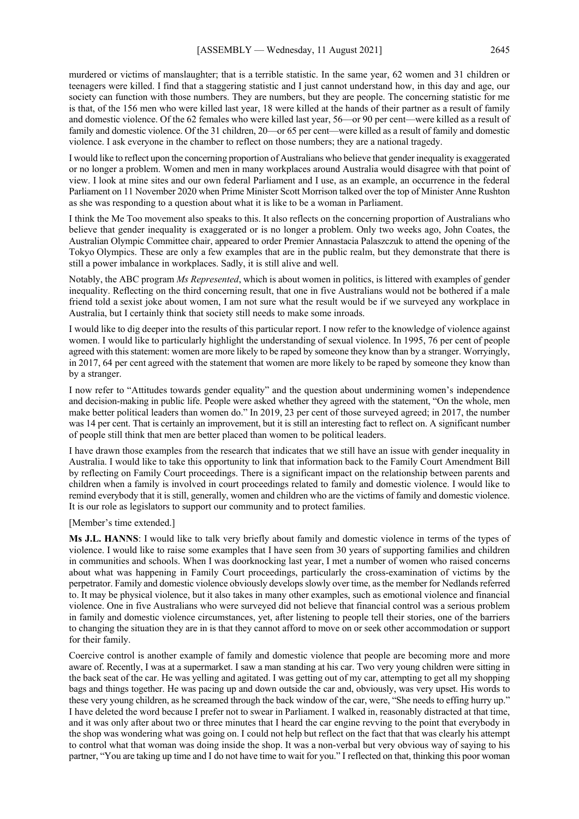murdered or victims of manslaughter; that is a terrible statistic. In the same year, 62 women and 31 children or teenagers were killed. I find that a staggering statistic and I just cannot understand how, in this day and age, our society can function with those numbers. They are numbers, but they are people. The concerning statistic for me is that, of the 156 men who were killed last year, 18 were killed at the hands of their partner as a result of family and domestic violence. Of the 62 females who were killed last year, 56—or 90 per cent—were killed as a result of family and domestic violence. Of the 31 children, 20—or 65 per cent—were killed as a result of family and domestic violence. I ask everyone in the chamber to reflect on those numbers; they are a national tragedy.

I would like to reflect upon the concerning proportion of Australians who believe that gender inequality is exaggerated or no longer a problem. Women and men in many workplaces around Australia would disagree with that point of view. I look at mine sites and our own federal Parliament and I use, as an example, an occurrence in the federal Parliament on 11 November 2020 when Prime Minister Scott Morrison talked over the top of Minister Anne Rushton as she was responding to a question about what it is like to be a woman in Parliament.

I think the Me Too movement also speaks to this. It also reflects on the concerning proportion of Australians who believe that gender inequality is exaggerated or is no longer a problem. Only two weeks ago, John Coates, the Australian Olympic Committee chair, appeared to order Premier Annastacia Palaszczuk to attend the opening of the Tokyo Olympics. These are only a few examples that are in the public realm, but they demonstrate that there is still a power imbalance in workplaces. Sadly, it is still alive and well.

Notably, the ABC program *Ms Represented*, which is about women in politics, is littered with examples of gender inequality. Reflecting on the third concerning result, that one in five Australians would not be bothered if a male friend told a sexist joke about women, I am not sure what the result would be if we surveyed any workplace in Australia, but I certainly think that society still needs to make some inroads.

I would like to dig deeper into the results of this particular report. I now refer to the knowledge of violence against women. I would like to particularly highlight the understanding of sexual violence. In 1995, 76 per cent of people agreed with this statement: women are more likely to be raped by someone they know than by a stranger. Worryingly, in 2017, 64 per cent agreed with the statement that women are more likely to be raped by someone they know than by a stranger.

I now refer to "Attitudes towards gender equality" and the question about undermining women's independence and decision-making in public life. People were asked whether they agreed with the statement, "On the whole, men make better political leaders than women do." In 2019, 23 per cent of those surveyed agreed; in 2017, the number was 14 per cent. That is certainly an improvement, but it is still an interesting fact to reflect on. A significant number of people still think that men are better placed than women to be political leaders.

I have drawn those examples from the research that indicates that we still have an issue with gender inequality in Australia. I would like to take this opportunity to link that information back to the Family Court Amendment Bill by reflecting on Family Court proceedings. There is a significant impact on the relationship between parents and children when a family is involved in court proceedings related to family and domestic violence. I would like to remind everybody that it is still, generally, women and children who are the victims of family and domestic violence. It is our role as legislators to support our community and to protect families.

#### [Member's time extended.]

**Ms J.L. HANNS**: I would like to talk very briefly about family and domestic violence in terms of the types of violence. I would like to raise some examples that I have seen from 30 years of supporting families and children in communities and schools. When I was doorknocking last year, I met a number of women who raised concerns about what was happening in Family Court proceedings, particularly the cross-examination of victims by the perpetrator. Family and domestic violence obviously develops slowly over time, as the member for Nedlands referred to. It may be physical violence, but it also takes in many other examples, such as emotional violence and financial violence. One in five Australians who were surveyed did not believe that financial control was a serious problem in family and domestic violence circumstances, yet, after listening to people tell their stories, one of the barriers to changing the situation they are in is that they cannot afford to move on or seek other accommodation or support for their family.

Coercive control is another example of family and domestic violence that people are becoming more and more aware of. Recently, I was at a supermarket. I saw a man standing at his car. Two very young children were sitting in the back seat of the car. He was yelling and agitated. I was getting out of my car, attempting to get all my shopping bags and things together. He was pacing up and down outside the car and, obviously, was very upset. His words to these very young children, as he screamed through the back window of the car, were, "She needs to effing hurry up." I have deleted the word because I prefer not to swear in Parliament. I walked in, reasonably distracted at that time, and it was only after about two or three minutes that I heard the car engine revving to the point that everybody in the shop was wondering what was going on. I could not help but reflect on the fact that that was clearly his attempt to control what that woman was doing inside the shop. It was a non-verbal but very obvious way of saying to his partner, "You are taking up time and I do not have time to wait for you." I reflected on that, thinking this poor woman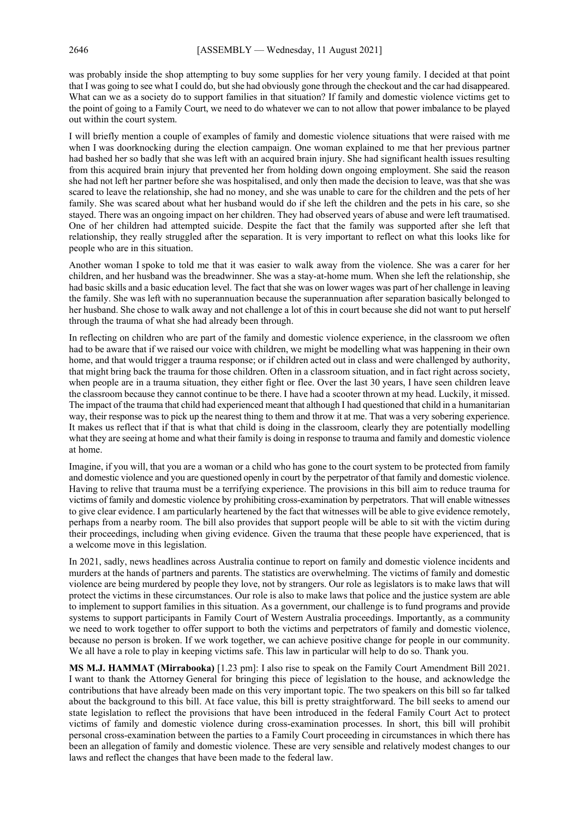was probably inside the shop attempting to buy some supplies for her very young family. I decided at that point that I was going to see what I could do, but she had obviously gone through the checkout and the car had disappeared. What can we as a society do to support families in that situation? If family and domestic violence victims get to the point of going to a Family Court, we need to do whatever we can to not allow that power imbalance to be played out within the court system.

I will briefly mention a couple of examples of family and domestic violence situations that were raised with me when I was doorknocking during the election campaign. One woman explained to me that her previous partner had bashed her so badly that she was left with an acquired brain injury. She had significant health issues resulting from this acquired brain injury that prevented her from holding down ongoing employment. She said the reason she had not left her partner before she was hospitalised, and only then made the decision to leave, was that she was scared to leave the relationship, she had no money, and she was unable to care for the children and the pets of her family. She was scared about what her husband would do if she left the children and the pets in his care, so she stayed. There was an ongoing impact on her children. They had observed years of abuse and were left traumatised. One of her children had attempted suicide. Despite the fact that the family was supported after she left that relationship, they really struggled after the separation. It is very important to reflect on what this looks like for people who are in this situation.

Another woman I spoke to told me that it was easier to walk away from the violence. She was a carer for her children, and her husband was the breadwinner. She was a stay-at-home mum. When she left the relationship, she had basic skills and a basic education level. The fact that she was on lower wages was part of her challenge in leaving the family. She was left with no superannuation because the superannuation after separation basically belonged to her husband. She chose to walk away and not challenge a lot of this in court because she did not want to put herself through the trauma of what she had already been through.

In reflecting on children who are part of the family and domestic violence experience, in the classroom we often had to be aware that if we raised our voice with children, we might be modelling what was happening in their own home, and that would trigger a trauma response; or if children acted out in class and were challenged by authority, that might bring back the trauma for those children. Often in a classroom situation, and in fact right across society, when people are in a trauma situation, they either fight or flee. Over the last 30 years, I have seen children leave the classroom because they cannot continue to be there. I have had a scooter thrown at my head. Luckily, it missed. The impact of the trauma that child had experienced meant that although I had questioned that child in a humanitarian way, their response was to pick up the nearest thing to them and throw it at me. That was a very sobering experience. It makes us reflect that if that is what that child is doing in the classroom, clearly they are potentially modelling what they are seeing at home and what their family is doing in response to trauma and family and domestic violence at home.

Imagine, if you will, that you are a woman or a child who has gone to the court system to be protected from family and domestic violence and you are questioned openly in court by the perpetrator of that family and domestic violence. Having to relive that trauma must be a terrifying experience. The provisions in this bill aim to reduce trauma for victims of family and domestic violence by prohibiting cross-examination by perpetrators. That will enable witnesses to give clear evidence. I am particularly heartened by the fact that witnesses will be able to give evidence remotely, perhaps from a nearby room. The bill also provides that support people will be able to sit with the victim during their proceedings, including when giving evidence. Given the trauma that these people have experienced, that is a welcome move in this legislation.

In 2021, sadly, news headlines across Australia continue to report on family and domestic violence incidents and murders at the hands of partners and parents. The statistics are overwhelming. The victims of family and domestic violence are being murdered by people they love, not by strangers. Our role as legislators is to make laws that will protect the victims in these circumstances. Our role is also to make laws that police and the justice system are able to implement to support families in this situation. As a government, our challenge is to fund programs and provide systems to support participants in Family Court of Western Australia proceedings. Importantly, as a community we need to work together to offer support to both the victims and perpetrators of family and domestic violence, because no person is broken. If we work together, we can achieve positive change for people in our community. We all have a role to play in keeping victims safe. This law in particular will help to do so. Thank you.

**MS M.J. HAMMAT (Mirrabooka)** [1.23 pm]: I also rise to speak on the Family Court Amendment Bill 2021. I want to thank the Attorney General for bringing this piece of legislation to the house, and acknowledge the contributions that have already been made on this very important topic. The two speakers on this bill so far talked about the background to this bill. At face value, this bill is pretty straightforward. The bill seeks to amend our state legislation to reflect the provisions that have been introduced in the federal Family Court Act to protect victims of family and domestic violence during cross-examination processes. In short, this bill will prohibit personal cross-examination between the parties to a Family Court proceeding in circumstances in which there has been an allegation of family and domestic violence. These are very sensible and relatively modest changes to our laws and reflect the changes that have been made to the federal law.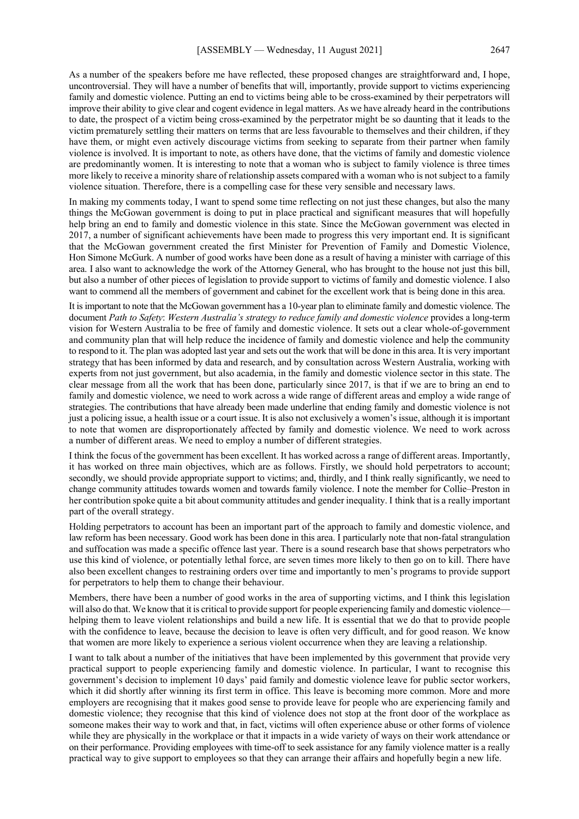As a number of the speakers before me have reflected, these proposed changes are straightforward and, I hope, uncontroversial. They will have a number of benefits that will, importantly, provide support to victims experiencing family and domestic violence. Putting an end to victims being able to be cross-examined by their perpetrators will improve their ability to give clear and cogent evidence in legal matters. As we have already heard in the contributions to date, the prospect of a victim being cross-examined by the perpetrator might be so daunting that it leads to the victim prematurely settling their matters on terms that are less favourable to themselves and their children, if they have them, or might even actively discourage victims from seeking to separate from their partner when family violence is involved. It is important to note, as others have done, that the victims of family and domestic violence are predominantly women. It is interesting to note that a woman who is subject to family violence is three times more likely to receive a minority share of relationship assets compared with a woman who is not subject to a family violence situation. Therefore, there is a compelling case for these very sensible and necessary laws.

In making my comments today, I want to spend some time reflecting on not just these changes, but also the many things the McGowan government is doing to put in place practical and significant measures that will hopefully help bring an end to family and domestic violence in this state. Since the McGowan government was elected in 2017, a number of significant achievements have been made to progress this very important end. It is significant that the McGowan government created the first Minister for Prevention of Family and Domestic Violence, Hon Simone McGurk. A number of good works have been done as a result of having a minister with carriage of this area. I also want to acknowledge the work of the Attorney General, who has brought to the house not just this bill, but also a number of other pieces of legislation to provide support to victims of family and domestic violence. I also want to commend all the members of government and cabinet for the excellent work that is being done in this area.

It is important to note that the McGowan government has a 10-year plan to eliminate family and domestic violence. The document *Path to Safety*: *Western Australia's strategy to reduce family and domestic violence* provides a long-term vision for Western Australia to be free of family and domestic violence. It sets out a clear whole-of-government and community plan that will help reduce the incidence of family and domestic violence and help the community to respond to it. The plan was adopted last year and sets out the work that will be done in this area. It is very important strategy that has been informed by data and research, and by consultation across Western Australia, working with experts from not just government, but also academia, in the family and domestic violence sector in this state. The clear message from all the work that has been done, particularly since 2017, is that if we are to bring an end to family and domestic violence, we need to work across a wide range of different areas and employ a wide range of strategies. The contributions that have already been made underline that ending family and domestic violence is not just a policing issue, a health issue or a court issue. It is also not exclusively a women's issue, although it is important to note that women are disproportionately affected by family and domestic violence. We need to work across a number of different areas. We need to employ a number of different strategies.

I think the focus of the government has been excellent. It has worked across a range of different areas. Importantly, it has worked on three main objectives, which are as follows. Firstly, we should hold perpetrators to account; secondly, we should provide appropriate support to victims; and, thirdly, and I think really significantly, we need to change community attitudes towards women and towards family violence. I note the member for Collie–Preston in her contribution spoke quite a bit about community attitudes and gender inequality. I think that is a really important part of the overall strategy.

Holding perpetrators to account has been an important part of the approach to family and domestic violence, and law reform has been necessary. Good work has been done in this area. I particularly note that non-fatal strangulation and suffocation was made a specific offence last year. There is a sound research base that shows perpetrators who use this kind of violence, or potentially lethal force, are seven times more likely to then go on to kill. There have also been excellent changes to restraining orders over time and importantly to men's programs to provide support for perpetrators to help them to change their behaviour.

Members, there have been a number of good works in the area of supporting victims, and I think this legislation will also do that. We know that it is critical to provide support for people experiencing family and domestic violencehelping them to leave violent relationships and build a new life. It is essential that we do that to provide people with the confidence to leave, because the decision to leave is often very difficult, and for good reason. We know that women are more likely to experience a serious violent occurrence when they are leaving a relationship.

I want to talk about a number of the initiatives that have been implemented by this government that provide very practical support to people experiencing family and domestic violence. In particular, I want to recognise this government's decision to implement 10 days' paid family and domestic violence leave for public sector workers, which it did shortly after winning its first term in office. This leave is becoming more common. More and more employers are recognising that it makes good sense to provide leave for people who are experiencing family and domestic violence; they recognise that this kind of violence does not stop at the front door of the workplace as someone makes their way to work and that, in fact, victims will often experience abuse or other forms of violence while they are physically in the workplace or that it impacts in a wide variety of ways on their work attendance or on their performance. Providing employees with time-off to seek assistance for any family violence matter is a really practical way to give support to employees so that they can arrange their affairs and hopefully begin a new life.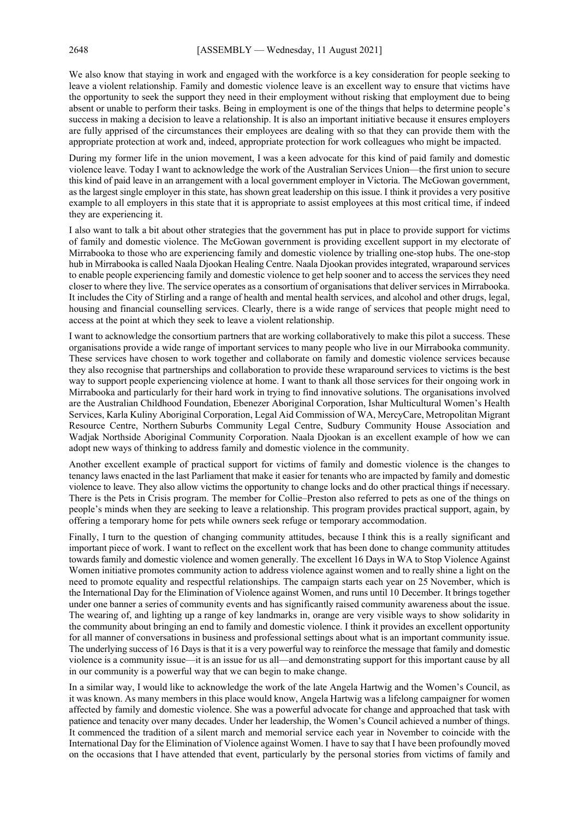We also know that staying in work and engaged with the workforce is a key consideration for people seeking to leave a violent relationship. Family and domestic violence leave is an excellent way to ensure that victims have the opportunity to seek the support they need in their employment without risking that employment due to being absent or unable to perform their tasks. Being in employment is one of the things that helps to determine people's success in making a decision to leave a relationship. It is also an important initiative because it ensures employers are fully apprised of the circumstances their employees are dealing with so that they can provide them with the appropriate protection at work and, indeed, appropriate protection for work colleagues who might be impacted.

During my former life in the union movement, I was a keen advocate for this kind of paid family and domestic violence leave. Today I want to acknowledge the work of the Australian Services Union—the first union to secure this kind of paid leave in an arrangement with a local government employer in Victoria. The McGowan government, as the largest single employer in this state, has shown great leadership on this issue. I think it provides a very positive example to all employers in this state that it is appropriate to assist employees at this most critical time, if indeed they are experiencing it.

I also want to talk a bit about other strategies that the government has put in place to provide support for victims of family and domestic violence. The McGowan government is providing excellent support in my electorate of Mirrabooka to those who are experiencing family and domestic violence by trialling one-stop hubs. The one-stop hub in Mirrabooka is called Naala Djookan Healing Centre. Naala Djookan provides integrated, wraparound services to enable people experiencing family and domestic violence to get help sooner and to access the services they need closer to where they live. The service operates as a consortium of organisations that deliver services in Mirrabooka. It includes the City of Stirling and a range of health and mental health services, and alcohol and other drugs, legal, housing and financial counselling services. Clearly, there is a wide range of services that people might need to access at the point at which they seek to leave a violent relationship.

I want to acknowledge the consortium partners that are working collaboratively to make this pilot a success. These organisations provide a wide range of important services to many people who live in our Mirrabooka community. These services have chosen to work together and collaborate on family and domestic violence services because they also recognise that partnerships and collaboration to provide these wraparound services to victims is the best way to support people experiencing violence at home. I want to thank all those services for their ongoing work in Mirrabooka and particularly for their hard work in trying to find innovative solutions. The organisations involved are the Australian Childhood Foundation, Ebenezer Aboriginal Corporation, Ishar Multicultural Women's Health Services, Karla Kuliny Aboriginal Corporation, Legal Aid Commission of WA, MercyCare, Metropolitan Migrant Resource Centre, Northern Suburbs Community Legal Centre, Sudbury Community House Association and Wadjak Northside Aboriginal Community Corporation. Naala Djookan is an excellent example of how we can adopt new ways of thinking to address family and domestic violence in the community.

Another excellent example of practical support for victims of family and domestic violence is the changes to tenancy laws enacted in the last Parliament that make it easier for tenants who are impacted by family and domestic violence to leave. They also allow victims the opportunity to change locks and do other practical things if necessary. There is the Pets in Crisis program. The member for Collie–Preston also referred to pets as one of the things on people's minds when they are seeking to leave a relationship. This program provides practical support, again, by offering a temporary home for pets while owners seek refuge or temporary accommodation.

Finally, I turn to the question of changing community attitudes, because I think this is a really significant and important piece of work. I want to reflect on the excellent work that has been done to change community attitudes towards family and domestic violence and women generally. The excellent 16 Days in WA to Stop Violence Against Women initiative promotes community action to address violence against women and to really shine a light on the need to promote equality and respectful relationships. The campaign starts each year on 25 November, which is the International Day for the Elimination of Violence against Women, and runs until 10 December. It brings together under one banner a series of community events and has significantly raised community awareness about the issue. The wearing of, and lighting up a range of key landmarks in, orange are very visible ways to show solidarity in the community about bringing an end to family and domestic violence. I think it provides an excellent opportunity for all manner of conversations in business and professional settings about what is an important community issue. The underlying success of 16 Days is that it is a very powerful way to reinforce the message that family and domestic violence is a community issue—it is an issue for us all—and demonstrating support for this important cause by all in our community is a powerful way that we can begin to make change.

In a similar way, I would like to acknowledge the work of the late Angela Hartwig and the Women's Council, as it was known. As many members in this place would know, Angela Hartwig was a lifelong campaigner for women affected by family and domestic violence. She was a powerful advocate for change and approached that task with patience and tenacity over many decades. Under her leadership, the Women's Council achieved a number of things. It commenced the tradition of a silent march and memorial service each year in November to coincide with the International Day for the Elimination of Violence against Women. I have to say that I have been profoundly moved on the occasions that I have attended that event, particularly by the personal stories from victims of family and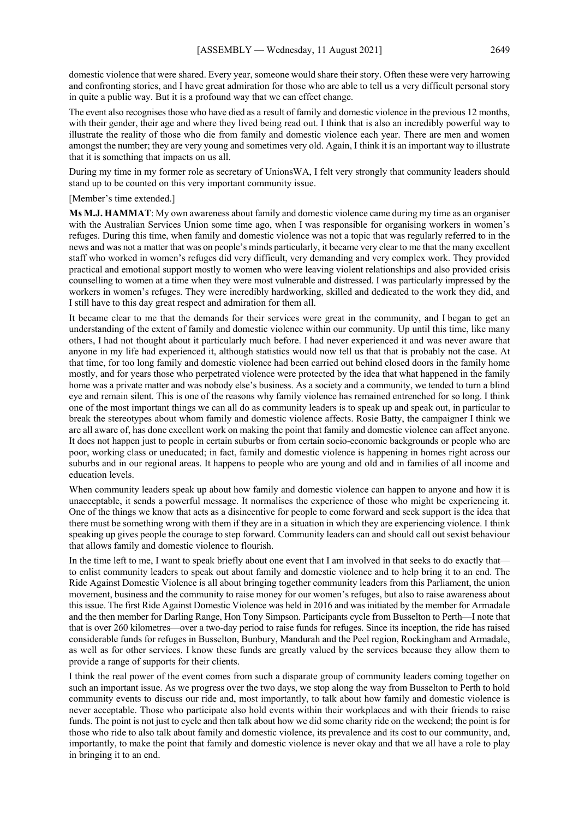domestic violence that were shared. Every year, someone would share their story. Often these were very harrowing and confronting stories, and I have great admiration for those who are able to tell us a very difficult personal story in quite a public way. But it is a profound way that we can effect change.

The event also recognises those who have died as a result of family and domestic violence in the previous 12 months, with their gender, their age and where they lived being read out. I think that is also an incredibly powerful way to illustrate the reality of those who die from family and domestic violence each year. There are men and women amongst the number; they are very young and sometimes very old. Again, I think it is an important way to illustrate that it is something that impacts on us all.

During my time in my former role as secretary of UnionsWA, I felt very strongly that community leaders should stand up to be counted on this very important community issue.

[Member's time extended.]

**Ms M.J. HAMMAT**: My own awareness about family and domestic violence came during my time as an organiser with the Australian Services Union some time ago, when I was responsible for organising workers in women's refuges. During this time, when family and domestic violence was not a topic that was regularly referred to in the news and was not a matter that was on people's minds particularly, it became very clear to me that the many excellent staff who worked in women's refuges did very difficult, very demanding and very complex work. They provided practical and emotional support mostly to women who were leaving violent relationships and also provided crisis counselling to women at a time when they were most vulnerable and distressed. I was particularly impressed by the workers in women's refuges. They were incredibly hardworking, skilled and dedicated to the work they did, and I still have to this day great respect and admiration for them all.

It became clear to me that the demands for their services were great in the community, and I began to get an understanding of the extent of family and domestic violence within our community. Up until this time, like many others, I had not thought about it particularly much before. I had never experienced it and was never aware that anyone in my life had experienced it, although statistics would now tell us that that is probably not the case. At that time, for too long family and domestic violence had been carried out behind closed doors in the family home mostly, and for years those who perpetrated violence were protected by the idea that what happened in the family home was a private matter and was nobody else's business. As a society and a community, we tended to turn a blind eye and remain silent. This is one of the reasons why family violence has remained entrenched for so long. I think one of the most important things we can all do as community leaders is to speak up and speak out, in particular to break the stereotypes about whom family and domestic violence affects. Rosie Batty, the campaigner I think we are all aware of, has done excellent work on making the point that family and domestic violence can affect anyone. It does not happen just to people in certain suburbs or from certain socio-economic backgrounds or people who are poor, working class or uneducated; in fact, family and domestic violence is happening in homes right across our suburbs and in our regional areas. It happens to people who are young and old and in families of all income and education levels.

When community leaders speak up about how family and domestic violence can happen to anyone and how it is unacceptable, it sends a powerful message. It normalises the experience of those who might be experiencing it. One of the things we know that acts as a disincentive for people to come forward and seek support is the idea that there must be something wrong with them if they are in a situation in which they are experiencing violence. I think speaking up gives people the courage to step forward. Community leaders can and should call out sexist behaviour that allows family and domestic violence to flourish.

In the time left to me, I want to speak briefly about one event that I am involved in that seeks to do exactly that to enlist community leaders to speak out about family and domestic violence and to help bring it to an end. The Ride Against Domestic Violence is all about bringing together community leaders from this Parliament, the union movement, business and the community to raise money for our women's refuges, but also to raise awareness about this issue. The first Ride Against Domestic Violence was held in 2016 and was initiated by the member for Armadale and the then member for Darling Range, Hon Tony Simpson. Participants cycle from Busselton to Perth—I note that that is over 260 kilometres—over a two-day period to raise funds for refuges. Since its inception, the ride has raised considerable funds for refuges in Busselton, Bunbury, Mandurah and the Peel region, Rockingham and Armadale, as well as for other services. I know these funds are greatly valued by the services because they allow them to provide a range of supports for their clients.

I think the real power of the event comes from such a disparate group of community leaders coming together on such an important issue. As we progress over the two days, we stop along the way from Busselton to Perth to hold community events to discuss our ride and, most importantly, to talk about how family and domestic violence is never acceptable. Those who participate also hold events within their workplaces and with their friends to raise funds. The point is not just to cycle and then talk about how we did some charity ride on the weekend; the point is for those who ride to also talk about family and domestic violence, its prevalence and its cost to our community, and, importantly, to make the point that family and domestic violence is never okay and that we all have a role to play in bringing it to an end.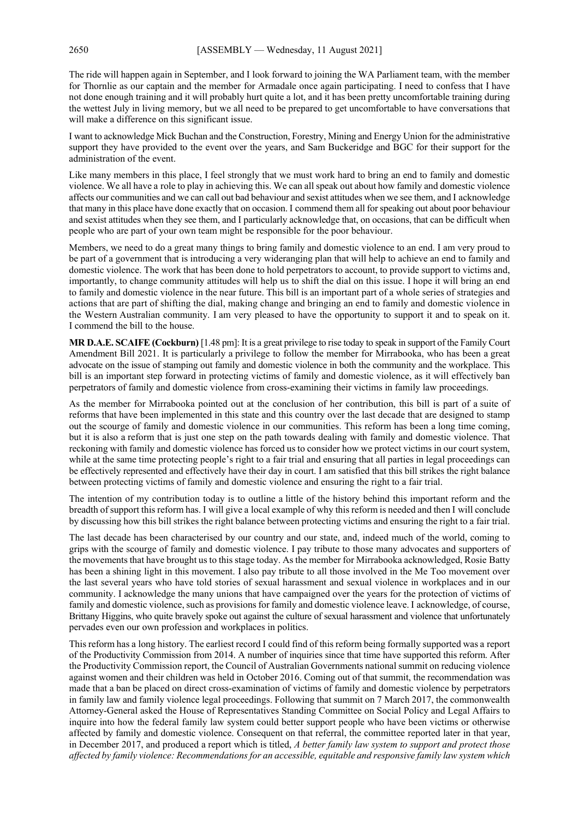The ride will happen again in September, and I look forward to joining the WA Parliament team, with the member for Thornlie as our captain and the member for Armadale once again participating. I need to confess that I have not done enough training and it will probably hurt quite a lot, and it has been pretty uncomfortable training during the wettest July in living memory, but we all need to be prepared to get uncomfortable to have conversations that will make a difference on this significant issue.

I want to acknowledge Mick Buchan and the Construction, Forestry, Mining and Energy Union for the administrative support they have provided to the event over the years, and Sam Buckeridge and BGC for their support for the administration of the event.

Like many members in this place, I feel strongly that we must work hard to bring an end to family and domestic violence. We all have a role to play in achieving this. We can all speak out about how family and domestic violence affects our communities and we can call out bad behaviour and sexist attitudes when we see them, and I acknowledge that many in this place have done exactly that on occasion. I commend them all for speaking out about poor behaviour and sexist attitudes when they see them, and I particularly acknowledge that, on occasions, that can be difficult when people who are part of your own team might be responsible for the poor behaviour.

Members, we need to do a great many things to bring family and domestic violence to an end. I am very proud to be part of a government that is introducing a very wideranging plan that will help to achieve an end to family and domestic violence. The work that has been done to hold perpetrators to account, to provide support to victims and, importantly, to change community attitudes will help us to shift the dial on this issue. I hope it will bring an end to family and domestic violence in the near future. This bill is an important part of a whole series of strategies and actions that are part of shifting the dial, making change and bringing an end to family and domestic violence in the Western Australian community. I am very pleased to have the opportunity to support it and to speak on it. I commend the bill to the house.

**MR D.A.E. SCAIFE (Cockburn)** [1.48 pm]: It is a great privilege to rise today to speak in support of the Family Court Amendment Bill 2021. It is particularly a privilege to follow the member for Mirrabooka, who has been a great advocate on the issue of stamping out family and domestic violence in both the community and the workplace. This bill is an important step forward in protecting victims of family and domestic violence, as it will effectively ban perpetrators of family and domestic violence from cross-examining their victims in family law proceedings.

As the member for Mirrabooka pointed out at the conclusion of her contribution, this bill is part of a suite of reforms that have been implemented in this state and this country over the last decade that are designed to stamp out the scourge of family and domestic violence in our communities. This reform has been a long time coming, but it is also a reform that is just one step on the path towards dealing with family and domestic violence. That reckoning with family and domestic violence has forced us to consider how we protect victims in our court system, while at the same time protecting people's right to a fair trial and ensuring that all parties in legal proceedings can be effectively represented and effectively have their day in court. I am satisfied that this bill strikes the right balance between protecting victims of family and domestic violence and ensuring the right to a fair trial.

The intention of my contribution today is to outline a little of the history behind this important reform and the breadth of support this reform has. I will give a local example of why this reform is needed and then I will conclude by discussing how this bill strikes the right balance between protecting victims and ensuring the right to a fair trial.

The last decade has been characterised by our country and our state, and, indeed much of the world, coming to grips with the scourge of family and domestic violence. I pay tribute to those many advocates and supporters of the movements that have brought us to this stage today. As the member for Mirrabooka acknowledged, Rosie Batty has been a shining light in this movement. I also pay tribute to all those involved in the Me Too movement over the last several years who have told stories of sexual harassment and sexual violence in workplaces and in our community. I acknowledge the many unions that have campaigned over the years for the protection of victims of family and domestic violence, such as provisions for family and domestic violence leave. I acknowledge, of course, Brittany Higgins, who quite bravely spoke out against the culture of sexual harassment and violence that unfortunately pervades even our own profession and workplaces in politics.

This reform has a long history. The earliest record I could find of this reform being formally supported was a report of the Productivity Commission from 2014. A number of inquiries since that time have supported this reform. After the Productivity Commission report, the Council of Australian Governments national summit on reducing violence against women and their children was held in October 2016. Coming out of that summit, the recommendation was made that a ban be placed on direct cross-examination of victims of family and domestic violence by perpetrators in family law and family violence legal proceedings. Following that summit on 7 March 2017, the commonwealth Attorney-General asked the House of Representatives Standing Committee on Social Policy and Legal Affairs to inquire into how the federal family law system could better support people who have been victims or otherwise affected by family and domestic violence. Consequent on that referral, the committee reported later in that year, in December 2017, and produced a report which is titled, *A better family law system to support and protect those affected by family violence: Recommendations for an accessible, equitable and responsive family law system which*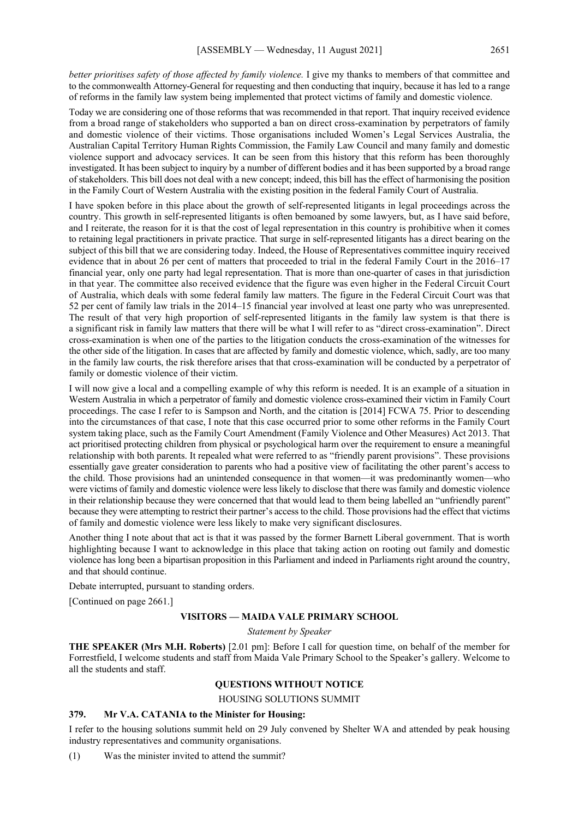*better prioritises safety of those affected by family violence.* I give my thanks to members of that committee and to the commonwealth Attorney-General for requesting and then conducting that inquiry, because it has led to a range of reforms in the family law system being implemented that protect victims of family and domestic violence.

Today we are considering one of those reforms that was recommended in that report. That inquiry received evidence from a broad range of stakeholders who supported a ban on direct cross-examination by perpetrators of family and domestic violence of their victims. Those organisations included Women's Legal Services Australia, the Australian Capital Territory Human Rights Commission, the Family Law Council and many family and domestic violence support and advocacy services. It can be seen from this history that this reform has been thoroughly investigated. It has been subject to inquiry by a number of different bodies and it has been supported by a broad range of stakeholders. This bill does not deal with a new concept; indeed, this bill has the effect of harmonising the position in the Family Court of Western Australia with the existing position in the federal Family Court of Australia.

I have spoken before in this place about the growth of self-represented litigants in legal proceedings across the country. This growth in self-represented litigants is often bemoaned by some lawyers, but, as I have said before, and I reiterate, the reason for it is that the cost of legal representation in this country is prohibitive when it comes to retaining legal practitioners in private practice. That surge in self-represented litigants has a direct bearing on the subject of this bill that we are considering today. Indeed, the House of Representatives committee inquiry received evidence that in about 26 per cent of matters that proceeded to trial in the federal Family Court in the 2016–17 financial year, only one party had legal representation. That is more than one-quarter of cases in that jurisdiction in that year. The committee also received evidence that the figure was even higher in the Federal Circuit Court of Australia, which deals with some federal family law matters. The figure in the Federal Circuit Court was that 52 per cent of family law trials in the 2014–15 financial year involved at least one party who was unrepresented. The result of that very high proportion of self-represented litigants in the family law system is that there is a significant risk in family law matters that there will be what I will refer to as "direct cross-examination". Direct cross-examination is when one of the parties to the litigation conducts the cross-examination of the witnesses for the other side of the litigation. In cases that are affected by family and domestic violence, which, sadly, are too many in the family law courts, the risk therefore arises that that cross-examination will be conducted by a perpetrator of family or domestic violence of their victim.

I will now give a local and a compelling example of why this reform is needed. It is an example of a situation in Western Australia in which a perpetrator of family and domestic violence cross-examined their victim in Family Court proceedings. The case I refer to is Sampson and North, and the citation is [2014] FCWA 75. Prior to descending into the circumstances of that case, I note that this case occurred prior to some other reforms in the Family Court system taking place, such as the Family Court Amendment (Family Violence and Other Measures) Act 2013. That act prioritised protecting children from physical or psychological harm over the requirement to ensure a meaningful relationship with both parents. It repealed what were referred to as "friendly parent provisions". These provisions essentially gave greater consideration to parents who had a positive view of facilitating the other parent's access to the child. Those provisions had an unintended consequence in that women—it was predominantly women—who were victims of family and domestic violence were less likely to disclose that there was family and domestic violence in their relationship because they were concerned that that would lead to them being labelled an "unfriendly parent" because they were attempting to restrict their partner's access to the child. Those provisions had the effect that victims of family and domestic violence were less likely to make very significant disclosures.

Another thing I note about that act is that it was passed by the former Barnett Liberal government. That is worth highlighting because I want to acknowledge in this place that taking action on rooting out family and domestic violence has long been a bipartisan proposition in this Parliament and indeed in Parliaments right around the country, and that should continue.

Debate interrupted, pursuant to standing orders.

[Continued on page 2661.]

#### **VISITORS — MAIDA VALE PRIMARY SCHOOL**

*Statement by Speaker*

**THE SPEAKER (Mrs M.H. Roberts)** [2.01 pm]: Before I call for question time, on behalf of the member for Forrestfield, I welcome students and staff from Maida Vale Primary School to the Speaker's gallery. Welcome to all the students and staff.

#### **QUESTIONS WITHOUT NOTICE**

HOUSING SOLUTIONS SUMMIT

#### **379. Mr V.A. CATANIA to the Minister for Housing:**

I refer to the housing solutions summit held on 29 July convened by Shelter WA and attended by peak housing industry representatives and community organisations.

(1) Was the minister invited to attend the summit?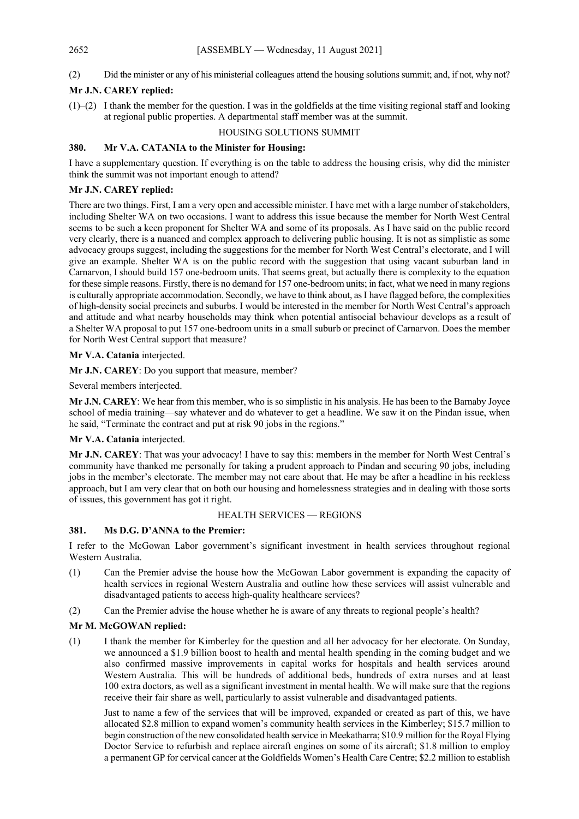#### (2) Did the minister or any of his ministerial colleagues attend the housing solutions summit; and, if not, why not?

#### **Mr J.N. CAREY replied:**

 $(1)$ –(2) I thank the member for the question. I was in the goldfields at the time visiting regional staff and looking at regional public properties. A departmental staff member was at the summit.

#### HOUSING SOLUTIONS SUMMIT

#### **380. Mr V.A. CATANIA to the Minister for Housing:**

I have a supplementary question. If everything is on the table to address the housing crisis, why did the minister think the summit was not important enough to attend?

#### **Mr J.N. CAREY replied:**

There are two things. First, I am a very open and accessible minister. I have met with a large number of stakeholders, including Shelter WA on two occasions. I want to address this issue because the member for North West Central seems to be such a keen proponent for Shelter WA and some of its proposals. As I have said on the public record very clearly, there is a nuanced and complex approach to delivering public housing. It is not as simplistic as some advocacy groups suggest, including the suggestions for the member for North West Central's electorate, and I will give an example. Shelter WA is on the public record with the suggestion that using vacant suburban land in Carnarvon, I should build 157 one-bedroom units. That seems great, but actually there is complexity to the equation for these simple reasons. Firstly, there is no demand for 157 one-bedroom units; in fact, what we need in many regions is culturally appropriate accommodation. Secondly, we have to think about, as I have flagged before, the complexities of high-density social precincts and suburbs. I would be interested in the member for North West Central's approach and attitude and what nearby households may think when potential antisocial behaviour develops as a result of a Shelter WA proposal to put 157 one-bedroom units in a small suburb or precinct of Carnarvon. Does the member for North West Central support that measure?

#### **Mr V.A. Catania** interjected.

**Mr J.N. CAREY**: Do you support that measure, member?

Several members interjected.

**Mr J.N. CAREY**: We hear from this member, who is so simplistic in his analysis. He has been to the Barnaby Joyce school of media training—say whatever and do whatever to get a headline. We saw it on the Pindan issue, when he said, "Terminate the contract and put at risk 90 jobs in the regions."

#### **Mr V.A. Catania** interjected.

**Mr J.N. CAREY**: That was your advocacy! I have to say this: members in the member for North West Central's community have thanked me personally for taking a prudent approach to Pindan and securing 90 jobs, including jobs in the member's electorate. The member may not care about that. He may be after a headline in his reckless approach, but I am very clear that on both our housing and homelessness strategies and in dealing with those sorts of issues, this government has got it right.

#### HEALTH SERVICES — REGIONS

#### **381. Ms D.G. D'ANNA to the Premier:**

I refer to the McGowan Labor government's significant investment in health services throughout regional Western Australia.

- (1) Can the Premier advise the house how the McGowan Labor government is expanding the capacity of health services in regional Western Australia and outline how these services will assist vulnerable and disadvantaged patients to access high-quality healthcare services?
- (2) Can the Premier advise the house whether he is aware of any threats to regional people's health?

#### **Mr M. McGOWAN replied:**

(1) I thank the member for Kimberley for the question and all her advocacy for her electorate. On Sunday, we announced a \$1.9 billion boost to health and mental health spending in the coming budget and we also confirmed massive improvements in capital works for hospitals and health services around Western Australia. This will be hundreds of additional beds, hundreds of extra nurses and at least 100 extra doctors, as well as a significant investment in mental health. We will make sure that the regions receive their fair share as well, particularly to assist vulnerable and disadvantaged patients.

Just to name a few of the services that will be improved, expanded or created as part of this, we have allocated \$2.8 million to expand women's community health services in the Kimberley; \$15.7 million to begin construction of the new consolidated health service in Meekatharra; \$10.9 million for the Royal Flying Doctor Service to refurbish and replace aircraft engines on some of its aircraft; \$1.8 million to employ a permanent GP for cervical cancer at the Goldfields Women's Health Care Centre; \$2.2 million to establish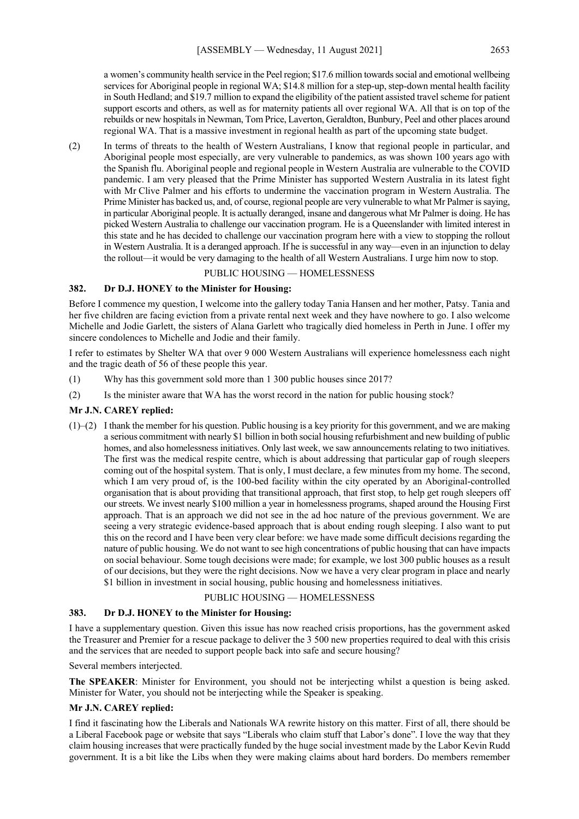a women's community health service in the Peel region; \$17.6 million towards social and emotional wellbeing services for Aboriginal people in regional WA; \$14.8 million for a step-up, step-down mental health facility in South Hedland; and \$19.7 million to expand the eligibility of the patient assisted travel scheme for patient support escorts and others, as well as for maternity patients all over regional WA. All that is on top of the rebuilds or new hospitals in Newman, Tom Price, Laverton, Geraldton, Bunbury, Peel and other places around regional WA. That is a massive investment in regional health as part of the upcoming state budget.

(2) In terms of threats to the health of Western Australians, I know that regional people in particular, and Aboriginal people most especially, are very vulnerable to pandemics, as was shown 100 years ago with the Spanish flu. Aboriginal people and regional people in Western Australia are vulnerable to the COVID pandemic. I am very pleased that the Prime Minister has supported Western Australia in its latest fight with Mr Clive Palmer and his efforts to undermine the vaccination program in Western Australia. The Prime Minister has backed us, and, of course, regional people are very vulnerable to what Mr Palmer is saying, in particular Aboriginal people. It is actually deranged, insane and dangerous what Mr Palmer is doing. He has picked Western Australia to challenge our vaccination program. He is a Queenslander with limited interest in this state and he has decided to challenge our vaccination program here with a view to stopping the rollout in Western Australia. It is a deranged approach. If he is successful in any way—even in an injunction to delay the rollout—it would be very damaging to the health of all Western Australians. I urge him now to stop.

#### PUBLIC HOUSING — HOMELESSNESS

#### **382. Dr D.J. HONEY to the Minister for Housing:**

Before I commence my question, I welcome into the gallery today Tania Hansen and her mother, Patsy. Tania and her five children are facing eviction from a private rental next week and they have nowhere to go. I also welcome Michelle and Jodie Garlett, the sisters of Alana Garlett who tragically died homeless in Perth in June. I offer my sincere condolences to Michelle and Jodie and their family.

I refer to estimates by Shelter WA that over 9 000 Western Australians will experience homelessness each night and the tragic death of 56 of these people this year.

- (1) Why has this government sold more than 1 300 public houses since 2017?
- (2) Is the minister aware that WA has the worst record in the nation for public housing stock?

#### **Mr J.N. CAREY replied:**

 $(1)$ –(2) I thank the member for his question. Public housing is a key priority for this government, and we are making a serious commitment with nearly \$1 billion in both social housing refurbishment and new building of public homes, and also homelessness initiatives. Only last week, we saw announcements relating to two initiatives. The first was the medical respite centre, which is about addressing that particular gap of rough sleepers coming out of the hospital system. That is only, I must declare, a few minutes from my home. The second, which I am very proud of, is the 100-bed facility within the city operated by an Aboriginal-controlled organisation that is about providing that transitional approach, that first stop, to help get rough sleepers off our streets. We invest nearly \$100 million a year in homelessness programs, shaped around the Housing First approach. That is an approach we did not see in the ad hoc nature of the previous government. We are seeing a very strategic evidence-based approach that is about ending rough sleeping. I also want to put this on the record and I have been very clear before: we have made some difficult decisions regarding the nature of public housing. We do not want to see high concentrations of public housing that can have impacts on social behaviour. Some tough decisions were made; for example, we lost 300 public houses as a result of our decisions, but they were the right decisions. Now we have a very clear program in place and nearly \$1 billion in investment in social housing, public housing and homelessness initiatives.

#### PUBLIC HOUSING — HOMELESSNESS

#### **383. Dr D.J. HONEY to the Minister for Housing:**

I have a supplementary question. Given this issue has now reached crisis proportions, has the government asked the Treasurer and Premier for a rescue package to deliver the 3 500 new properties required to deal with this crisis and the services that are needed to support people back into safe and secure housing?

Several members interjected.

**The SPEAKER**: Minister for Environment, you should not be interjecting whilst a question is being asked. Minister for Water, you should not be interjecting while the Speaker is speaking.

#### **Mr J.N. CAREY replied:**

I find it fascinating how the Liberals and Nationals WA rewrite history on this matter. First of all, there should be a Liberal Facebook page or website that says "Liberals who claim stuff that Labor's done". I love the way that they claim housing increases that were practically funded by the huge social investment made by the Labor Kevin Rudd government. It is a bit like the Libs when they were making claims about hard borders. Do members remember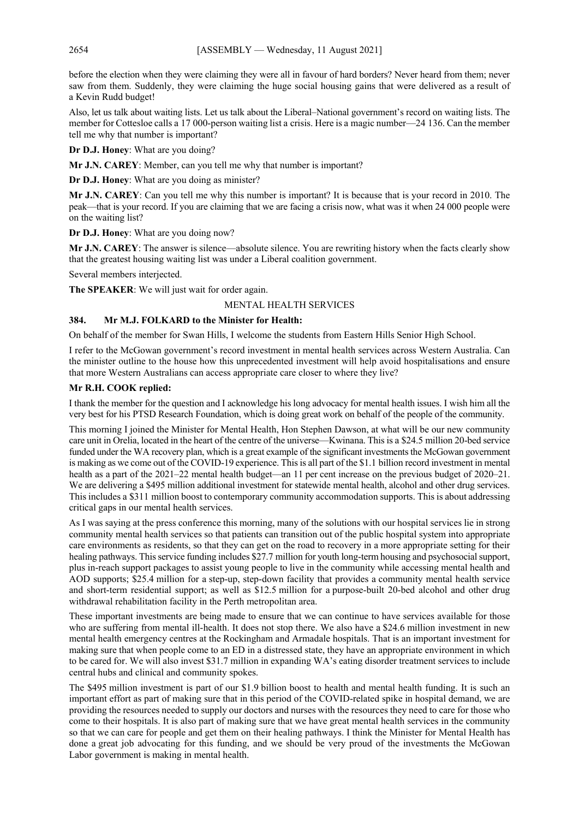before the election when they were claiming they were all in favour of hard borders? Never heard from them; never saw from them. Suddenly, they were claiming the huge social housing gains that were delivered as a result of a Kevin Rudd budget!

Also, let us talk about waiting lists. Let us talk about the Liberal–National government's record on waiting lists. The member for Cottesloe calls a 17 000-person waiting list a crisis. Here is a magic number—24 136. Can the member tell me why that number is important?

**Dr D.J. Honey**: What are you doing?

**Mr J.N. CAREY**: Member, can you tell me why that number is important?

**Dr D.J. Honey**: What are you doing as minister?

**Mr J.N. CAREY**: Can you tell me why this number is important? It is because that is your record in 2010. The peak—that is your record. If you are claiming that we are facing a crisis now, what was it when 24 000 people were on the waiting list?

**Dr D.J. Honey**: What are you doing now?

**Mr J.N. CAREY**: The answer is silence—absolute silence. You are rewriting history when the facts clearly show that the greatest housing waiting list was under a Liberal coalition government.

Several members interjected.

**The SPEAKER**: We will just wait for order again.

#### MENTAL HEALTH SERVICES

#### **384. Mr M.J. FOLKARD to the Minister for Health:**

On behalf of the member for Swan Hills, I welcome the students from Eastern Hills Senior High School.

I refer to the McGowan government's record investment in mental health services across Western Australia. Can the minister outline to the house how this unprecedented investment will help avoid hospitalisations and ensure that more Western Australians can access appropriate care closer to where they live?

#### **Mr R.H. COOK replied:**

I thank the member for the question and I acknowledge his long advocacy for mental health issues. I wish him all the very best for his PTSD Research Foundation, which is doing great work on behalf of the people of the community.

This morning I joined the Minister for Mental Health, Hon Stephen Dawson, at what will be our new community care unit in Orelia, located in the heart of the centre of the universe—Kwinana. This is a \$24.5 million 20-bed service funded under the WA recovery plan, which is a great example of the significant investments the McGowan government is making as we come out of the COVID-19 experience. This is all part of the \$1.1 billion record investment in mental health as a part of the 2021–22 mental health budget—an 11 per cent increase on the previous budget of 2020–21. We are delivering a \$495 million additional investment for statewide mental health, alcohol and other drug services. This includes a \$311 million boost to contemporary community accommodation supports. This is about addressing critical gaps in our mental health services.

As I was saying at the press conference this morning, many of the solutions with our hospital services lie in strong community mental health services so that patients can transition out of the public hospital system into appropriate care environments as residents, so that they can get on the road to recovery in a more appropriate setting for their healing pathways. This service funding includes \$27.7 million for youth long-term housing and psychosocial support, plus in-reach support packages to assist young people to live in the community while accessing mental health and AOD supports; \$25.4 million for a step-up, step-down facility that provides a community mental health service and short-term residential support; as well as \$12.5 million for a purpose-built 20-bed alcohol and other drug withdrawal rehabilitation facility in the Perth metropolitan area.

These important investments are being made to ensure that we can continue to have services available for those who are suffering from mental ill-health. It does not stop there. We also have a \$24.6 million investment in new mental health emergency centres at the Rockingham and Armadale hospitals. That is an important investment for making sure that when people come to an ED in a distressed state, they have an appropriate environment in which to be cared for. We will also invest \$31.7 million in expanding WA's eating disorder treatment services to include central hubs and clinical and community spokes.

The \$495 million investment is part of our \$1.9 billion boost to health and mental health funding. It is such an important effort as part of making sure that in this period of the COVID-related spike in hospital demand, we are providing the resources needed to supply our doctors and nurses with the resources they need to care for those who come to their hospitals. It is also part of making sure that we have great mental health services in the community so that we can care for people and get them on their healing pathways. I think the Minister for Mental Health has done a great job advocating for this funding, and we should be very proud of the investments the McGowan Labor government is making in mental health.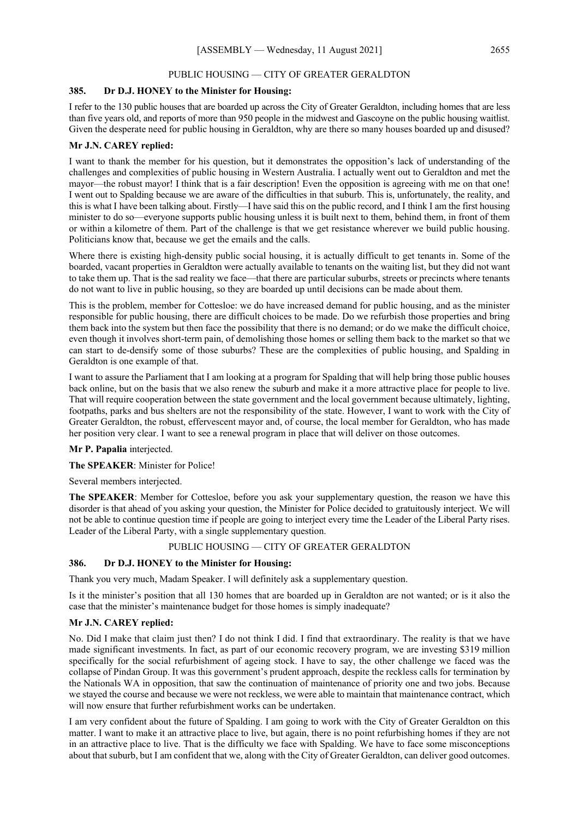#### PUBLIC HOUSING — CITY OF GREATER GERALDTON

#### **385. Dr D.J. HONEY to the Minister for Housing:**

I refer to the 130 public houses that are boarded up across the City of Greater Geraldton, including homes that are less than five years old, and reports of more than 950 people in the midwest and Gascoyne on the public housing waitlist. Given the desperate need for public housing in Geraldton, why are there so many houses boarded up and disused?

#### **Mr J.N. CAREY replied:**

I want to thank the member for his question, but it demonstrates the opposition's lack of understanding of the challenges and complexities of public housing in Western Australia. I actually went out to Geraldton and met the mayor—the robust mayor! I think that is a fair description! Even the opposition is agreeing with me on that one! I went out to Spalding because we are aware of the difficulties in that suburb. This is, unfortunately, the reality, and this is what I have been talking about. Firstly—I have said this on the public record, and I think I am the first housing minister to do so—everyone supports public housing unless it is built next to them, behind them, in front of them or within a kilometre of them. Part of the challenge is that we get resistance wherever we build public housing. Politicians know that, because we get the emails and the calls.

Where there is existing high-density public social housing, it is actually difficult to get tenants in. Some of the boarded, vacant properties in Geraldton were actually available to tenants on the waiting list, but they did not want to take them up. That is the sad reality we face—that there are particular suburbs, streets or precincts where tenants do not want to live in public housing, so they are boarded up until decisions can be made about them.

This is the problem, member for Cottesloe: we do have increased demand for public housing, and as the minister responsible for public housing, there are difficult choices to be made. Do we refurbish those properties and bring them back into the system but then face the possibility that there is no demand; or do we make the difficult choice, even though it involves short-term pain, of demolishing those homes or selling them back to the market so that we can start to de-densify some of those suburbs? These are the complexities of public housing, and Spalding in Geraldton is one example of that.

I want to assure the Parliament that I am looking at a program for Spalding that will help bring those public houses back online, but on the basis that we also renew the suburb and make it a more attractive place for people to live. That will require cooperation between the state government and the local government because ultimately, lighting, footpaths, parks and bus shelters are not the responsibility of the state. However, I want to work with the City of Greater Geraldton, the robust, effervescent mayor and, of course, the local member for Geraldton, who has made her position very clear. I want to see a renewal program in place that will deliver on those outcomes.

#### **Mr P. Papalia** interjected.

**The SPEAKER**: Minister for Police!

Several members interjected.

**The SPEAKER**: Member for Cottesloe, before you ask your supplementary question, the reason we have this disorder is that ahead of you asking your question, the Minister for Police decided to gratuitously interject. We will not be able to continue question time if people are going to interject every time the Leader of the Liberal Party rises. Leader of the Liberal Party, with a single supplementary question.

PUBLIC HOUSING — CITY OF GREATER GERALDTON

#### **386. Dr D.J. HONEY to the Minister for Housing:**

Thank you very much, Madam Speaker. I will definitely ask a supplementary question.

Is it the minister's position that all 130 homes that are boarded up in Geraldton are not wanted; or is it also the case that the minister's maintenance budget for those homes is simply inadequate?

#### **Mr J.N. CAREY replied:**

No. Did I make that claim just then? I do not think I did. I find that extraordinary. The reality is that we have made significant investments. In fact, as part of our economic recovery program, we are investing \$319 million specifically for the social refurbishment of ageing stock. I have to say, the other challenge we faced was the collapse of Pindan Group. It was this government's prudent approach, despite the reckless calls for termination by the Nationals WA in opposition, that saw the continuation of maintenance of priority one and two jobs. Because we stayed the course and because we were not reckless, we were able to maintain that maintenance contract, which will now ensure that further refurbishment works can be undertaken.

I am very confident about the future of Spalding. I am going to work with the City of Greater Geraldton on this matter. I want to make it an attractive place to live, but again, there is no point refurbishing homes if they are not in an attractive place to live. That is the difficulty we face with Spalding. We have to face some misconceptions about that suburb, but I am confident that we, along with the City of Greater Geraldton, can deliver good outcomes.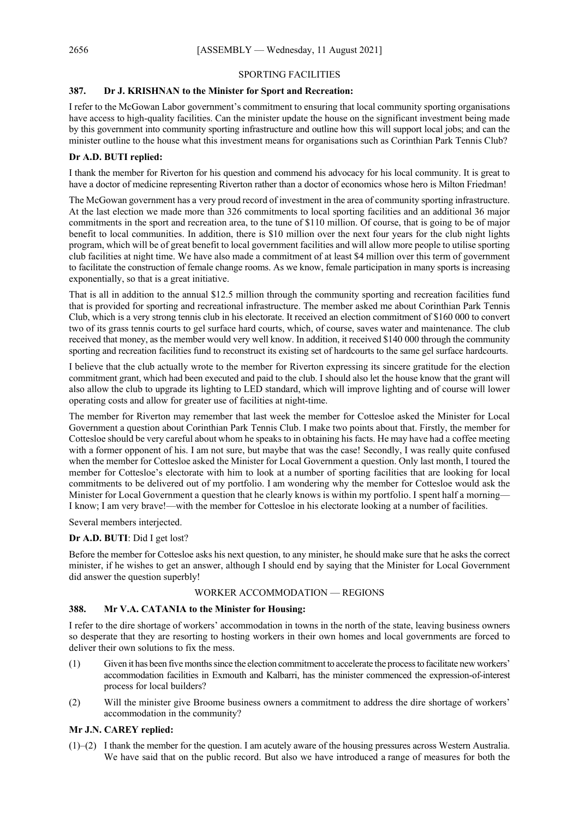#### SPORTING FACILITIES

#### **387. Dr J. KRISHNAN to the Minister for Sport and Recreation:**

I refer to the McGowan Labor government's commitment to ensuring that local community sporting organisations have access to high-quality facilities. Can the minister update the house on the significant investment being made by this government into community sporting infrastructure and outline how this will support local jobs; and can the minister outline to the house what this investment means for organisations such as Corinthian Park Tennis Club?

#### **Dr A.D. BUTI replied:**

I thank the member for Riverton for his question and commend his advocacy for his local community. It is great to have a doctor of medicine representing Riverton rather than a doctor of economics whose hero is Milton Friedman!

The McGowan government has a very proud record of investment in the area of community sporting infrastructure. At the last election we made more than 326 commitments to local sporting facilities and an additional 36 major commitments in the sport and recreation area, to the tune of \$110 million. Of course, that is going to be of major benefit to local communities. In addition, there is \$10 million over the next four years for the club night lights program, which will be of great benefit to local government facilities and will allow more people to utilise sporting club facilities at night time. We have also made a commitment of at least \$4 million over this term of government to facilitate the construction of female change rooms. As we know, female participation in many sports is increasing exponentially, so that is a great initiative.

That is all in addition to the annual \$12.5 million through the community sporting and recreation facilities fund that is provided for sporting and recreational infrastructure. The member asked me about Corinthian Park Tennis Club, which is a very strong tennis club in his electorate. It received an election commitment of \$160 000 to convert two of its grass tennis courts to gel surface hard courts, which, of course, saves water and maintenance. The club received that money, as the member would very well know. In addition, it received \$140 000 through the community sporting and recreation facilities fund to reconstruct its existing set of hardcourts to the same gel surface hardcourts.

I believe that the club actually wrote to the member for Riverton expressing its sincere gratitude for the election commitment grant, which had been executed and paid to the club. I should also let the house know that the grant will also allow the club to upgrade its lighting to LED standard, which will improve lighting and of course will lower operating costs and allow for greater use of facilities at night-time.

The member for Riverton may remember that last week the member for Cottesloe asked the Minister for Local Government a question about Corinthian Park Tennis Club. I make two points about that. Firstly, the member for Cottesloe should be very careful about whom he speaks to in obtaining his facts. He may have had a coffee meeting with a former opponent of his. I am not sure, but maybe that was the case! Secondly, I was really quite confused when the member for Cottesloe asked the Minister for Local Government a question. Only last month, I toured the member for Cottesloe's electorate with him to look at a number of sporting facilities that are looking for local commitments to be delivered out of my portfolio. I am wondering why the member for Cottesloe would ask the Minister for Local Government a question that he clearly knows is within my portfolio. I spent half a morning— I know; I am very brave!—with the member for Cottesloe in his electorate looking at a number of facilities.

Several members interjected.

#### **Dr A.D. BUTI**: Did I get lost?

Before the member for Cottesloe asks his next question, to any minister, he should make sure that he asks the correct minister, if he wishes to get an answer, although I should end by saying that the Minister for Local Government did answer the question superbly!

#### WORKER ACCOMMODATION — REGIONS

#### **388. Mr V.A. CATANIA to the Minister for Housing:**

I refer to the dire shortage of workers' accommodation in towns in the north of the state, leaving business owners so desperate that they are resorting to hosting workers in their own homes and local governments are forced to deliver their own solutions to fix the mess.

- (1) Given it has been fivemonths since the election commitment to accelerate the process to facilitate new workers' accommodation facilities in Exmouth and Kalbarri, has the minister commenced the expression-of-interest process for local builders?
- (2) Will the minister give Broome business owners a commitment to address the dire shortage of workers' accommodation in the community?

#### **Mr J.N. CAREY replied:**

(1)–(2) I thank the member for the question. I am acutely aware of the housing pressures across Western Australia. We have said that on the public record. But also we have introduced a range of measures for both the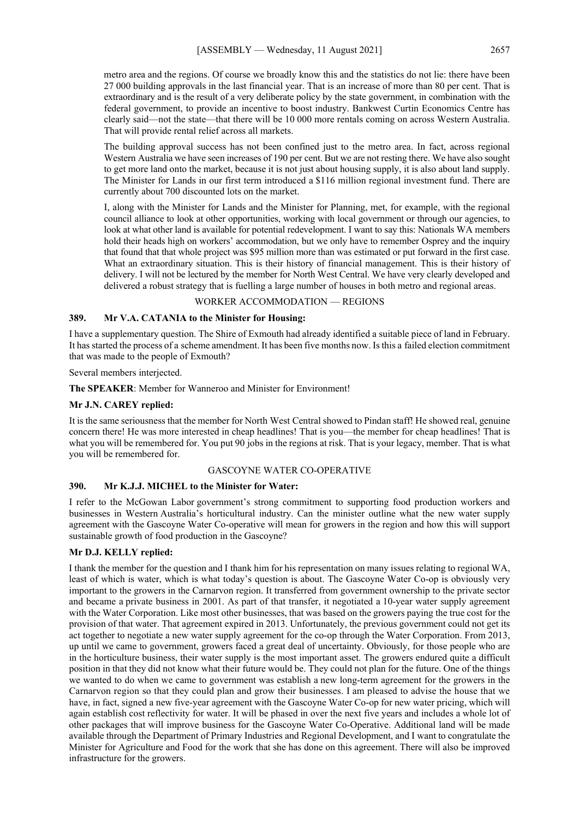metro area and the regions. Of course we broadly know this and the statistics do not lie: there have been 27 000 building approvals in the last financial year. That is an increase of more than 80 per cent. That is extraordinary and is the result of a very deliberate policy by the state government, in combination with the federal government, to provide an incentive to boost industry. Bankwest Curtin Economics Centre has clearly said—not the state—that there will be 10 000 more rentals coming on across Western Australia. That will provide rental relief across all markets.

The building approval success has not been confined just to the metro area. In fact, across regional Western Australia we have seen increases of 190 per cent. But we are not resting there. We have also sought to get more land onto the market, because it is not just about housing supply, it is also about land supply. The Minister for Lands in our first term introduced a \$116 million regional investment fund. There are currently about 700 discounted lots on the market.

I, along with the Minister for Lands and the Minister for Planning, met, for example, with the regional council alliance to look at other opportunities, working with local government or through our agencies, to look at what other land is available for potential redevelopment. I want to say this: Nationals WA members hold their heads high on workers' accommodation, but we only have to remember Osprey and the inquiry that found that that whole project was \$95 million more than was estimated or put forward in the first case. What an extraordinary situation. This is their history of financial management. This is their history of delivery. I will not be lectured by the member for North West Central. We have very clearly developed and delivered a robust strategy that is fuelling a large number of houses in both metro and regional areas.

#### WORKER ACCOMMODATION — REGIONS

#### **389. Mr V.A. CATANIA to the Minister for Housing:**

I have a supplementary question. The Shire of Exmouth had already identified a suitable piece of land in February. It has started the process of a scheme amendment. It has been five months now. Is this a failed election commitment that was made to the people of Exmouth?

Several members interjected.

**The SPEAKER**: Member for Wanneroo and Minister for Environment!

#### **Mr J.N. CAREY replied:**

It is the same seriousness that the member for North West Central showed to Pindan staff! He showed real, genuine concern there! He was more interested in cheap headlines! That is you—the member for cheap headlines! That is what you will be remembered for. You put 90 jobs in the regions at risk. That is your legacy, member. That is what you will be remembered for.

#### GASCOYNE WATER CO-OPERATIVE

#### **390. Mr K.J.J. MICHEL to the Minister for Water:**

I refer to the McGowan Labor government's strong commitment to supporting food production workers and businesses in Western Australia's horticultural industry. Can the minister outline what the new water supply agreement with the Gascoyne Water Co-operative will mean for growers in the region and how this will support sustainable growth of food production in the Gascoyne?

#### **Mr D.J. KELLY replied:**

I thank the member for the question and I thank him for his representation on many issues relating to regional WA, least of which is water, which is what today's question is about. The Gascoyne Water Co-op is obviously very important to the growers in the Carnarvon region. It transferred from government ownership to the private sector and became a private business in 2001. As part of that transfer, it negotiated a 10-year water supply agreement with the Water Corporation. Like most other businesses, that was based on the growers paying the true cost for the provision of that water. That agreement expired in 2013. Unfortunately, the previous government could not get its act together to negotiate a new water supply agreement for the co-op through the Water Corporation. From 2013, up until we came to government, growers faced a great deal of uncertainty. Obviously, for those people who are in the horticulture business, their water supply is the most important asset. The growers endured quite a difficult position in that they did not know what their future would be. They could not plan for the future. One of the things we wanted to do when we came to government was establish a new long-term agreement for the growers in the Carnarvon region so that they could plan and grow their businesses. I am pleased to advise the house that we have, in fact, signed a new five-year agreement with the Gascoyne Water Co-op for new water pricing, which will again establish cost reflectivity for water. It will be phased in over the next five years and includes a whole lot of other packages that will improve business for the Gascoyne Water Co-Operative. Additional land will be made available through the Department of Primary Industries and Regional Development, and I want to congratulate the Minister for Agriculture and Food for the work that she has done on this agreement. There will also be improved infrastructure for the growers.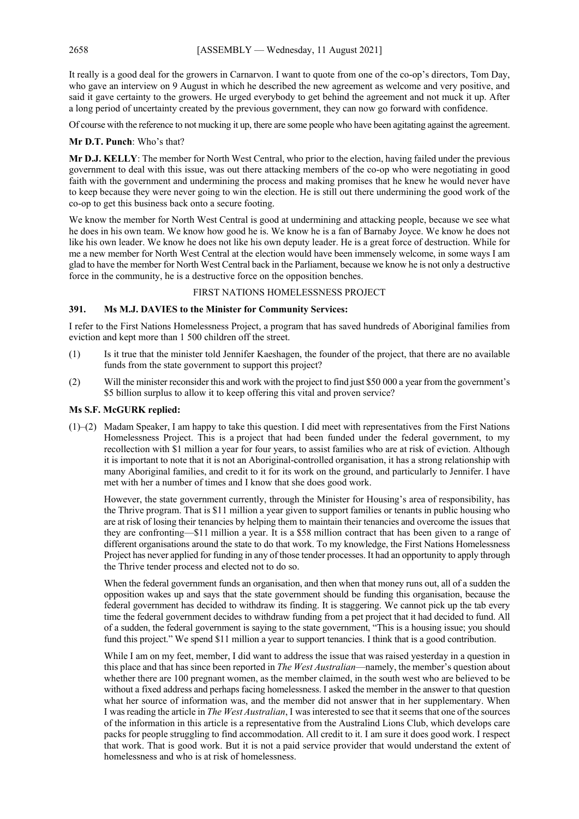It really is a good deal for the growers in Carnarvon. I want to quote from one of the co-op's directors, Tom Day, who gave an interview on 9 August in which he described the new agreement as welcome and very positive, and said it gave certainty to the growers. He urged everybody to get behind the agreement and not muck it up. After a long period of uncertainty created by the previous government, they can now go forward with confidence.

Of course with the reference to not mucking it up, there are some people who have been agitating against the agreement.

#### **Mr D.T. Punch**: Who's that?

**Mr D.J. KELLY**: The member for North West Central, who prior to the election, having failed under the previous government to deal with this issue, was out there attacking members of the co-op who were negotiating in good faith with the government and undermining the process and making promises that he knew he would never have to keep because they were never going to win the election. He is still out there undermining the good work of the co-op to get this business back onto a secure footing.

We know the member for North West Central is good at undermining and attacking people, because we see what he does in his own team. We know how good he is. We know he is a fan of Barnaby Joyce. We know he does not like his own leader. We know he does not like his own deputy leader. He is a great force of destruction. While for me a new member for North West Central at the election would have been immensely welcome, in some ways I am glad to have the member for North West Central back in the Parliament, because we know he is not only a destructive force in the community, he is a destructive force on the opposition benches.

#### FIRST NATIONS HOMELESSNESS PROJECT

#### **391. Ms M.J. DAVIES to the Minister for Community Services:**

I refer to the First Nations Homelessness Project, a program that has saved hundreds of Aboriginal families from eviction and kept more than 1 500 children off the street.

- (1) Is it true that the minister told Jennifer Kaeshagen, the founder of the project, that there are no available funds from the state government to support this project?
- (2) Will the minister reconsider this and work with the project to find just \$50 000 a year from the government's \$5 billion surplus to allow it to keep offering this vital and proven service?

#### **Ms S.F. McGURK replied:**

(1)–(2) Madam Speaker, I am happy to take this question. I did meet with representatives from the First Nations Homelessness Project. This is a project that had been funded under the federal government, to my recollection with \$1 million a year for four years, to assist families who are at risk of eviction. Although it is important to note that it is not an Aboriginal-controlled organisation, it has a strong relationship with many Aboriginal families, and credit to it for its work on the ground, and particularly to Jennifer. I have met with her a number of times and I know that she does good work.

However, the state government currently, through the Minister for Housing's area of responsibility, has the Thrive program. That is \$11 million a year given to support families or tenants in public housing who are at risk of losing their tenancies by helping them to maintain their tenancies and overcome the issues that they are confronting—\$11 million a year. It is a \$58 million contract that has been given to a range of different organisations around the state to do that work. To my knowledge, the First Nations Homelessness Project has never applied for funding in any of those tender processes. It had an opportunity to apply through the Thrive tender process and elected not to do so.

When the federal government funds an organisation, and then when that money runs out, all of a sudden the opposition wakes up and says that the state government should be funding this organisation, because the federal government has decided to withdraw its finding. It is staggering. We cannot pick up the tab every time the federal government decides to withdraw funding from a pet project that it had decided to fund. All of a sudden, the federal government is saying to the state government, "This is a housing issue; you should fund this project." We spend \$11 million a year to support tenancies. I think that is a good contribution.

While I am on my feet, member, I did want to address the issue that was raised yesterday in a question in this place and that has since been reported in *The West Australian*—namely, the member's question about whether there are 100 pregnant women, as the member claimed, in the south west who are believed to be without a fixed address and perhaps facing homelessness. I asked the member in the answer to that question what her source of information was, and the member did not answer that in her supplementary. When I was reading the article in *The West Australian*, I was interested to see that it seems that one of the sources of the information in this article is a representative from the Australind Lions Club, which develops care packs for people struggling to find accommodation. All credit to it. I am sure it does good work. I respect that work. That is good work. But it is not a paid service provider that would understand the extent of homelessness and who is at risk of homelessness.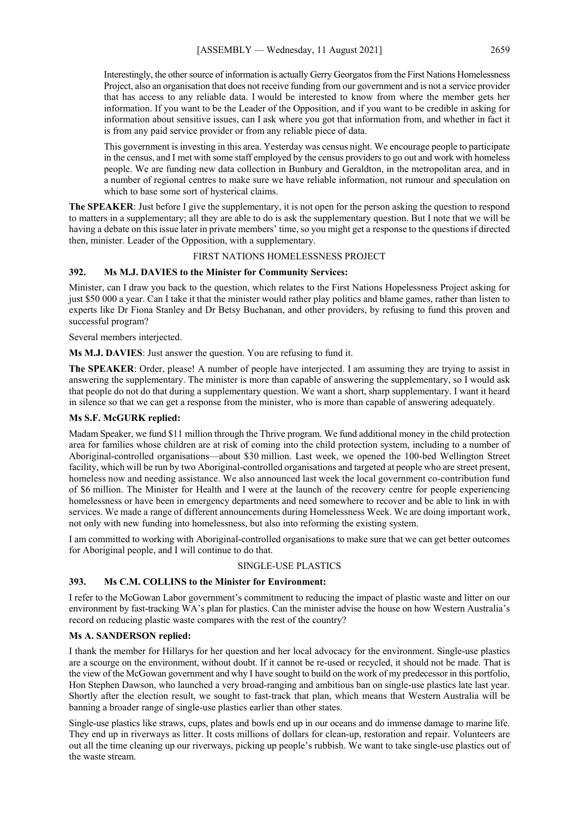Interestingly, the other source of information is actually Gerry Georgatos from the First Nations Homelessness Project, also an organisation that does not receive funding from our government and is not a service provider that has access to any reliable data. I would be interested to know from where the member gets her information. If you want to be the Leader of the Opposition, and if you want to be credible in asking for information about sensitive issues, can I ask where you got that information from, and whether in fact it is from any paid service provider or from any reliable piece of data.

This government is investing in this area. Yesterday was census night. We encourage people to participate in the census, and I met with some staff employed by the census providers to go out and work with homeless people. We are funding new data collection in Bunbury and Geraldton, in the metropolitan area, and in a number of regional centres to make sure we have reliable information, not rumour and speculation on which to base some sort of hysterical claims.

**The SPEAKER**: Just before I give the supplementary, it is not open for the person asking the question to respond to matters in a supplementary; all they are able to do is ask the supplementary question. But I note that we will be having a debate on this issue later in private members' time, so you might get a response to the questions if directed then, minister. Leader of the Opposition, with a supplementary.

#### FIRST NATIONS HOMELESSNESS PROJECT

#### **392. Ms M.J. DAVIES to the Minister for Community Services:**

Minister, can I draw you back to the question, which relates to the First Nations Hopelessness Project asking for just \$50 000 a year. Can I take it that the minister would rather play politics and blame games, rather than listen to experts like Dr Fiona Stanley and Dr Betsy Buchanan, and other providers, by refusing to fund this proven and successful program?

Several members interjected.

**Ms M.J. DAVIES**: Just answer the question. You are refusing to fund it.

**The SPEAKER**: Order, please! A number of people have interjected. I am assuming they are trying to assist in answering the supplementary. The minister is more than capable of answering the supplementary, so I would ask that people do not do that during a supplementary question. We want a short, sharp supplementary. I want it heard in silence so that we can get a response from the minister, who is more than capable of answering adequately.

#### **Ms S.F. McGURK replied:**

Madam Speaker, we fund \$11 million through the Thrive program. We fund additional money in the child protection area for families whose children are at risk of coming into the child protection system, including to a number of Aboriginal-controlled organisations—about \$30 million. Last week, we opened the 100-bed Wellington Street facility, which will be run by two Aboriginal-controlled organisations and targeted at people who are street present, homeless now and needing assistance. We also announced last week the local government co-contribution fund of \$6 million. The Minister for Health and I were at the launch of the recovery centre for people experiencing homelessness or have been in emergency departments and need somewhere to recover and be able to link in with services. We made a range of different announcements during Homelessness Week. We are doing important work, not only with new funding into homelessness, but also into reforming the existing system.

I am committed to working with Aboriginal-controlled organisations to make sure that we can get better outcomes for Aboriginal people, and I will continue to do that.

#### SINGLE-USE PLASTICS

#### **393. Ms C.M. COLLINS to the Minister for Environment:**

I refer to the McGowan Labor government's commitment to reducing the impact of plastic waste and litter on our environment by fast-tracking WA's plan for plastics. Can the minister advise the house on how Western Australia's record on reducing plastic waste compares with the rest of the country?

#### **Ms A. SANDERSON replied:**

I thank the member for Hillarys for her question and her local advocacy for the environment. Single-use plastics are a scourge on the environment, without doubt. If it cannot be re-used or recycled, it should not be made. That is the view of the McGowan government and why I have sought to build on the work of my predecessor in this portfolio, Hon Stephen Dawson, who launched a very broad-ranging and ambitious ban on single-use plastics late last year. Shortly after the election result, we sought to fast-track that plan, which means that Western Australia will be banning a broader range of single-use plastics earlier than other states.

Single-use plastics like straws, cups, plates and bowls end up in our oceans and do immense damage to marine life. They end up in riverways as litter. It costs millions of dollars for clean-up, restoration and repair. Volunteers are out all the time cleaning up our riverways, picking up people's rubbish. We want to take single-use plastics out of the waste stream.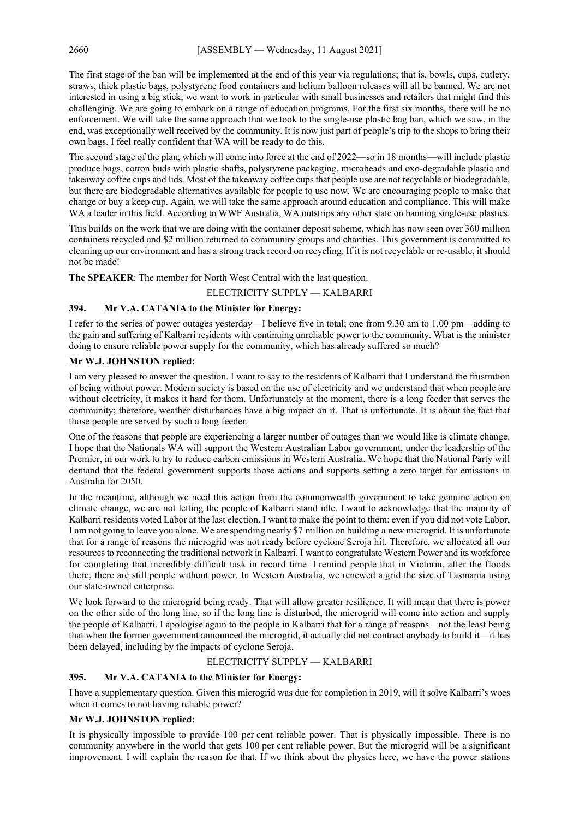The first stage of the ban will be implemented at the end of this year via regulations; that is, bowls, cups, cutlery, straws, thick plastic bags, polystyrene food containers and helium balloon releases will all be banned. We are not interested in using a big stick; we want to work in particular with small businesses and retailers that might find this challenging. We are going to embark on a range of education programs. For the first six months, there will be no enforcement. We will take the same approach that we took to the single-use plastic bag ban, which we saw, in the end, was exceptionally well received by the community. It is now just part of people's trip to the shops to bring their own bags. I feel really confident that WA will be ready to do this.

The second stage of the plan, which will come into force at the end of 2022—so in 18 months—will include plastic produce bags, cotton buds with plastic shafts, polystyrene packaging, microbeads and oxo-degradable plastic and takeaway coffee cups and lids. Most of the takeaway coffee cups that people use are not recyclable or biodegradable, but there are biodegradable alternatives available for people to use now. We are encouraging people to make that change or buy a keep cup. Again, we will take the same approach around education and compliance. This will make WA a leader in this field. According to WWF Australia, WA outstrips any other state on banning single-use plastics.

This builds on the work that we are doing with the container deposit scheme, which has now seen over 360 million containers recycled and \$2 million returned to community groups and charities. This government is committed to cleaning up our environment and has a strong track record on recycling. If it is not recyclable or re-usable, it should not be made!

**The SPEAKER**: The member for North West Central with the last question.

#### ELECTRICITY SUPPLY — KALBARRI

#### **394. Mr V.A. CATANIA to the Minister for Energy:**

I refer to the series of power outages yesterday—I believe five in total; one from 9.30 am to 1.00 pm—adding to the pain and suffering of Kalbarri residents with continuing unreliable power to the community. What is the minister doing to ensure reliable power supply for the community, which has already suffered so much?

#### **Mr W.J. JOHNSTON replied:**

I am very pleased to answer the question. I want to say to the residents of Kalbarri that I understand the frustration of being without power. Modern society is based on the use of electricity and we understand that when people are without electricity, it makes it hard for them. Unfortunately at the moment, there is a long feeder that serves the community; therefore, weather disturbances have a big impact on it. That is unfortunate. It is about the fact that those people are served by such a long feeder.

One of the reasons that people are experiencing a larger number of outages than we would like is climate change. I hope that the Nationals WA will support the Western Australian Labor government, under the leadership of the Premier, in our work to try to reduce carbon emissions in Western Australia. We hope that the National Party will demand that the federal government supports those actions and supports setting a zero target for emissions in Australia for 2050.

In the meantime, although we need this action from the commonwealth government to take genuine action on climate change, we are not letting the people of Kalbarri stand idle. I want to acknowledge that the majority of Kalbarri residents voted Labor at the last election. I want to make the point to them: even if you did not vote Labor, I am not going to leave you alone. We are spending nearly \$7 million on building a new microgrid. It is unfortunate that for a range of reasons the microgrid was not ready before cyclone Seroja hit. Therefore, we allocated all our resources to reconnecting the traditional network in Kalbarri. I want to congratulate Western Power and its workforce for completing that incredibly difficult task in record time. I remind people that in Victoria, after the floods there, there are still people without power. In Western Australia, we renewed a grid the size of Tasmania using our state-owned enterprise.

We look forward to the microgrid being ready. That will allow greater resilience. It will mean that there is power on the other side of the long line, so if the long line is disturbed, the microgrid will come into action and supply the people of Kalbarri. I apologise again to the people in Kalbarri that for a range of reasons—not the least being that when the former government announced the microgrid, it actually did not contract anybody to build it—it has been delayed, including by the impacts of cyclone Seroja.

#### ELECTRICITY SUPPLY — KALBARRI

#### **395. Mr V.A. CATANIA to the Minister for Energy:**

I have a supplementary question. Given this microgrid was due for completion in 2019, will it solve Kalbarri's woes when it comes to not having reliable power?

#### **Mr W.J. JOHNSTON replied:**

It is physically impossible to provide 100 per cent reliable power. That is physically impossible. There is no community anywhere in the world that gets 100 per cent reliable power. But the microgrid will be a significant improvement. I will explain the reason for that. If we think about the physics here, we have the power stations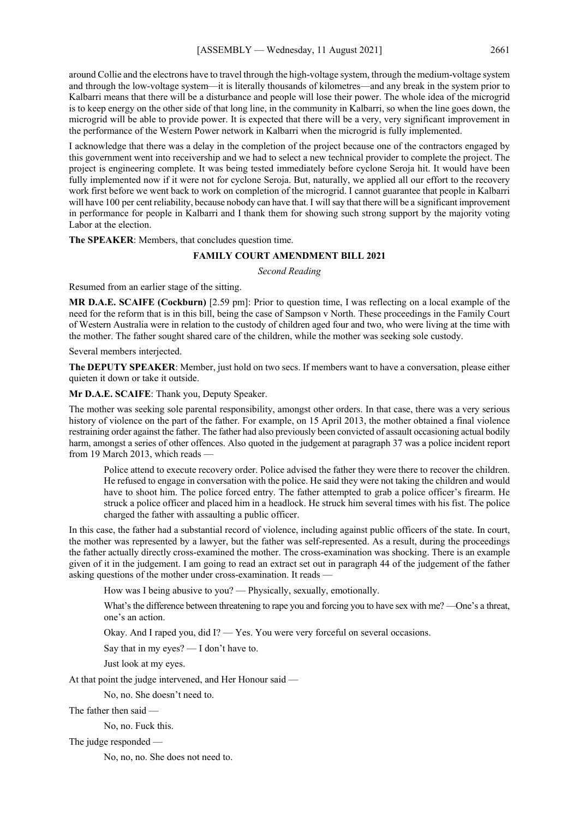around Collie and the electrons have to travel through the high-voltage system, through the medium-voltage system and through the low-voltage system—it is literally thousands of kilometres—and any break in the system prior to Kalbarri means that there will be a disturbance and people will lose their power. The whole idea of the microgrid is to keep energy on the other side of that long line, in the community in Kalbarri, so when the line goes down, the microgrid will be able to provide power. It is expected that there will be a very, very significant improvement in the performance of the Western Power network in Kalbarri when the microgrid is fully implemented.

I acknowledge that there was a delay in the completion of the project because one of the contractors engaged by this government went into receivership and we had to select a new technical provider to complete the project. The project is engineering complete. It was being tested immediately before cyclone Seroja hit. It would have been fully implemented now if it were not for cyclone Seroja. But, naturally, we applied all our effort to the recovery work first before we went back to work on completion of the microgrid. I cannot guarantee that people in Kalbarri will have 100 per cent reliability, because nobody can have that. I will say that there will be a significant improvement in performance for people in Kalbarri and I thank them for showing such strong support by the majority voting Labor at the election.

**The SPEAKER**: Members, that concludes question time.

#### **FAMILY COURT AMENDMENT BILL 2021**

*Second Reading*

Resumed from an earlier stage of the sitting.

**MR D.A.E. SCAIFE (Cockburn)** [2.59 pm]: Prior to question time, I was reflecting on a local example of the need for the reform that is in this bill, being the case of Sampson v North. These proceedings in the Family Court of Western Australia were in relation to the custody of children aged four and two, who were living at the time with the mother. The father sought shared care of the children, while the mother was seeking sole custody.

Several members interjected.

**The DEPUTY SPEAKER**: Member, just hold on two secs. If members want to have a conversation, please either quieten it down or take it outside.

**Mr D.A.E. SCAIFE**: Thank you, Deputy Speaker.

The mother was seeking sole parental responsibility, amongst other orders. In that case, there was a very serious history of violence on the part of the father. For example, on 15 April 2013, the mother obtained a final violence restraining order against the father. The father had also previously been convicted of assault occasioning actual bodily harm, amongst a series of other offences. Also quoted in the judgement at paragraph 37 was a police incident report from 19 March 2013, which reads —

Police attend to execute recovery order. Police advised the father they were there to recover the children. He refused to engage in conversation with the police. He said they were not taking the children and would have to shoot him. The police forced entry. The father attempted to grab a police officer's firearm. He struck a police officer and placed him in a headlock. He struck him several times with his fist. The police charged the father with assaulting a public officer.

In this case, the father had a substantial record of violence, including against public officers of the state. In court, the mother was represented by a lawyer, but the father was self-represented. As a result, during the proceedings the father actually directly cross-examined the mother. The cross-examination was shocking. There is an example given of it in the judgement. I am going to read an extract set out in paragraph 44 of the judgement of the father asking questions of the mother under cross-examination. It reads -

How was I being abusive to you? — Physically, sexually, emotionally.

What's the difference between threatening to rape you and forcing you to have sex with me? —One's a threat, one's an action.

Okay. And I raped you, did I? — Yes. You were very forceful on several occasions.

Say that in my eyes? — I don't have to.

Just look at my eyes.

At that point the judge intervened, and Her Honour said —

No, no. She doesn't need to.

The father then said —

No, no. Fuck this.

The judge responded —

No, no, no. She does not need to.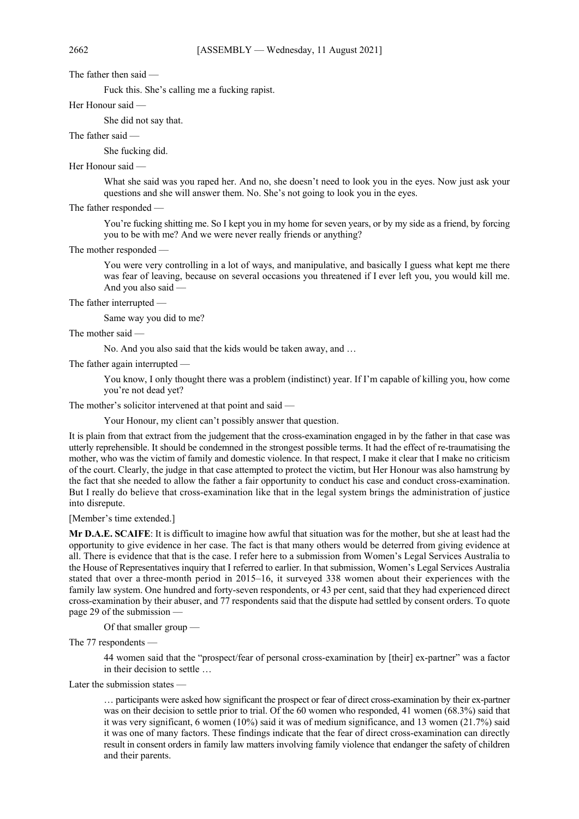The father then said —

Fuck this. She's calling me a fucking rapist.

Her Honour said —

She did not say that.

#### The father said —

She fucking did.

#### Her Honour said —

What she said was you raped her. And no, she doesn't need to look you in the eyes. Now just ask your questions and she will answer them. No. She's not going to look you in the eyes.

The father responded —

You're fucking shitting me. So I kept you in my home for seven years, or by my side as a friend, by forcing you to be with me? And we were never really friends or anything?

The mother responded

You were very controlling in a lot of ways, and manipulative, and basically I guess what kept me there was fear of leaving, because on several occasions you threatened if I ever left you, you would kill me. And you also said —

The father interrupted —

Same way you did to me?

The mother said —

No. And you also said that the kids would be taken away, and …

The father again interrupted —

You know, I only thought there was a problem (indistinct) year. If I'm capable of killing you, how come you're not dead yet?

The mother's solicitor intervened at that point and said —

Your Honour, my client can't possibly answer that question.

It is plain from that extract from the judgement that the cross-examination engaged in by the father in that case was utterly reprehensible. It should be condemned in the strongest possible terms. It had the effect of re-traumatising the mother, who was the victim of family and domestic violence. In that respect, I make it clear that I make no criticism of the court. Clearly, the judge in that case attempted to protect the victim, but Her Honour was also hamstrung by the fact that she needed to allow the father a fair opportunity to conduct his case and conduct cross-examination. But I really do believe that cross-examination like that in the legal system brings the administration of justice into disrepute.

[Member's time extended.]

**Mr D.A.E. SCAIFE**: It is difficult to imagine how awful that situation was for the mother, but she at least had the opportunity to give evidence in her case. The fact is that many others would be deterred from giving evidence at all. There is evidence that that is the case. I refer here to a submission from Women's Legal Services Australia to the House of Representatives inquiry that I referred to earlier. In that submission, Women's Legal Services Australia stated that over a three-month period in 2015–16, it surveyed 338 women about their experiences with the family law system. One hundred and forty-seven respondents, or 43 per cent, said that they had experienced direct cross-examination by their abuser, and 77 respondents said that the dispute had settled by consent orders. To quote page 29 of the submission —

Of that smaller group —

The 77 respondents —

44 women said that the "prospect/fear of personal cross-examination by [their] ex-partner" was a factor in their decision to settle …

Later the submission states —

… participants were asked how significant the prospect or fear of direct cross-examination by their ex-partner was on their decision to settle prior to trial. Of the 60 women who responded, 41 women (68.3%) said that it was very significant, 6 women (10%) said it was of medium significance, and 13 women (21.7%) said it was one of many factors. These findings indicate that the fear of direct cross-examination can directly result in consent orders in family law matters involving family violence that endanger the safety of children and their parents.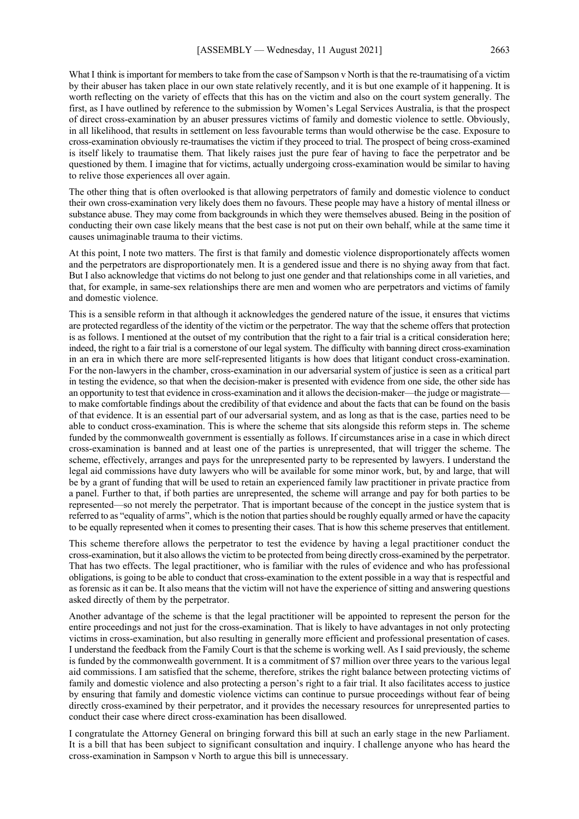What I think is important for members to take from the case of Sampson v North is that the re-traumatising of a victim by their abuser has taken place in our own state relatively recently, and it is but one example of it happening. It is worth reflecting on the variety of effects that this has on the victim and also on the court system generally. The first, as I have outlined by reference to the submission by Women's Legal Services Australia, is that the prospect of direct cross-examination by an abuser pressures victims of family and domestic violence to settle. Obviously, in all likelihood, that results in settlement on less favourable terms than would otherwise be the case. Exposure to cross-examination obviously re-traumatises the victim if they proceed to trial. The prospect of being cross-examined is itself likely to traumatise them. That likely raises just the pure fear of having to face the perpetrator and be questioned by them. I imagine that for victims, actually undergoing cross-examination would be similar to having to relive those experiences all over again.

The other thing that is often overlooked is that allowing perpetrators of family and domestic violence to conduct their own cross-examination very likely does them no favours. These people may have a history of mental illness or substance abuse. They may come from backgrounds in which they were themselves abused. Being in the position of conducting their own case likely means that the best case is not put on their own behalf, while at the same time it causes unimaginable trauma to their victims.

At this point, I note two matters. The first is that family and domestic violence disproportionately affects women and the perpetrators are disproportionately men. It is a gendered issue and there is no shying away from that fact. But I also acknowledge that victims do not belong to just one gender and that relationships come in all varieties, and that, for example, in same-sex relationships there are men and women who are perpetrators and victims of family and domestic violence.

This is a sensible reform in that although it acknowledges the gendered nature of the issue, it ensures that victims are protected regardless of the identity of the victim or the perpetrator. The way that the scheme offers that protection is as follows. I mentioned at the outset of my contribution that the right to a fair trial is a critical consideration here; indeed, the right to a fair trial is a cornerstone of our legal system. The difficulty with banning direct cross-examination in an era in which there are more self-represented litigants is how does that litigant conduct cross-examination. For the non-lawyers in the chamber, cross-examination in our adversarial system of justice is seen as a critical part in testing the evidence, so that when the decision-maker is presented with evidence from one side, the other side has an opportunity to test that evidence in cross-examination and it allows the decision-maker—the judge or magistrate to make comfortable findings about the credibility of that evidence and about the facts that can be found on the basis of that evidence. It is an essential part of our adversarial system, and as long as that is the case, parties need to be able to conduct cross-examination. This is where the scheme that sits alongside this reform steps in. The scheme funded by the commonwealth government is essentially as follows. If circumstances arise in a case in which direct cross-examination is banned and at least one of the parties is unrepresented, that will trigger the scheme. The scheme, effectively, arranges and pays for the unrepresented party to be represented by lawyers. I understand the legal aid commissions have duty lawyers who will be available for some minor work, but, by and large, that will be by a grant of funding that will be used to retain an experienced family law practitioner in private practice from a panel. Further to that, if both parties are unrepresented, the scheme will arrange and pay for both parties to be represented—so not merely the perpetrator. That is important because of the concept in the justice system that is referred to as "equality of arms", which is the notion that parties should be roughly equally armed or have the capacity to be equally represented when it comes to presenting their cases. That is how this scheme preserves that entitlement.

This scheme therefore allows the perpetrator to test the evidence by having a legal practitioner conduct the cross-examination, but it also allows the victim to be protected from being directly cross-examined by the perpetrator. That has two effects. The legal practitioner, who is familiar with the rules of evidence and who has professional obligations, is going to be able to conduct that cross-examination to the extent possible in a way that is respectful and as forensic as it can be. It also means that the victim will not have the experience of sitting and answering questions asked directly of them by the perpetrator.

Another advantage of the scheme is that the legal practitioner will be appointed to represent the person for the entire proceedings and not just for the cross-examination. That is likely to have advantages in not only protecting victims in cross-examination, but also resulting in generally more efficient and professional presentation of cases. I understand the feedback from the Family Court is that the scheme is working well. As I said previously, the scheme is funded by the commonwealth government. It is a commitment of \$7 million over three years to the various legal aid commissions. I am satisfied that the scheme, therefore, strikes the right balance between protecting victims of family and domestic violence and also protecting a person's right to a fair trial. It also facilitates access to justice by ensuring that family and domestic violence victims can continue to pursue proceedings without fear of being directly cross-examined by their perpetrator, and it provides the necessary resources for unrepresented parties to conduct their case where direct cross-examination has been disallowed.

I congratulate the Attorney General on bringing forward this bill at such an early stage in the new Parliament. It is a bill that has been subject to significant consultation and inquiry. I challenge anyone who has heard the cross-examination in Sampson v North to argue this bill is unnecessary.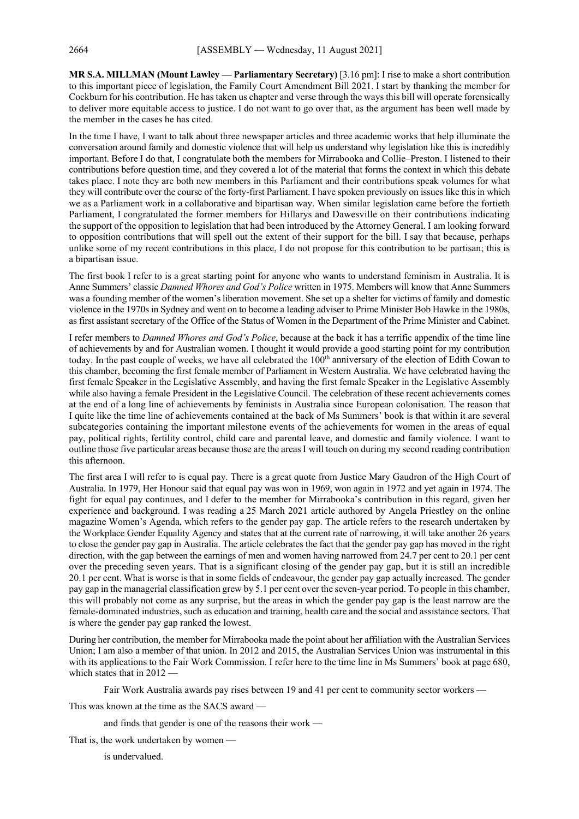**MR S.A. MILLMAN (Mount Lawley — Parliamentary Secretary)** [3.16 pm]: I rise to make a short contribution to this important piece of legislation, the Family Court Amendment Bill 2021. I start by thanking the member for Cockburn for his contribution. He has taken us chapter and verse through the ways this bill will operate forensically to deliver more equitable access to justice. I do not want to go over that, as the argument has been well made by the member in the cases he has cited.

In the time I have, I want to talk about three newspaper articles and three academic works that help illuminate the conversation around family and domestic violence that will help us understand why legislation like this is incredibly important. Before I do that, I congratulate both the members for Mirrabooka and Collie–Preston. I listened to their contributions before question time, and they covered a lot of the material that forms the context in which this debate takes place. I note they are both new members in this Parliament and their contributions speak volumes for what they will contribute over the course of the forty-first Parliament. I have spoken previously on issues like this in which we as a Parliament work in a collaborative and bipartisan way. When similar legislation came before the fortieth Parliament, I congratulated the former members for Hillarys and Dawesville on their contributions indicating the support of the opposition to legislation that had been introduced by the Attorney General. I am looking forward to opposition contributions that will spell out the extent of their support for the bill. I say that because, perhaps unlike some of my recent contributions in this place, I do not propose for this contribution to be partisan; this is a bipartisan issue.

The first book I refer to is a great starting point for anyone who wants to understand feminism in Australia. It is Anne Summers' classic *Damned Whores and God's Police* written in 1975. Members will know that Anne Summers was a founding member of the women's liberation movement. She set up a shelter for victims of family and domestic violence in the 1970s in Sydney and went on to become a leading adviser to Prime Minister Bob Hawke in the 1980s, as first assistant secretary of the Office of the Status of Women in the Department of the Prime Minister and Cabinet.

I refer members to *Damned Whores and God's Police*, because at the back it has a terrific appendix of the time line of achievements by and for Australian women. I thought it would provide a good starting point for my contribution today. In the past couple of weeks, we have all celebrated the 100<sup>th</sup> anniversary of the election of Edith Cowan to this chamber, becoming the first female member of Parliament in Western Australia. We have celebrated having the first female Speaker in the Legislative Assembly, and having the first female Speaker in the Legislative Assembly while also having a female President in the Legislative Council. The celebration of these recent achievements comes at the end of a long line of achievements by feminists in Australia since European colonisation. The reason that I quite like the time line of achievements contained at the back of Ms Summers' book is that within it are several subcategories containing the important milestone events of the achievements for women in the areas of equal pay, political rights, fertility control, child care and parental leave, and domestic and family violence. I want to outline those five particular areas because those are the areas I will touch on during my second reading contribution this afternoon.

The first area I will refer to is equal pay. There is a great quote from Justice Mary Gaudron of the High Court of Australia. In 1979, Her Honour said that equal pay was won in 1969, won again in 1972 and yet again in 1974. The fight for equal pay continues, and I defer to the member for Mirrabooka's contribution in this regard, given her experience and background. I was reading a 25 March 2021 article authored by Angela Priestley on the online magazine Women's Agenda, which refers to the gender pay gap. The article refers to the research undertaken by the Workplace Gender Equality Agency and states that at the current rate of narrowing, it will take another 26 years to close the gender pay gap in Australia. The article celebrates the fact that the gender pay gap has moved in the right direction, with the gap between the earnings of men and women having narrowed from 24.7 per cent to 20.1 per cent over the preceding seven years. That is a significant closing of the gender pay gap, but it is still an incredible 20.1 per cent. What is worse is that in some fields of endeavour, the gender pay gap actually increased. The gender pay gap in the managerial classification grew by 5.1 per cent over the seven-year period. To people in this chamber, this will probably not come as any surprise, but the areas in which the gender pay gap is the least narrow are the female-dominated industries, such as education and training, health care and the social and assistance sectors. That is where the gender pay gap ranked the lowest.

During her contribution, the member for Mirrabooka made the point about her affiliation with the Australian Services Union; I am also a member of that union. In 2012 and 2015, the Australian Services Union was instrumental in this with its applications to the Fair Work Commission. I refer here to the time line in Ms Summers' book at page 680, which states that in 2012 -

Fair Work Australia awards pay rises between 19 and 41 per cent to community sector workers —

This was known at the time as the SACS award —

and finds that gender is one of the reasons their work —

That is, the work undertaken by women —

is undervalued.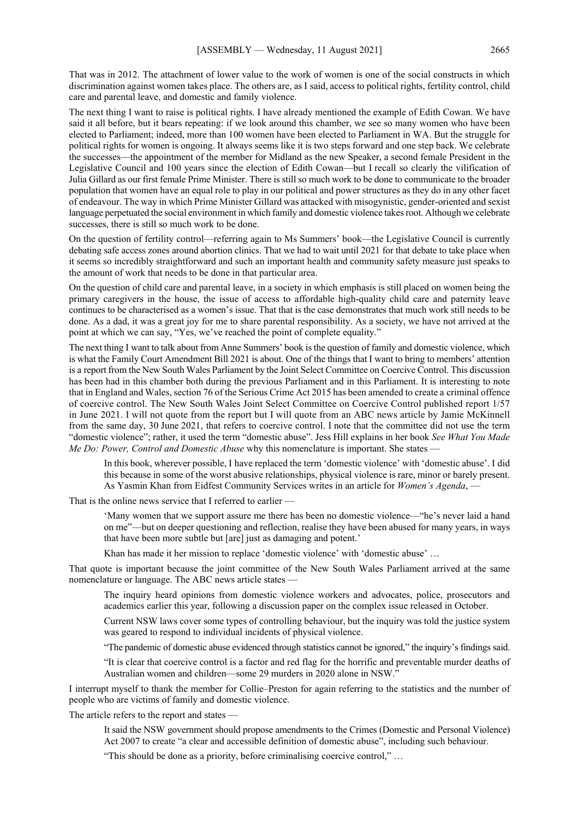That was in 2012. The attachment of lower value to the work of women is one of the social constructs in which discrimination against women takes place. The others are, as I said, access to political rights, fertility control, child care and parental leave, and domestic and family violence.

The next thing I want to raise is political rights. I have already mentioned the example of Edith Cowan. We have said it all before, but it bears repeating: if we look around this chamber, we see so many women who have been elected to Parliament; indeed, more than 100 women have been elected to Parliament in WA. But the struggle for political rights for women is ongoing. It always seems like it is two steps forward and one step back. We celebrate the successes—the appointment of the member for Midland as the new Speaker, a second female President in the Legislative Council and 100 years since the election of Edith Cowan—but I recall so clearly the vilification of Julia Gillard as our first female Prime Minister. There is still so much work to be done to communicate to the broader population that women have an equal role to play in our political and power structures as they do in any other facet of endeavour. The way in which Prime Minister Gillard was attacked with misogynistic, gender-oriented and sexist language perpetuated the social environment in which family and domestic violence takes root. Although we celebrate successes, there is still so much work to be done.

On the question of fertility control—referring again to Ms Summers' book—the Legislative Council is currently debating safe access zones around abortion clinics. That we had to wait until 2021 for that debate to take place when it seems so incredibly straightforward and such an important health and community safety measure just speaks to the amount of work that needs to be done in that particular area.

On the question of child care and parental leave, in a society in which emphasis is still placed on women being the primary caregivers in the house, the issue of access to affordable high-quality child care and paternity leave continues to be characterised as a women's issue. That that is the case demonstrates that much work still needs to be done. As a dad, it was a great joy for me to share parental responsibility. As a society, we have not arrived at the point at which we can say, "Yes, we've reached the point of complete equality."

The next thing I want to talk about from Anne Summers' book is the question of family and domestic violence, which is what the Family Court Amendment Bill 2021 is about. One of the things that I want to bring to members' attention is a report from the New South Wales Parliament by the Joint Select Committee on Coercive Control. This discussion has been had in this chamber both during the previous Parliament and in this Parliament. It is interesting to note that in England and Wales, section 76 of the Serious Crime Act 2015 has been amended to create a criminal offence of coercive control. The New South Wales Joint Select Committee on Coercive Control published report 1/57 in June 2021. I will not quote from the report but I will quote from an ABC news article by Jamie McKinnell from the same day, 30 June 2021, that refers to coercive control. I note that the committee did not use the term "domestic violence"; rather, it used the term "domestic abuse". Jess Hill explains in her book *See What You Made Me Do: Power, Control and Domestic Abuse* why this nomenclature is important. She states —

In this book, wherever possible, I have replaced the term 'domestic violence' with 'domestic abuse'. I did this because in some of the worst abusive relationships, physical violence is rare, minor or barely present. As Yasmin Khan from Eidfest Community Services writes in an article for *Women's Agenda*, —

That is the online news service that I referred to earlier -

'Many women that we support assure me there has been no domestic violence—"he's never laid a hand on me"—but on deeper questioning and reflection, realise they have been abused for many years, in ways that have been more subtle but [are] just as damaging and potent.'

Khan has made it her mission to replace 'domestic violence' with 'domestic abuse' …

That quote is important because the joint committee of the New South Wales Parliament arrived at the same nomenclature or language. The ABC news article states —

The inquiry heard opinions from domestic violence workers and advocates, police, prosecutors and academics earlier this year, following a discussion paper on the complex issue released in October.

Current NSW laws cover some types of controlling behaviour, but the inquiry was told the justice system was geared to respond to individual incidents of physical violence.

"The pandemic of domestic abuse evidenced through statistics cannot be ignored," the inquiry's findings said.

"It is clear that coercive control is a factor and red flag for the horrific and preventable murder deaths of Australian women and children—some 29 murders in 2020 alone in NSW."

I interrupt myself to thank the member for Collie–Preston for again referring to the statistics and the number of people who are victims of family and domestic violence.

The article refers to the report and states -

It said the NSW government should propose amendments to the Crimes (Domestic and Personal Violence) Act 2007 to create "a clear and accessible definition of domestic abuse", including such behaviour.

"This should be done as a priority, before criminalising coercive control," …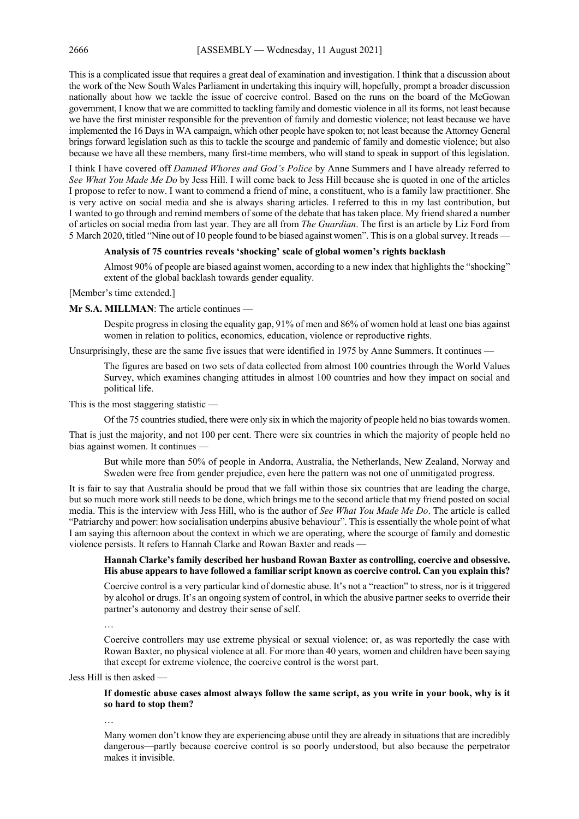This is a complicated issue that requires a great deal of examination and investigation. I think that a discussion about the work of the New South Wales Parliament in undertaking this inquiry will, hopefully, prompt a broader discussion nationally about how we tackle the issue of coercive control. Based on the runs on the board of the McGowan government, I know that we are committed to tackling family and domestic violence in all its forms, not least because we have the first minister responsible for the prevention of family and domestic violence; not least because we have implemented the 16 Days in WA campaign, which other people have spoken to; not least because the Attorney General brings forward legislation such as this to tackle the scourge and pandemic of family and domestic violence; but also because we have all these members, many first-time members, who will stand to speak in support of this legislation.

I think I have covered off *Damned Whores and God's Police* by Anne Summers and I have already referred to *See What You Made Me Do* by Jess Hill. I will come back to Jess Hill because she is quoted in one of the articles I propose to refer to now. I want to commend a friend of mine, a constituent, who is a family law practitioner. She is very active on social media and she is always sharing articles. I referred to this in my last contribution, but I wanted to go through and remind members of some of the debate that has taken place. My friend shared a number of articles on social media from last year. They are all from *The Guardian*. The first is an article by Liz Ford from 5 March 2020, titled "Nine out of 10 people found to be biased against women". This is on a global survey. It reads —

#### **Analysis of 75 countries reveals 'shocking' scale of global women's rights backlash**

Almost 90% of people are biased against women, according to a new index that highlights the "shocking" extent of the global backlash towards gender equality.

[Member's time extended.]

#### **Mr S.A. MILLMAN**: The article continues —

Despite progress in closing the equality gap, 91% of men and 86% of women hold at least one bias against women in relation to politics, economics, education, violence or reproductive rights.

Unsurprisingly, these are the same five issues that were identified in 1975 by Anne Summers. It continues —

The figures are based on two sets of data collected from almost 100 countries through the World Values Survey, which examines changing attitudes in almost 100 countries and how they impact on social and political life.

This is the most staggering statistic —

Of the 75 countries studied, there were only six in which the majority of people held no bias towards women.

That is just the majority, and not 100 per cent. There were six countries in which the majority of people held no bias against women. It continues -

But while more than 50% of people in Andorra, Australia, the Netherlands, New Zealand, Norway and Sweden were free from gender prejudice, even here the pattern was not one of unmitigated progress.

It is fair to say that Australia should be proud that we fall within those six countries that are leading the charge, but so much more work still needs to be done, which brings me to the second article that my friend posted on social media. This is the interview with Jess Hill, who is the author of *See What You Made Me Do*. The article is called "Patriarchy and power: how socialisation underpins abusive behaviour". This is essentially the whole point of what I am saying this afternoon about the context in which we are operating, where the scourge of family and domestic violence persists. It refers to Hannah Clarke and Rowan Baxter and reads —

#### **Hannah Clarke's family described her husband Rowan Baxter as controlling, coercive and obsessive. His abuse appears to have followed a familiar script known as coercive control. Can you explain this?**

Coercive control is a very particular kind of domestic abuse. It's not a "reaction" to stress, nor is it triggered by alcohol or drugs. It's an ongoing system of control, in which the abusive partner seeks to override their partner's autonomy and destroy their sense of self.

…

Coercive controllers may use extreme physical or sexual violence; or, as was reportedly the case with Rowan Baxter, no physical violence at all. For more than 40 years, women and children have been saying that except for extreme violence, the coercive control is the worst part.

Jess Hill is then asked —

**If domestic abuse cases almost always follow the same script, as you write in your book, why is it so hard to stop them?**

…

Many women don't know they are experiencing abuse until they are already in situations that are incredibly dangerous—partly because coercive control is so poorly understood, but also because the perpetrator makes it invisible.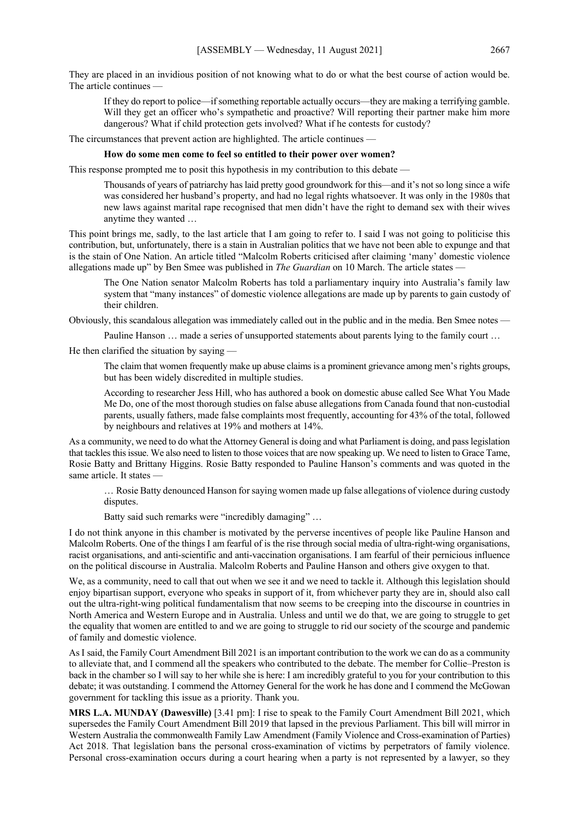They are placed in an invidious position of not knowing what to do or what the best course of action would be. The article continues

If they do report to police—if something reportable actually occurs—they are making a terrifying gamble. Will they get an officer who's sympathetic and proactive? Will reporting their partner make him more dangerous? What if child protection gets involved? What if he contests for custody?

The circumstances that prevent action are highlighted. The article continues —

#### **How do some men come to feel so entitled to their power over women?**

This response prompted me to posit this hypothesis in my contribution to this debate —

Thousands of years of patriarchy has laid pretty good groundwork for this—and it's not so long since a wife was considered her husband's property, and had no legal rights whatsoever. It was only in the 1980s that new laws against marital rape recognised that men didn't have the right to demand sex with their wives anytime they wanted …

This point brings me, sadly, to the last article that I am going to refer to. I said I was not going to politicise this contribution, but, unfortunately, there is a stain in Australian politics that we have not been able to expunge and that is the stain of One Nation. An article titled "Malcolm Roberts criticised after claiming 'many' domestic violence allegations made up" by Ben Smee was published in *The Guardian* on 10 March. The article states —

The One Nation senator Malcolm Roberts has told a parliamentary inquiry into Australia's family law system that "many instances" of domestic violence allegations are made up by parents to gain custody of their children.

Obviously, this scandalous allegation was immediately called out in the public and in the media. Ben Smee notes —

Pauline Hanson … made a series of unsupported statements about parents lying to the family court …

He then clarified the situation by saying —

The claim that women frequently make up abuse claims is a prominent grievance among men's rights groups, but has been widely discredited in multiple studies.

According to researcher Jess Hill, who has authored a book on domestic abuse called See What You Made Me Do, one of the most thorough studies on false abuse allegations from Canada found that non-custodial parents, usually fathers, made false complaints most frequently, accounting for 43% of the total, followed by neighbours and relatives at 19% and mothers at 14%.

As a community, we need to do what the Attorney General is doing and what Parliament is doing, and pass legislation that tackles this issue. We also need to listen to those voices that are now speaking up. We need to listen to Grace Tame, Rosie Batty and Brittany Higgins. Rosie Batty responded to Pauline Hanson's comments and was quoted in the same article. It states —

… Rosie Batty denounced Hanson for saying women made up false allegations of violence during custody disputes.

Batty said such remarks were "incredibly damaging" …

I do not think anyone in this chamber is motivated by the perverse incentives of people like Pauline Hanson and Malcolm Roberts. One of the things I am fearful of is the rise through social media of ultra-right-wing organisations, racist organisations, and anti-scientific and anti-vaccination organisations. I am fearful of their pernicious influence on the political discourse in Australia. Malcolm Roberts and Pauline Hanson and others give oxygen to that.

We, as a community, need to call that out when we see it and we need to tackle it. Although this legislation should enjoy bipartisan support, everyone who speaks in support of it, from whichever party they are in, should also call out the ultra-right-wing political fundamentalism that now seems to be creeping into the discourse in countries in North America and Western Europe and in Australia. Unless and until we do that, we are going to struggle to get the equality that women are entitled to and we are going to struggle to rid our society of the scourge and pandemic of family and domestic violence.

AsI said, the Family Court Amendment Bill 2021 is an important contribution to the work we can do as a community to alleviate that, and I commend all the speakers who contributed to the debate. The member for Collie–Preston is back in the chamber so I will say to her while she is here: I am incredibly grateful to you for your contribution to this debate; it was outstanding. I commend the Attorney General for the work he has done and I commend the McGowan government for tackling this issue as a priority. Thank you.

**MRS L.A. MUNDAY (Dawesville)** [3.41 pm]: I rise to speak to the Family Court Amendment Bill 2021, which supersedes the Family Court Amendment Bill 2019 that lapsed in the previous Parliament. This bill will mirror in Western Australia the commonwealth Family Law Amendment (Family Violence and Cross-examination of Parties) Act 2018. That legislation bans the personal cross-examination of victims by perpetrators of family violence. Personal cross-examination occurs during a court hearing when a party is not represented by a lawyer, so they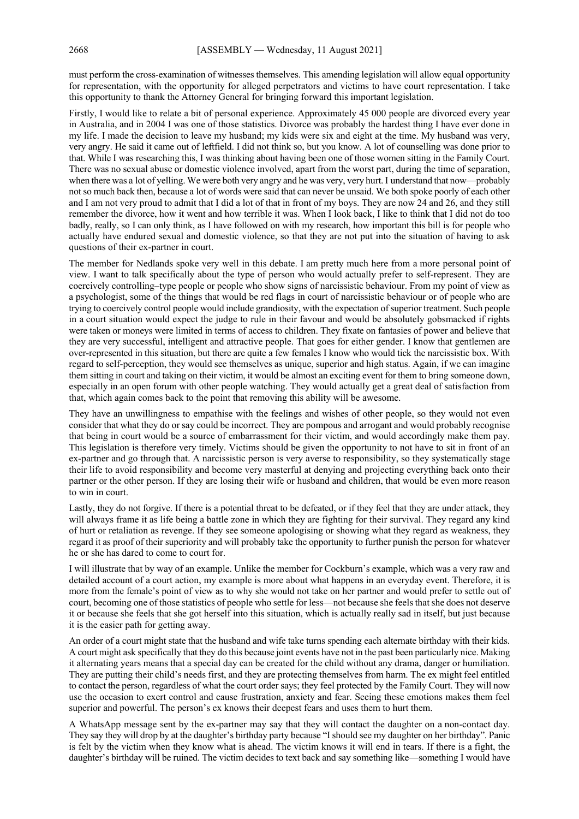must perform the cross-examination of witnesses themselves. This amending legislation will allow equal opportunity for representation, with the opportunity for alleged perpetrators and victims to have court representation. I take this opportunity to thank the Attorney General for bringing forward this important legislation.

Firstly, I would like to relate a bit of personal experience. Approximately 45 000 people are divorced every year in Australia, and in 2004 I was one of those statistics. Divorce was probably the hardest thing I have ever done in my life. I made the decision to leave my husband; my kids were six and eight at the time. My husband was very, very angry. He said it came out of leftfield. I did not think so, but you know. A lot of counselling was done prior to that. While I was researching this, I was thinking about having been one of those women sitting in the Family Court. There was no sexual abuse or domestic violence involved, apart from the worst part, during the time of separation, when there was a lot of yelling. We were both very angry and he was very, very hurt. I understand that now—probably not so much back then, because a lot of words were said that can never be unsaid. We both spoke poorly of each other and I am not very proud to admit that I did a lot of that in front of my boys. They are now 24 and 26, and they still remember the divorce, how it went and how terrible it was. When I look back, I like to think that I did not do too badly, really, so I can only think, as I have followed on with my research, how important this bill is for people who actually have endured sexual and domestic violence, so that they are not put into the situation of having to ask questions of their ex-partner in court.

The member for Nedlands spoke very well in this debate. I am pretty much here from a more personal point of view. I want to talk specifically about the type of person who would actually prefer to self-represent. They are coercively controlling–type people or people who show signs of narcissistic behaviour. From my point of view as a psychologist, some of the things that would be red flags in court of narcissistic behaviour or of people who are trying to coercively control people would include grandiosity, with the expectation of superior treatment. Such people in a court situation would expect the judge to rule in their favour and would be absolutely gobsmacked if rights were taken or moneys were limited in terms of access to children. They fixate on fantasies of power and believe that they are very successful, intelligent and attractive people. That goes for either gender. I know that gentlemen are over-represented in this situation, but there are quite a few females I know who would tick the narcissistic box. With regard to self-perception, they would see themselves as unique, superior and high status. Again, if we can imagine them sitting in court and taking on their victim, it would be almost an exciting event for them to bring someone down, especially in an open forum with other people watching. They would actually get a great deal of satisfaction from that, which again comes back to the point that removing this ability will be awesome.

They have an unwillingness to empathise with the feelings and wishes of other people, so they would not even consider that what they do or say could be incorrect. They are pompous and arrogant and would probably recognise that being in court would be a source of embarrassment for their victim, and would accordingly make them pay. This legislation is therefore very timely. Victims should be given the opportunity to not have to sit in front of an ex-partner and go through that. A narcissistic person is very averse to responsibility, so they systematically stage their life to avoid responsibility and become very masterful at denying and projecting everything back onto their partner or the other person. If they are losing their wife or husband and children, that would be even more reason to win in court.

Lastly, they do not forgive. If there is a potential threat to be defeated, or if they feel that they are under attack, they will always frame it as life being a battle zone in which they are fighting for their survival. They regard any kind of hurt or retaliation as revenge. If they see someone apologising or showing what they regard as weakness, they regard it as proof of their superiority and will probably take the opportunity to further punish the person for whatever he or she has dared to come to court for.

I will illustrate that by way of an example. Unlike the member for Cockburn's example, which was a very raw and detailed account of a court action, my example is more about what happens in an everyday event. Therefore, it is more from the female's point of view as to why she would not take on her partner and would prefer to settle out of court, becoming one of those statistics of people who settle for less—not because she feels that she does not deserve it or because she feels that she got herself into this situation, which is actually really sad in itself, but just because it is the easier path for getting away.

An order of a court might state that the husband and wife take turns spending each alternate birthday with their kids. A court might ask specifically that they do this because joint events have not in the past been particularly nice. Making it alternating years means that a special day can be created for the child without any drama, danger or humiliation. They are putting their child's needs first, and they are protecting themselves from harm. The ex might feel entitled to contact the person, regardless of what the court order says; they feel protected by the Family Court. They will now use the occasion to exert control and cause frustration, anxiety and fear. Seeing these emotions makes them feel superior and powerful. The person's ex knows their deepest fears and uses them to hurt them.

A WhatsApp message sent by the ex-partner may say that they will contact the daughter on a non-contact day. They say they will drop by at the daughter's birthday party because "I should see my daughter on her birthday". Panic is felt by the victim when they know what is ahead. The victim knows it will end in tears. If there is a fight, the daughter's birthday will be ruined. The victim decides to text back and say something like—something I would have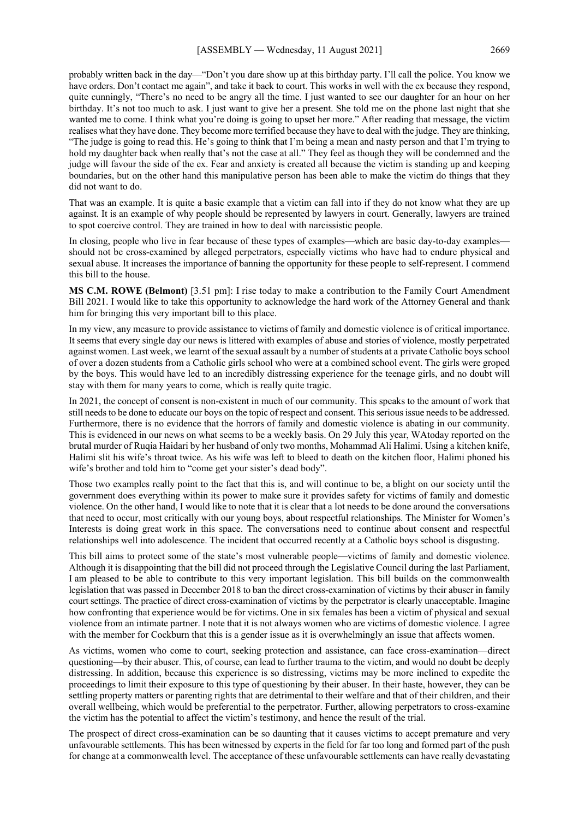probably written back in the day—"Don't you dare show up at this birthday party. I'll call the police. You know we have orders. Don't contact me again", and take it back to court. This works in well with the ex because they respond, quite cunningly, "There's no need to be angry all the time. I just wanted to see our daughter for an hour on her birthday. It's not too much to ask. I just want to give her a present. She told me on the phone last night that she wanted me to come. I think what you're doing is going to upset her more." After reading that message, the victim realises what they have done. They become more terrified because they have to deal with the judge. They are thinking, "The judge is going to read this. He's going to think that I'm being a mean and nasty person and that I'm trying to hold my daughter back when really that's not the case at all." They feel as though they will be condemned and the judge will favour the side of the ex. Fear and anxiety is created all because the victim is standing up and keeping boundaries, but on the other hand this manipulative person has been able to make the victim do things that they did not want to do.

That was an example. It is quite a basic example that a victim can fall into if they do not know what they are up against. It is an example of why people should be represented by lawyers in court. Generally, lawyers are trained to spot coercive control. They are trained in how to deal with narcissistic people.

In closing, people who live in fear because of these types of examples—which are basic day-to-day examples should not be cross-examined by alleged perpetrators, especially victims who have had to endure physical and sexual abuse. It increases the importance of banning the opportunity for these people to self-represent. I commend this bill to the house.

**MS C.M. ROWE (Belmont)** [3.51 pm]: I rise today to make a contribution to the Family Court Amendment Bill 2021. I would like to take this opportunity to acknowledge the hard work of the Attorney General and thank him for bringing this very important bill to this place.

In my view, any measure to provide assistance to victims of family and domestic violence is of critical importance. It seems that every single day our news is littered with examples of abuse and stories of violence, mostly perpetrated against women. Last week, we learnt of the sexual assault by a number of students at a private Catholic boys school of over a dozen students from a Catholic girls school who were at a combined school event. The girls were groped by the boys. This would have led to an incredibly distressing experience for the teenage girls, and no doubt will stay with them for many years to come, which is really quite tragic.

In 2021, the concept of consent is non-existent in much of our community. This speaks to the amount of work that still needs to be done to educate our boys on the topic of respect and consent. This serious issue needs to be addressed. Furthermore, there is no evidence that the horrors of family and domestic violence is abating in our community. This is evidenced in our news on what seems to be a weekly basis. On 29 July this year, WAtoday reported on the brutal murder of Ruqia Haidari by her husband of only two months, Mohammad Ali Halimi. Using a kitchen knife, Halimi slit his wife's throat twice. As his wife was left to bleed to death on the kitchen floor, Halimi phoned his wife's brother and told him to "come get your sister's dead body".

Those two examples really point to the fact that this is, and will continue to be, a blight on our society until the government does everything within its power to make sure it provides safety for victims of family and domestic violence. On the other hand, I would like to note that it is clear that a lot needs to be done around the conversations that need to occur, most critically with our young boys, about respectful relationships. The Minister for Women's Interests is doing great work in this space. The conversations need to continue about consent and respectful relationships well into adolescence. The incident that occurred recently at a Catholic boys school is disgusting.

This bill aims to protect some of the state's most vulnerable people—victims of family and domestic violence. Although it is disappointing that the bill did not proceed through the Legislative Council during the last Parliament, I am pleased to be able to contribute to this very important legislation. This bill builds on the commonwealth legislation that was passed in December 2018 to ban the direct cross-examination of victims by their abuser in family court settings. The practice of direct cross-examination of victims by the perpetrator is clearly unacceptable. Imagine how confronting that experience would be for victims. One in six females has been a victim of physical and sexual violence from an intimate partner. I note that it is not always women who are victims of domestic violence. I agree with the member for Cockburn that this is a gender issue as it is overwhelmingly an issue that affects women.

As victims, women who come to court, seeking protection and assistance, can face cross-examination—direct questioning—by their abuser. This, of course, can lead to further trauma to the victim, and would no doubt be deeply distressing. In addition, because this experience is so distressing, victims may be more inclined to expedite the proceedings to limit their exposure to this type of questioning by their abuser. In their haste, however, they can be settling property matters or parenting rights that are detrimental to their welfare and that of their children, and their overall wellbeing, which would be preferential to the perpetrator. Further, allowing perpetrators to cross-examine the victim has the potential to affect the victim's testimony, and hence the result of the trial.

The prospect of direct cross-examination can be so daunting that it causes victims to accept premature and very unfavourable settlements. This has been witnessed by experts in the field for far too long and formed part of the push for change at a commonwealth level. The acceptance of these unfavourable settlements can have really devastating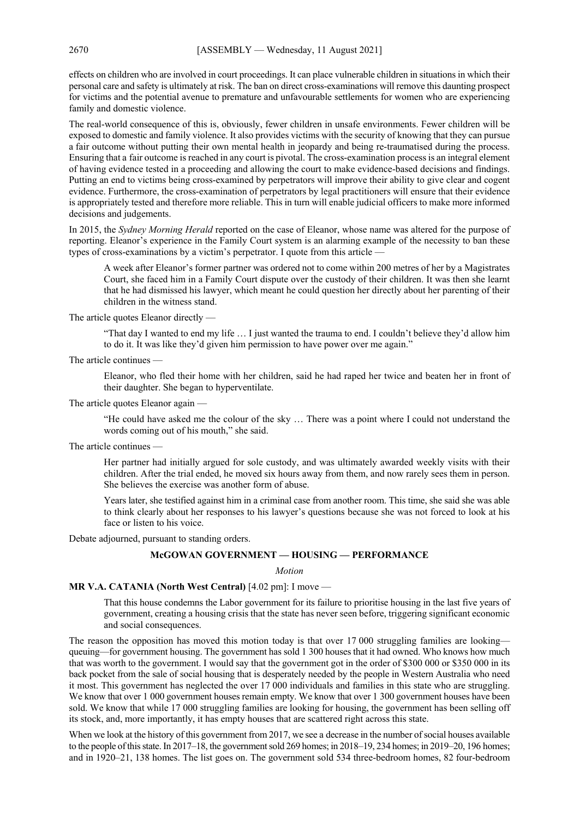effects on children who are involved in court proceedings. It can place vulnerable children in situations in which their personal care and safety is ultimately at risk. The ban on direct cross-examinations will remove this daunting prospect for victims and the potential avenue to premature and unfavourable settlements for women who are experiencing family and domestic violence.

The real-world consequence of this is, obviously, fewer children in unsafe environments. Fewer children will be exposed to domestic and family violence. It also provides victims with the security of knowing that they can pursue a fair outcome without putting their own mental health in jeopardy and being re-traumatised during the process. Ensuring that a fair outcome is reached in any court is pivotal. The cross-examination process is an integral element of having evidence tested in a proceeding and allowing the court to make evidence-based decisions and findings. Putting an end to victims being cross-examined by perpetrators will improve their ability to give clear and cogent evidence. Furthermore, the cross-examination of perpetrators by legal practitioners will ensure that their evidence is appropriately tested and therefore more reliable. This in turn will enable judicial officers to make more informed decisions and judgements.

In 2015, the *Sydney Morning Herald* reported on the case of Eleanor, whose name was altered for the purpose of reporting. Eleanor's experience in the Family Court system is an alarming example of the necessity to ban these types of cross-examinations by a victim's perpetrator. I quote from this article —

A week after Eleanor's former partner was ordered not to come within 200 metres of her by a Magistrates Court, she faced him in a Family Court dispute over the custody of their children. It was then she learnt that he had dismissed his lawyer, which meant he could question her directly about her parenting of their children in the witness stand.

The article quotes Eleanor directly —

"That day I wanted to end my life … I just wanted the trauma to end. I couldn't believe they'd allow him to do it. It was like they'd given him permission to have power over me again."

The article continues —

Eleanor, who fled their home with her children, said he had raped her twice and beaten her in front of their daughter. She began to hyperventilate.

The article quotes Eleanor again —

"He could have asked me the colour of the sky … There was a point where I could not understand the words coming out of his mouth," she said.

The article continues —

Her partner had initially argued for sole custody, and was ultimately awarded weekly visits with their children. After the trial ended, he moved six hours away from them, and now rarely sees them in person. She believes the exercise was another form of abuse.

Years later, she testified against him in a criminal case from another room. This time, she said she was able to think clearly about her responses to his lawyer's questions because she was not forced to look at his face or listen to his voice.

Debate adjourned, pursuant to standing orders.

#### **McGOWAN GOVERNMENT — HOUSING — PERFORMANCE**

#### *Motion*

#### **MR V.A. CATANIA (North West Central)** [4.02 pm]: I move —

That this house condemns the Labor government for its failure to prioritise housing in the last five years of government, creating a housing crisis that the state has never seen before, triggering significant economic and social consequences.

The reason the opposition has moved this motion today is that over 17 000 struggling families are looking queuing—for government housing. The government has sold 1 300 houses that it had owned. Who knows how much that was worth to the government. I would say that the government got in the order of \$300 000 or \$350 000 in its back pocket from the sale of social housing that is desperately needed by the people in Western Australia who need it most. This government has neglected the over 17 000 individuals and families in this state who are struggling. We know that over 1 000 government houses remain empty. We know that over 1 300 government houses have been sold. We know that while 17 000 struggling families are looking for housing, the government has been selling off its stock, and, more importantly, it has empty houses that are scattered right across this state.

When we look at the history of this government from 2017, we see a decrease in the number of social houses available to the people of this state. In 2017–18, the government sold 269 homes; in 2018–19, 234 homes; in 2019–20, 196 homes; and in 1920–21, 138 homes. The list goes on. The government sold 534 three-bedroom homes, 82 four-bedroom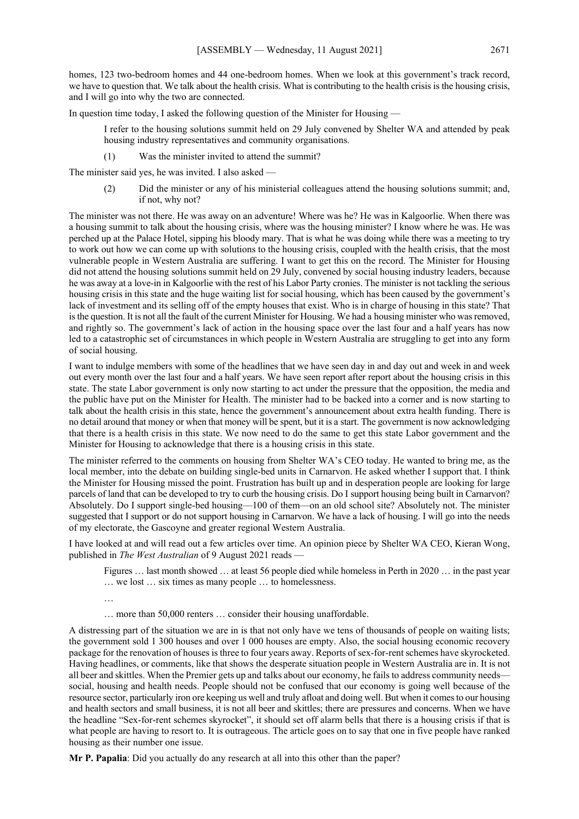homes, 123 two-bedroom homes and 44 one-bedroom homes. When we look at this government's track record, we have to question that. We talk about the health crisis. What is contributing to the health crisis is the housing crisis, and I will go into why the two are connected.

In question time today, I asked the following question of the Minister for Housing —

- I refer to the housing solutions summit held on 29 July convened by Shelter WA and attended by peak housing industry representatives and community organisations.
- (1) Was the minister invited to attend the summit?

The minister said yes, he was invited. I also asked —

(2) Did the minister or any of his ministerial colleagues attend the housing solutions summit; and, if not, why not?

The minister was not there. He was away on an adventure! Where was he? He was in Kalgoorlie. When there was a housing summit to talk about the housing crisis, where was the housing minister? I know where he was. He was perched up at the Palace Hotel, sipping his bloody mary. That is what he was doing while there was a meeting to try to work out how we can come up with solutions to the housing crisis, coupled with the health crisis, that the most vulnerable people in Western Australia are suffering. I want to get this on the record. The Minister for Housing did not attend the housing solutions summit held on 29 July, convened by social housing industry leaders, because he was away at a love-in in Kalgoorlie with the rest of his Labor Party cronies. The minister is not tackling the serious housing crisis in this state and the huge waiting list for social housing, which has been caused by the government's lack of investment and its selling off of the empty houses that exist. Who is in charge of housing in this state? That is the question. It is not all the fault of the current Minister for Housing. We had a housing minister who was removed, and rightly so. The government's lack of action in the housing space over the last four and a half years has now led to a catastrophic set of circumstances in which people in Western Australia are struggling to get into any form of social housing.

I want to indulge members with some of the headlines that we have seen day in and day out and week in and week out every month over the last four and a half years. We have seen report after report about the housing crisis in this state. The state Labor government is only now starting to act under the pressure that the opposition, the media and the public have put on the Minister for Health. The minister had to be backed into a corner and is now starting to talk about the health crisis in this state, hence the government's announcement about extra health funding. There is no detail around that money or when that money will be spent, but it is a start. The government is now acknowledging that there is a health crisis in this state. We now need to do the same to get this state Labor government and the Minister for Housing to acknowledge that there is a housing crisis in this state.

The minister referred to the comments on housing from Shelter WA's CEO today. He wanted to bring me, as the local member, into the debate on building single-bed units in Carnarvon. He asked whether I support that. I think the Minister for Housing missed the point. Frustration has built up and in desperation people are looking for large parcels of land that can be developed to try to curb the housing crisis. Do I support housing being built in Carnarvon? Absolutely. Do I support single-bed housing—100 of them—on an old school site? Absolutely not. The minister suggested that I support or do not support housing in Carnarvon. We have a lack of housing. I will go into the needs of my electorate, the Gascoyne and greater regional Western Australia.

I have looked at and will read out a few articles over time. An opinion piece by Shelter WA CEO, Kieran Wong, published in *The West Australian* of 9 August 2021 reads —

Figures … last month showed … at least 56 people died while homeless in Perth in 2020 … in the past year … we lost … six times as many people … to homelessness.

…

… more than 50,000 renters … consider their housing unaffordable.

A distressing part of the situation we are in is that not only have we tens of thousands of people on waiting lists; the government sold 1 300 houses and over 1 000 houses are empty. Also, the social housing economic recovery package for the renovation of houses is three to four years away. Reports of sex-for-rent schemes have skyrocketed. Having headlines, or comments, like that shows the desperate situation people in Western Australia are in. It is not all beer and skittles. When the Premier gets up and talks about our economy, he fails to address community needs social, housing and health needs. People should not be confused that our economy is going well because of the resource sector, particularly iron ore keeping us well and truly afloat and doing well. But when it comes to our housing and health sectors and small business, it is not all beer and skittles; there are pressures and concerns. When we have the headline "Sex-for-rent schemes skyrocket", it should set off alarm bells that there is a housing crisis if that is what people are having to resort to. It is outrageous. The article goes on to say that one in five people have ranked housing as their number one issue.

**Mr P. Papalia**: Did you actually do any research at all into this other than the paper?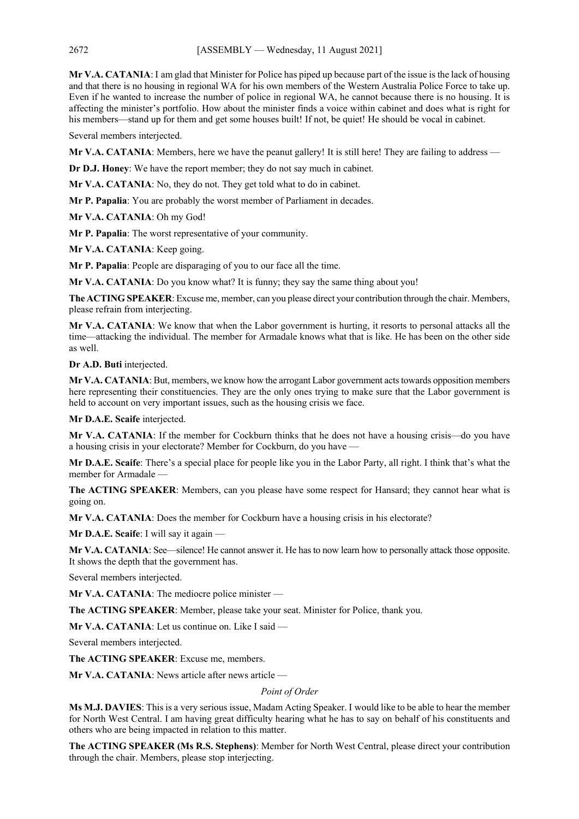**Mr V.A. CATANIA**: I am glad that Minister for Police has piped up because part of the issue is the lack of housing and that there is no housing in regional WA for his own members of the Western Australia Police Force to take up. Even if he wanted to increase the number of police in regional WA, he cannot because there is no housing. It is affecting the minister's portfolio. How about the minister finds a voice within cabinet and does what is right for his members—stand up for them and get some houses built! If not, be quiet! He should be vocal in cabinet.

Several members interjected.

**Mr V.A. CATANIA**: Members, here we have the peanut gallery! It is still here! They are failing to address —

**Dr D.J. Honey**: We have the report member; they do not say much in cabinet.

**Mr V.A. CATANIA**: No, they do not. They get told what to do in cabinet.

**Mr P. Papalia**: You are probably the worst member of Parliament in decades.

**Mr V.A. CATANIA**: Oh my God!

**Mr P. Papalia**: The worst representative of your community.

**Mr V.A. CATANIA**: Keep going.

**Mr P. Papalia**: People are disparaging of you to our face all the time.

**Mr V.A. CATANIA:** Do you know what? It is funny; they say the same thing about you!

**The ACTING SPEAKER**: Excuse me, member, can you please direct your contribution through the chair. Members, please refrain from interjecting.

**Mr V.A. CATANIA**: We know that when the Labor government is hurting, it resorts to personal attacks all the time—attacking the individual. The member for Armadale knows what that is like. He has been on the other side as well.

**Dr A.D. Buti** interjected.

**Mr V.A. CATANIA**: But, members, we know how the arrogant Labor government acts towards opposition members here representing their constituencies. They are the only ones trying to make sure that the Labor government is held to account on very important issues, such as the housing crisis we face.

**Mr D.A.E. Scaife** interjected.

**Mr V.A. CATANIA**: If the member for Cockburn thinks that he does not have a housing crisis—do you have a housing crisis in your electorate? Member for Cockburn, do you have —

**Mr D.A.E. Scaife**: There's a special place for people like you in the Labor Party, all right. I think that's what the member for Armadale —

**The ACTING SPEAKER**: Members, can you please have some respect for Hansard; they cannot hear what is going on.

**Mr V.A. CATANIA**: Does the member for Cockburn have a housing crisis in his electorate?

**Mr D.A.E. Scaife**: I will say it again —

**Mr V.A. CATANIA**: See—silence! He cannot answer it. He has to now learn how to personally attack those opposite. It shows the depth that the government has.

Several members interjected.

**Mr V.A. CATANIA**: The mediocre police minister —

**The ACTING SPEAKER**: Member, please take your seat. Minister for Police, thank you.

**Mr V.A. CATANIA**: Let us continue on. Like I said —

Several members interjected.

**The ACTING SPEAKER**: Excuse me, members.

**Mr V.A. CATANIA**: News article after news article —

*Point of Order*

**Ms M.J. DAVIES**: This is a very serious issue, Madam Acting Speaker. I would like to be able to hear the member for North West Central. I am having great difficulty hearing what he has to say on behalf of his constituents and others who are being impacted in relation to this matter.

**The ACTING SPEAKER (Ms R.S. Stephens)**: Member for North West Central, please direct your contribution through the chair. Members, please stop interjecting.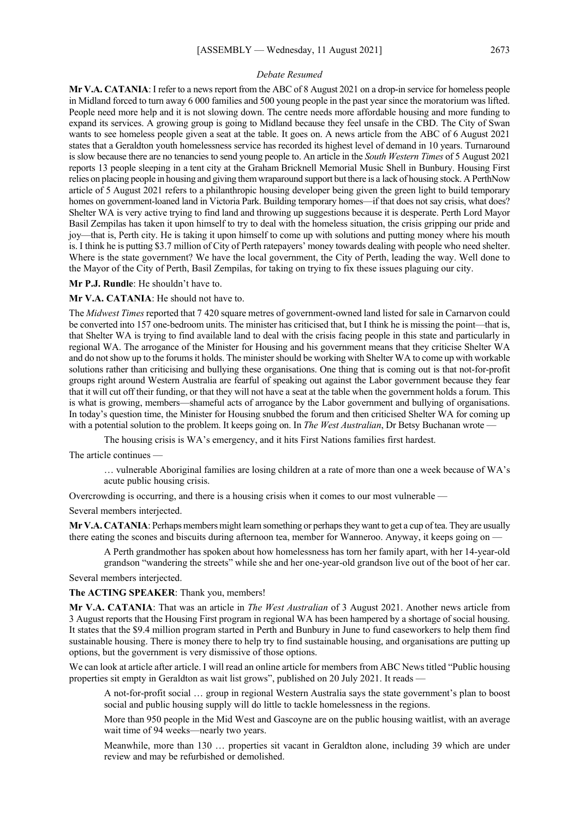#### *Debate Resumed*

**Mr V.A. CATANIA**: I refer to a news report from the ABC of 8 August 2021 on a drop-in service for homeless people in Midland forced to turn away 6 000 families and 500 young people in the past year since the moratorium was lifted. People need more help and it is not slowing down. The centre needs more affordable housing and more funding to expand its services. A growing group is going to Midland because they feel unsafe in the CBD. The City of Swan wants to see homeless people given a seat at the table. It goes on. A news article from the ABC of 6 August 2021 states that a Geraldton youth homelessness service has recorded its highest level of demand in 10 years. Turnaround is slow because there are no tenancies to send young people to. An article in the *South Western Times* of 5 August 2021 reports 13 people sleeping in a tent city at the Graham Bricknell Memorial Music Shell in Bunbury. Housing First relies on placing people in housing and giving them wraparound support but there is a lack of housing stock. A PerthNow article of 5 August 2021 refers to a philanthropic housing developer being given the green light to build temporary homes on government-loaned land in Victoria Park. Building temporary homes—if that does not say crisis, what does? Shelter WA is very active trying to find land and throwing up suggestions because it is desperate. Perth Lord Mayor Basil Zempilas has taken it upon himself to try to deal with the homeless situation, the crisis gripping our pride and joy—that is, Perth city. He is taking it upon himself to come up with solutions and putting money where his mouth is. I think he is putting \$3.7 million of City of Perth ratepayers' money towards dealing with people who need shelter. Where is the state government? We have the local government, the City of Perth, leading the way. Well done to the Mayor of the City of Perth, Basil Zempilas, for taking on trying to fix these issues plaguing our city.

**Mr P.J. Rundle**: He shouldn't have to.

**Mr V.A. CATANIA**: He should not have to.

The *Midwest Times* reported that 7 420 square metres of government-owned land listed for sale in Carnarvon could be converted into 157 one-bedroom units. The minister has criticised that, but I think he is missing the point—that is, that Shelter WA is trying to find available land to deal with the crisis facing people in this state and particularly in regional WA. The arrogance of the Minister for Housing and his government means that they criticise Shelter WA and do not show up to the forums it holds. The minister should be working with Shelter WA to come up with workable solutions rather than criticising and bullying these organisations. One thing that is coming out is that not-for-profit groups right around Western Australia are fearful of speaking out against the Labor government because they fear that it will cut off their funding, or that they will not have a seat at the table when the government holds a forum. This is what is growing, members—shameful acts of arrogance by the Labor government and bullying of organisations. In today's question time, the Minister for Housing snubbed the forum and then criticised Shelter WA for coming up with a potential solution to the problem. It keeps going on. In *The West Australian*, Dr Betsy Buchanan wrote -

The housing crisis is WA's emergency, and it hits First Nations families first hardest.

The article continues —

… vulnerable Aboriginal families are losing children at a rate of more than one a week because of WA's acute public housing crisis.

Overcrowding is occurring, and there is a housing crisis when it comes to our most vulnerable —

Several members interjected.

**Mr V.A. CATANIA**: Perhaps members might learn something or perhaps they want to get a cup of tea. They are usually there eating the scones and biscuits during afternoon tea, member for Wanneroo. Anyway, it keeps going on -

A Perth grandmother has spoken about how homelessness has torn her family apart, with her 14-year-old grandson "wandering the streets" while she and her one-year-old grandson live out of the boot of her car.

Several members interjected.

**The ACTING SPEAKER**: Thank you, members!

**Mr V.A. CATANIA**: That was an article in *The West Australian* of 3 August 2021. Another news article from 3 August reports that the Housing First program in regional WA has been hampered by a shortage of social housing. It states that the \$9.4 million program started in Perth and Bunbury in June to fund caseworkers to help them find sustainable housing. There is money there to help try to find sustainable housing, and organisations are putting up options, but the government is very dismissive of those options.

We can look at article after article. I will read an online article for members from ABC News titled "Public housing properties sit empty in Geraldton as wait list grows", published on 20 July 2021. It reads —

A not-for-profit social … group in regional Western Australia says the state government's plan to boost social and public housing supply will do little to tackle homelessness in the regions.

More than 950 people in the Mid West and Gascoyne are on the public housing waitlist, with an average wait time of 94 weeks—nearly two years.

Meanwhile, more than 130 … properties sit vacant in Geraldton alone, including 39 which are under review and may be refurbished or demolished.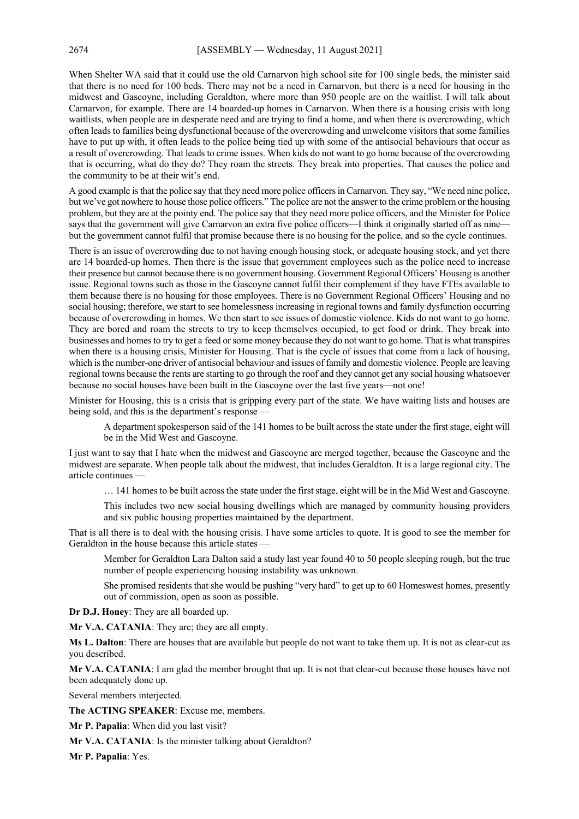When Shelter WA said that it could use the old Carnarvon high school site for 100 single beds, the minister said that there is no need for 100 beds. There may not be a need in Carnarvon, but there is a need for housing in the midwest and Gascoyne, including Geraldton, where more than 950 people are on the waitlist. I will talk about Carnarvon, for example. There are 14 boarded-up homes in Carnarvon. When there is a housing crisis with long waitlists, when people are in desperate need and are trying to find a home, and when there is overcrowding, which often leads to families being dysfunctional because of the overcrowding and unwelcome visitors that some families have to put up with, it often leads to the police being tied up with some of the antisocial behaviours that occur as a result of overcrowding. That leads to crime issues. When kids do not want to go home because of the overcrowding that is occurring, what do they do? They roam the streets. They break into properties. That causes the police and the community to be at their wit's end.

A good example is that the police say that they need more police officers in Carnarvon. They say, "We need nine police, but we've got nowhere to house those police officers." The police are not the answer to the crime problem or the housing problem, but they are at the pointy end. The police say that they need more police officers, and the Minister for Police says that the government will give Carnarvon an extra five police officers—I think it originally started off as nine but the government cannot fulfil that promise because there is no housing for the police, and so the cycle continues.

There is an issue of overcrowding due to not having enough housing stock, or adequate housing stock, and yet there are 14 boarded-up homes. Then there is the issue that government employees such as the police need to increase their presence but cannot because there is no government housing. Government Regional Officers' Housing is another issue. Regional towns such as those in the Gascoyne cannot fulfil their complement if they have FTEs available to them because there is no housing for those employees. There is no Government Regional Officers' Housing and no social housing; therefore, we start to see homelessness increasing in regional towns and family dysfunction occurring because of overcrowding in homes. We then start to see issues of domestic violence. Kids do not want to go home. They are bored and roam the streets to try to keep themselves occupied, to get food or drink. They break into businesses and homes to try to get a feed or some money because they do not want to go home. That is what transpires when there is a housing crisis, Minister for Housing. That is the cycle of issues that come from a lack of housing, which is the number-one driver of antisocial behaviour and issues of family and domestic violence. People are leaving regional towns because the rents are starting to go through the roof and they cannot get any social housing whatsoever because no social houses have been built in the Gascoyne over the last five years—not one!

Minister for Housing, this is a crisis that is gripping every part of the state. We have waiting lists and houses are being sold, and this is the department's response —

A department spokesperson said of the 141 homes to be built across the state under the first stage, eight will be in the Mid West and Gascoyne.

I just want to say that I hate when the midwest and Gascoyne are merged together, because the Gascoyne and the midwest are separate. When people talk about the midwest, that includes Geraldton. It is a large regional city. The article continues —

… 141 homes to be built across the state under the first stage, eight will be in the Mid West and Gascoyne.

This includes two new social housing dwellings which are managed by community housing providers and six public housing properties maintained by the department.

That is all there is to deal with the housing crisis. I have some articles to quote. It is good to see the member for Geraldton in the house because this article states —

Member for Geraldton Lara Dalton said a study last year found 40 to 50 people sleeping rough, but the true number of people experiencing housing instability was unknown.

She promised residents that she would be pushing "very hard" to get up to 60 Homeswest homes, presently out of commission, open as soon as possible.

**Dr D.J. Honey**: They are all boarded up.

**Mr V.A. CATANIA**: They are; they are all empty.

**Ms L. Dalton**: There are houses that are available but people do not want to take them up. It is not as clear-cut as you described.

**Mr V.A. CATANIA**: I am glad the member brought that up. It is not that clear-cut because those houses have not been adequately done up.

Several members interjected.

**The ACTING SPEAKER**: Excuse me, members.

**Mr P. Papalia**: When did you last visit?

**Mr V.A. CATANIA**: Is the minister talking about Geraldton?

**Mr P. Papalia**: Yes.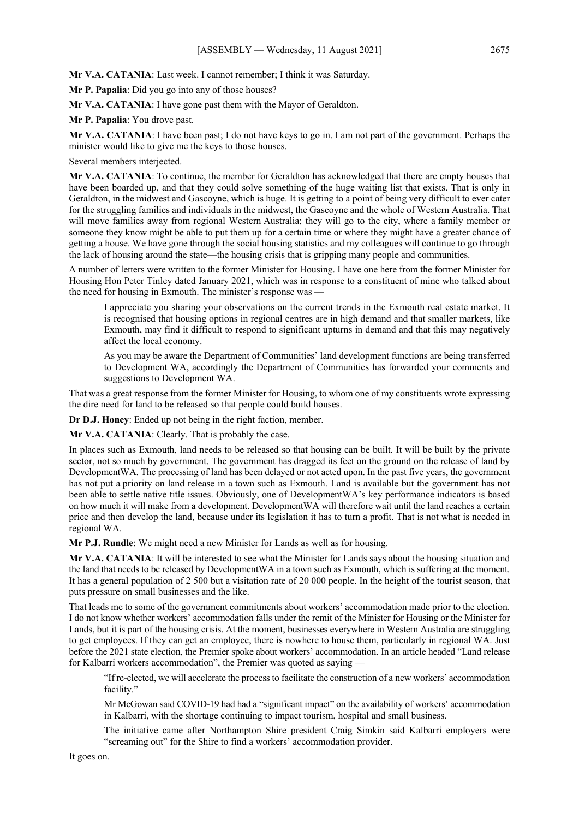**Mr V.A. CATANIA**: Last week. I cannot remember; I think it was Saturday.

**Mr P. Papalia**: Did you go into any of those houses?

**Mr V.A. CATANIA**: I have gone past them with the Mayor of Geraldton.

**Mr P. Papalia**: You drove past.

**Mr V.A. CATANIA**: I have been past; I do not have keys to go in. I am not part of the government. Perhaps the minister would like to give me the keys to those houses.

Several members interjected.

**Mr V.A. CATANIA**: To continue, the member for Geraldton has acknowledged that there are empty houses that have been boarded up, and that they could solve something of the huge waiting list that exists. That is only in Geraldton, in the midwest and Gascoyne, which is huge. It is getting to a point of being very difficult to ever cater for the struggling families and individuals in the midwest, the Gascoyne and the whole of Western Australia. That will move families away from regional Western Australia; they will go to the city, where a family member or someone they know might be able to put them up for a certain time or where they might have a greater chance of getting a house. We have gone through the social housing statistics and my colleagues will continue to go through the lack of housing around the state—the housing crisis that is gripping many people and communities.

A number of letters were written to the former Minister for Housing. I have one here from the former Minister for Housing Hon Peter Tinley dated January 2021, which was in response to a constituent of mine who talked about the need for housing in Exmouth. The minister's response was -

I appreciate you sharing your observations on the current trends in the Exmouth real estate market. It is recognised that housing options in regional centres are in high demand and that smaller markets, like Exmouth, may find it difficult to respond to significant upturns in demand and that this may negatively affect the local economy.

As you may be aware the Department of Communities' land development functions are being transferred to Development WA, accordingly the Department of Communities has forwarded your comments and suggestions to Development WA.

That was a great response from the former Minister for Housing, to whom one of my constituents wrote expressing the dire need for land to be released so that people could build houses.

**Dr D.J. Honey**: Ended up not being in the right faction, member.

**Mr V.A. CATANIA**: Clearly. That is probably the case.

In places such as Exmouth, land needs to be released so that housing can be built. It will be built by the private sector, not so much by government. The government has dragged its feet on the ground on the release of land by DevelopmentWA. The processing of land has been delayed or not acted upon. In the past five years, the government has not put a priority on land release in a town such as Exmouth. Land is available but the government has not been able to settle native title issues. Obviously, one of DevelopmentWA's key performance indicators is based on how much it will make from a development. DevelopmentWA will therefore wait until the land reaches a certain price and then develop the land, because under its legislation it has to turn a profit. That is not what is needed in regional WA.

**Mr P.J. Rundle**: We might need a new Minister for Lands as well as for housing.

**Mr V.A. CATANIA**: It will be interested to see what the Minister for Lands says about the housing situation and the land that needs to be released by DevelopmentWA in a town such as Exmouth, which is suffering at the moment. It has a general population of 2 500 but a visitation rate of 20 000 people. In the height of the tourist season, that puts pressure on small businesses and the like.

That leads me to some of the government commitments about workers' accommodation made prior to the election. I do not know whether workers' accommodation falls under the remit of the Minister for Housing or the Minister for Lands, but it is part of the housing crisis. At the moment, businesses everywhere in Western Australia are struggling to get employees. If they can get an employee, there is nowhere to house them, particularly in regional WA. Just before the 2021 state election, the Premier spoke about workers' accommodation. In an article headed "Land release for Kalbarri workers accommodation", the Premier was quoted as saying —

"If re-elected, we will accelerate the process to facilitate the construction of a new workers' accommodation facility."

Mr McGowan said COVID-19 had had a "significant impact" on the availability of workers' accommodation in Kalbarri, with the shortage continuing to impact tourism, hospital and small business.

The initiative came after Northampton Shire president Craig Simkin said Kalbarri employers were "screaming out" for the Shire to find a workers' accommodation provider.

It goes on.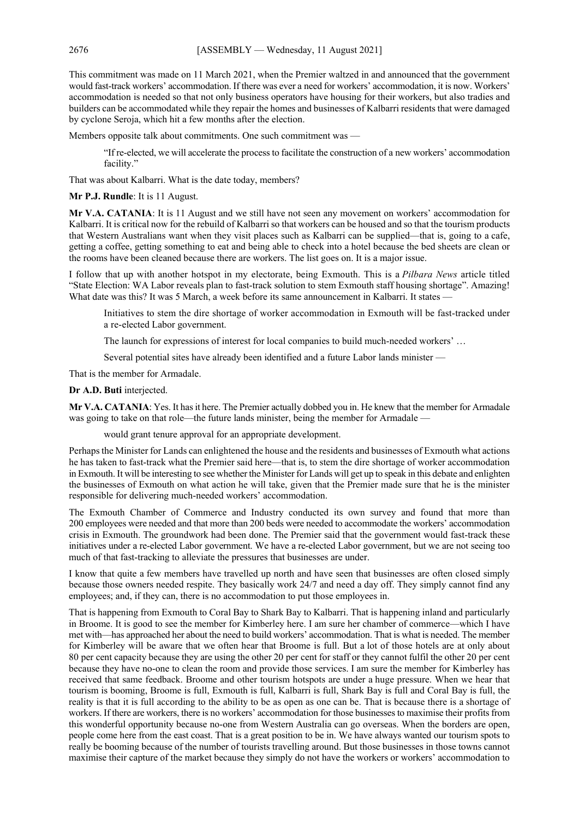This commitment was made on 11 March 2021, when the Premier waltzed in and announced that the government would fast-track workers' accommodation. If there was ever a need for workers' accommodation, it is now. Workers' accommodation is needed so that not only business operators have housing for their workers, but also tradies and builders can be accommodated while they repair the homes and businesses of Kalbarri residents that were damaged by cyclone Seroja, which hit a few months after the election.

Members opposite talk about commitments. One such commitment was —

"If re-elected, we will accelerate the process to facilitate the construction of a new workers' accommodation facility."

That was about Kalbarri. What is the date today, members?

**Mr P.J. Rundle**: It is 11 August.

**Mr V.A. CATANIA**: It is 11 August and we still have not seen any movement on workers' accommodation for Kalbarri. It is critical now for the rebuild of Kalbarri so that workers can be housed and so that the tourism products that Western Australians want when they visit places such as Kalbarri can be supplied—that is, going to a cafe, getting a coffee, getting something to eat and being able to check into a hotel because the bed sheets are clean or the rooms have been cleaned because there are workers. The list goes on. It is a major issue.

I follow that up with another hotspot in my electorate, being Exmouth. This is a *Pilbara News* article titled "State Election: WA Labor reveals plan to fast-track solution to stem Exmouth staff housing shortage". Amazing! What date was this? It was 5 March, a week before its same announcement in Kalbarri. It states —

Initiatives to stem the dire shortage of worker accommodation in Exmouth will be fast-tracked under a re-elected Labor government.

The launch for expressions of interest for local companies to build much-needed workers' …

Several potential sites have already been identified and a future Labor lands minister —

That is the member for Armadale.

#### **Dr A.D. Buti** interjected.

**Mr V.A. CATANIA**: Yes. It has it here. The Premier actually dobbed you in. He knew that the member for Armadale was going to take on that role—the future lands minister, being the member for Armadale —

would grant tenure approval for an appropriate development.

Perhaps the Minister for Lands can enlightened the house and the residents and businesses of Exmouth what actions he has taken to fast-track what the Premier said here—that is, to stem the dire shortage of worker accommodation in Exmouth. It will be interesting to see whether the Minister for Lands will get up to speak in this debate and enlighten the businesses of Exmouth on what action he will take, given that the Premier made sure that he is the minister responsible for delivering much-needed workers' accommodation.

The Exmouth Chamber of Commerce and Industry conducted its own survey and found that more than 200 employees were needed and that more than 200 beds were needed to accommodate the workers' accommodation crisis in Exmouth. The groundwork had been done. The Premier said that the government would fast-track these initiatives under a re-elected Labor government. We have a re-elected Labor government, but we are not seeing too much of that fast-tracking to alleviate the pressures that businesses are under.

I know that quite a few members have travelled up north and have seen that businesses are often closed simply because those owners needed respite. They basically work 24/7 and need a day off. They simply cannot find any employees; and, if they can, there is no accommodation to put those employees in.

That is happening from Exmouth to Coral Bay to Shark Bay to Kalbarri. That is happening inland and particularly in Broome. It is good to see the member for Kimberley here. I am sure her chamber of commerce—which I have met with—has approached her about the need to build workers' accommodation. That is what is needed. The member for Kimberley will be aware that we often hear that Broome is full. But a lot of those hotels are at only about 80 per cent capacity because they are using the other 20 per cent for staff or they cannot fulfil the other 20 per cent because they have no-one to clean the room and provide those services. I am sure the member for Kimberley has received that same feedback. Broome and other tourism hotspots are under a huge pressure. When we hear that tourism is booming, Broome is full, Exmouth is full, Kalbarri is full, Shark Bay is full and Coral Bay is full, the reality is that it is full according to the ability to be as open as one can be. That is because there is a shortage of workers. If there are workers, there is no workers' accommodation for those businesses to maximise their profits from this wonderful opportunity because no-one from Western Australia can go overseas. When the borders are open, people come here from the east coast. That is a great position to be in. We have always wanted our tourism spots to really be booming because of the number of tourists travelling around. But those businesses in those towns cannot maximise their capture of the market because they simply do not have the workers or workers' accommodation to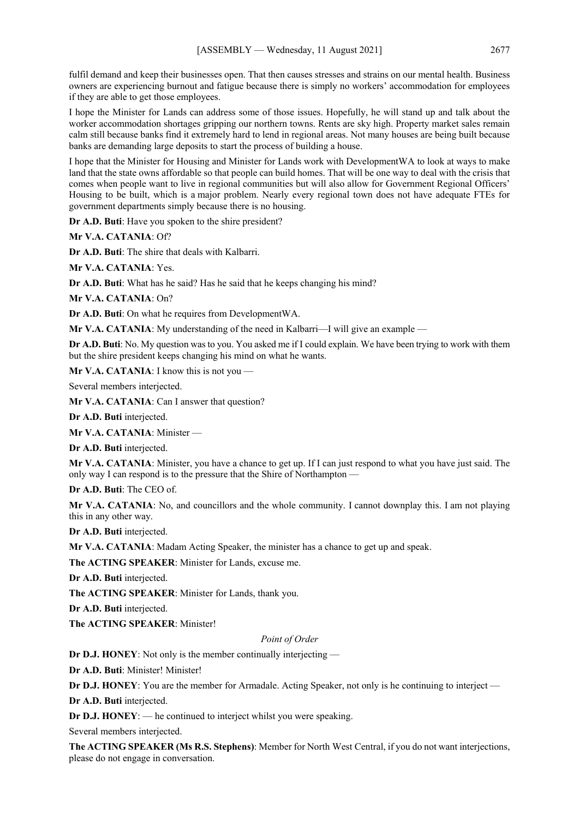fulfil demand and keep their businesses open. That then causes stresses and strains on our mental health. Business owners are experiencing burnout and fatigue because there is simply no workers' accommodation for employees if they are able to get those employees.

I hope the Minister for Lands can address some of those issues. Hopefully, he will stand up and talk about the worker accommodation shortages gripping our northern towns. Rents are sky high. Property market sales remain calm still because banks find it extremely hard to lend in regional areas. Not many houses are being built because banks are demanding large deposits to start the process of building a house.

I hope that the Minister for Housing and Minister for Lands work with DevelopmentWA to look at ways to make land that the state owns affordable so that people can build homes. That will be one way to deal with the crisis that comes when people want to live in regional communities but will also allow for Government Regional Officers' Housing to be built, which is a major problem. Nearly every regional town does not have adequate FTEs for government departments simply because there is no housing.

**Dr A.D. Buti**: Have you spoken to the shire president?

**Mr V.A. CATANIA**: Of?

**Dr A.D. Buti**: The shire that deals with Kalbarri.

**Mr V.A. CATANIA**: Yes.

**Dr A.D. Buti**: What has he said? Has he said that he keeps changing his mind?

**Mr V.A. CATANIA**: On?

**Dr A.D. Buti**: On what he requires from DevelopmentWA.

**Mr V.A. CATANIA:** My understanding of the need in Kalbarri—I will give an example —

**Dr A.D. Buti**: No. My question was to you. You asked me if I could explain. We have been trying to work with them but the shire president keeps changing his mind on what he wants.

**Mr V.A. CATANIA:** I know this is not you —

Several members interjected.

**Mr V.A. CATANIA**: Can I answer that question?

**Dr A.D. Buti** interjected.

**Mr V.A. CATANIA**: Minister —

**Dr A.D. Buti** interjected.

**Mr V.A. CATANIA**: Minister, you have a chance to get up. If I can just respond to what you have just said. The only way I can respond is to the pressure that the Shire of Northampton —

**Dr A.D. Buti**: The CEO of.

**Mr V.A. CATANIA**: No, and councillors and the whole community. I cannot downplay this. I am not playing this in any other way.

**Dr A.D. Buti** interjected.

**Mr V.A. CATANIA**: Madam Acting Speaker, the minister has a chance to get up and speak.

**The ACTING SPEAKER**: Minister for Lands, excuse me.

**Dr A.D. Buti** interjected.

**The ACTING SPEAKER**: Minister for Lands, thank you.

**Dr A.D. Buti** interjected.

**The ACTING SPEAKER**: Minister!

*Point of Order*

**Dr D.J. HONEY**: Not only is the member continually interjecting —

**Dr A.D. Buti**: Minister! Minister!

**Dr D.J. HONEY**: You are the member for Armadale. Acting Speaker, not only is he continuing to interject —

**Dr A.D. Buti** interjected.

**Dr D.J. HONEY:** — he continued to interject whilst you were speaking.

Several members interjected.

**The ACTING SPEAKER (Ms R.S. Stephens)**: Member for North West Central, if you do not want interjections, please do not engage in conversation.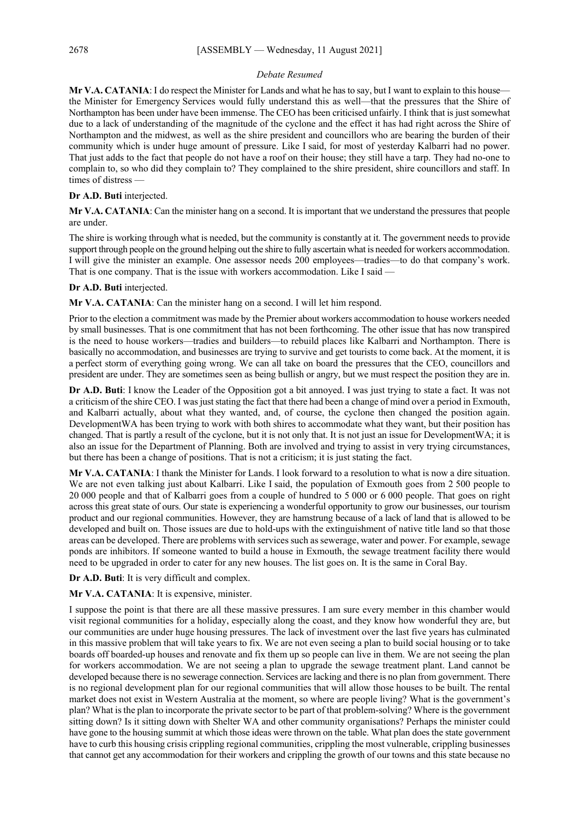#### *Debate Resumed*

**Mr V.A. CATANIA**: I do respect the Minister for Lands and what he has to say, but I want to explain to this house the Minister for Emergency Services would fully understand this as well—that the pressures that the Shire of Northampton has been under have been immense. The CEO has been criticised unfairly. I think that is just somewhat due to a lack of understanding of the magnitude of the cyclone and the effect it has had right across the Shire of Northampton and the midwest, as well as the shire president and councillors who are bearing the burden of their community which is under huge amount of pressure. Like I said, for most of yesterday Kalbarri had no power. That just adds to the fact that people do not have a roof on their house; they still have a tarp. They had no-one to complain to, so who did they complain to? They complained to the shire president, shire councillors and staff. In times of distress —

#### **Dr A.D. Buti** interjected.

**Mr V.A. CATANIA**: Can the minister hang on a second. It is important that we understand the pressures that people are under.

The shire is working through what is needed, but the community is constantly at it. The government needs to provide support through people on the ground helping out the shire to fully ascertain what is needed for workers accommodation. I will give the minister an example. One assessor needs 200 employees—tradies—to do that company's work. That is one company. That is the issue with workers accommodation. Like I said —

#### **Dr A.D. Buti** interjected.

**Mr V.A. CATANIA**: Can the minister hang on a second. I will let him respond.

Prior to the election a commitment was made by the Premier about workers accommodation to house workers needed by small businesses. That is one commitment that has not been forthcoming. The other issue that has now transpired is the need to house workers—tradies and builders—to rebuild places like Kalbarri and Northampton. There is basically no accommodation, and businesses are trying to survive and get tourists to come back. At the moment, it is a perfect storm of everything going wrong. We can all take on board the pressures that the CEO, councillors and president are under. They are sometimes seen as being bullish or angry, but we must respect the position they are in.

**Dr A.D. Buti**: I know the Leader of the Opposition got a bit annoyed. I was just trying to state a fact. It was not a criticism of the shire CEO. I was just stating the fact that there had been a change of mind over a period in Exmouth, and Kalbarri actually, about what they wanted, and, of course, the cyclone then changed the position again. DevelopmentWA has been trying to work with both shires to accommodate what they want, but their position has changed. That is partly a result of the cyclone, but it is not only that. It is not just an issue for DevelopmentWA; it is also an issue for the Department of Planning. Both are involved and trying to assist in very trying circumstances, but there has been a change of positions. That is not a criticism; it is just stating the fact.

**Mr V.A. CATANIA**: I thank the Minister for Lands. I look forward to a resolution to what is now a dire situation. We are not even talking just about Kalbarri. Like I said, the population of Exmouth goes from 2 500 people to 20 000 people and that of Kalbarri goes from a couple of hundred to 5 000 or 6 000 people. That goes on right across this great state of ours. Our state is experiencing a wonderful opportunity to grow our businesses, our tourism product and our regional communities. However, they are hamstrung because of a lack of land that is allowed to be developed and built on. Those issues are due to hold-ups with the extinguishment of native title land so that those areas can be developed. There are problems with services such as sewerage, water and power. For example, sewage ponds are inhibitors. If someone wanted to build a house in Exmouth, the sewage treatment facility there would need to be upgraded in order to cater for any new houses. The list goes on. It is the same in Coral Bay.

**Dr A.D. Buti**: It is very difficult and complex.

#### **Mr V.A. CATANIA**: It is expensive, minister.

I suppose the point is that there are all these massive pressures. I am sure every member in this chamber would visit regional communities for a holiday, especially along the coast, and they know how wonderful they are, but our communities are under huge housing pressures. The lack of investment over the last five years has culminated in this massive problem that will take years to fix. We are not even seeing a plan to build social housing or to take boards off boarded-up houses and renovate and fix them up so people can live in them. We are not seeing the plan for workers accommodation. We are not seeing a plan to upgrade the sewage treatment plant. Land cannot be developed because there is no sewerage connection. Services are lacking and there is no plan from government. There is no regional development plan for our regional communities that will allow those houses to be built. The rental market does not exist in Western Australia at the moment, so where are people living? What is the government's plan? What is the plan to incorporate the private sector to be part of that problem-solving? Where is the government sitting down? Is it sitting down with Shelter WA and other community organisations? Perhaps the minister could have gone to the housing summit at which those ideas were thrown on the table. What plan does the state government have to curb this housing crisis crippling regional communities, crippling the most vulnerable, crippling businesses that cannot get any accommodation for their workers and crippling the growth of our towns and this state because no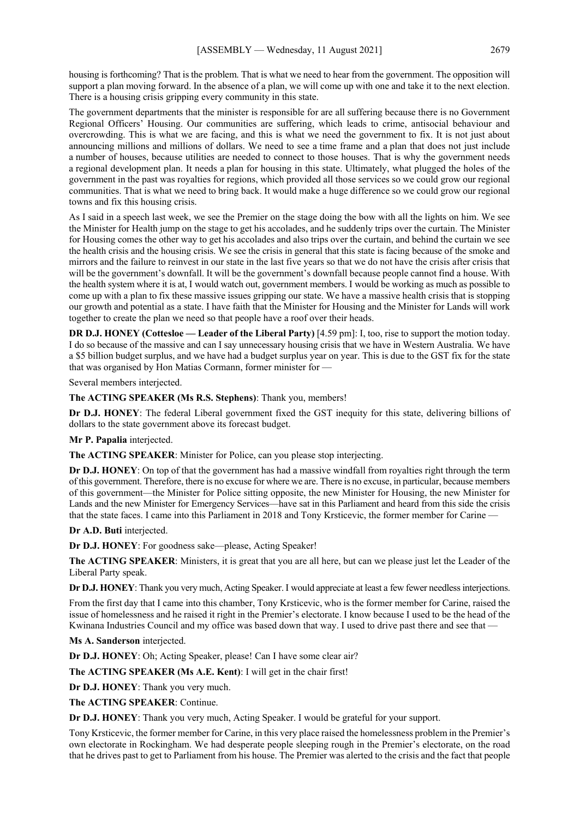housing is forthcoming? That is the problem. That is what we need to hear from the government. The opposition will support a plan moving forward. In the absence of a plan, we will come up with one and take it to the next election. There is a housing crisis gripping every community in this state.

The government departments that the minister is responsible for are all suffering because there is no Government Regional Officers' Housing. Our communities are suffering, which leads to crime, antisocial behaviour and overcrowding. This is what we are facing, and this is what we need the government to fix. It is not just about announcing millions and millions of dollars. We need to see a time frame and a plan that does not just include a number of houses, because utilities are needed to connect to those houses. That is why the government needs a regional development plan. It needs a plan for housing in this state. Ultimately, what plugged the holes of the government in the past was royalties for regions, which provided all those services so we could grow our regional communities. That is what we need to bring back. It would make a huge difference so we could grow our regional towns and fix this housing crisis.

As I said in a speech last week, we see the Premier on the stage doing the bow with all the lights on him. We see the Minister for Health jump on the stage to get his accolades, and he suddenly trips over the curtain. The Minister for Housing comes the other way to get his accolades and also trips over the curtain, and behind the curtain we see the health crisis and the housing crisis. We see the crisis in general that this state is facing because of the smoke and mirrors and the failure to reinvest in our state in the last five years so that we do not have the crisis after crisis that will be the government's downfall. It will be the government's downfall because people cannot find a house. With the health system where it is at, I would watch out, government members. I would be working as much as possible to come up with a plan to fix these massive issues gripping our state. We have a massive health crisis that is stopping our growth and potential as a state. I have faith that the Minister for Housing and the Minister for Lands will work together to create the plan we need so that people have a roof over their heads.

**DR D.J. HONEY (Cottesloe — Leader of the Liberal Party)** [4.59 pm]: I, too, rise to support the motion today. I do so because of the massive and can I say unnecessary housing crisis that we have in Western Australia. We have a \$5 billion budget surplus, and we have had a budget surplus year on year. This is due to the GST fix for the state that was organised by Hon Matias Cormann, former minister for —

Several members interjected.

**The ACTING SPEAKER (Ms R.S. Stephens)**: Thank you, members!

**Dr D.J. HONEY**: The federal Liberal government fixed the GST inequity for this state, delivering billions of dollars to the state government above its forecast budget.

**Mr P. Papalia** interjected.

**The ACTING SPEAKER**: Minister for Police, can you please stop interjecting.

**Dr D.J. HONEY**: On top of that the government has had a massive windfall from royalties right through the term of this government. Therefore, there is no excuse for where we are. There is no excuse, in particular, because members of this government—the Minister for Police sitting opposite, the new Minister for Housing, the new Minister for Lands and the new Minister for Emergency Services—have sat in this Parliament and heard from this side the crisis that the state faces. I came into this Parliament in 2018 and Tony Krsticevic, the former member for Carine —

**Dr A.D. Buti** interjected.

**Dr D.J. HONEY**: For goodness sake—please, Acting Speaker!

**The ACTING SPEAKER**: Ministers, it is great that you are all here, but can we please just let the Leader of the Liberal Party speak.

**Dr D.J. HONEY**: Thank you very much, Acting Speaker. I would appreciate at least a few fewer needless interjections.

From the first day that I came into this chamber, Tony Krsticevic, who is the former member for Carine, raised the issue of homelessness and he raised it right in the Premier's electorate. I know because I used to be the head of the Kwinana Industries Council and my office was based down that way. I used to drive past there and see that —

**Ms A. Sanderson** interjected.

**Dr D.J. HONEY**: Oh; Acting Speaker, please! Can I have some clear air?

**The ACTING SPEAKER (Ms A.E. Kent)**: I will get in the chair first!

**Dr D.J. HONEY**: Thank you very much.

**The ACTING SPEAKER**: Continue.

**Dr D.J. HONEY**: Thank you very much, Acting Speaker. I would be grateful for your support.

Tony Krsticevic, the former member for Carine, in this very place raised the homelessness problem in the Premier's own electorate in Rockingham. We had desperate people sleeping rough in the Premier's electorate, on the road that he drives past to get to Parliament from his house. The Premier was alerted to the crisis and the fact that people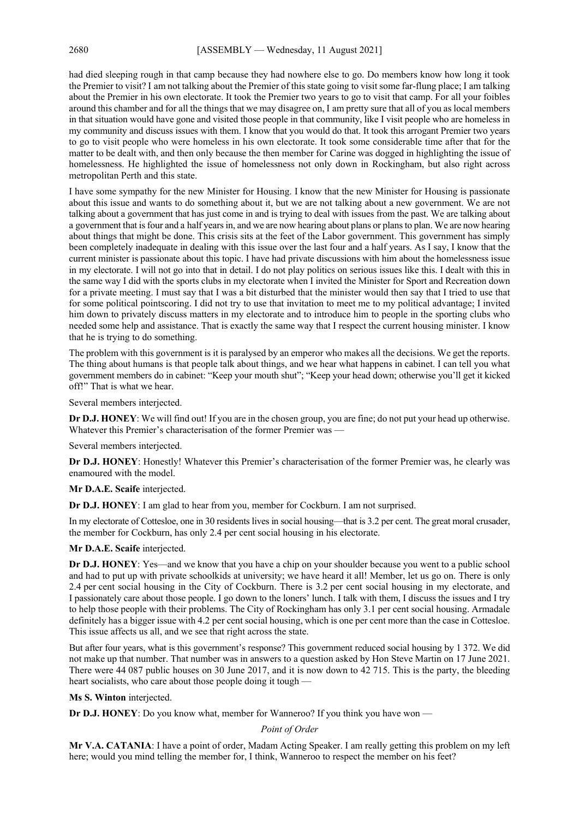had died sleeping rough in that camp because they had nowhere else to go. Do members know how long it took the Premier to visit? I am not talking about the Premier of this state going to visit some far-flung place; I am talking about the Premier in his own electorate. It took the Premier two years to go to visit that camp. For all your foibles around this chamber and for all the things that we may disagree on, I am pretty sure that all of you as local members in that situation would have gone and visited those people in that community, like I visit people who are homeless in my community and discuss issues with them. I know that you would do that. It took this arrogant Premier two years to go to visit people who were homeless in his own electorate. It took some considerable time after that for the matter to be dealt with, and then only because the then member for Carine was dogged in highlighting the issue of homelessness. He highlighted the issue of homelessness not only down in Rockingham, but also right across metropolitan Perth and this state.

I have some sympathy for the new Minister for Housing. I know that the new Minister for Housing is passionate about this issue and wants to do something about it, but we are not talking about a new government. We are not talking about a government that has just come in and is trying to deal with issues from the past. We are talking about a government that is four and a half years in, and we are now hearing about plans or plans to plan. We are now hearing about things that might be done. This crisis sits at the feet of the Labor government. This government has simply been completely inadequate in dealing with this issue over the last four and a half years. As I say, I know that the current minister is passionate about this topic. I have had private discussions with him about the homelessness issue in my electorate. I will not go into that in detail. I do not play politics on serious issues like this. I dealt with this in the same way I did with the sports clubs in my electorate when I invited the Minister for Sport and Recreation down for a private meeting. I must say that I was a bit disturbed that the minister would then say that I tried to use that for some political pointscoring. I did not try to use that invitation to meet me to my political advantage; I invited him down to privately discuss matters in my electorate and to introduce him to people in the sporting clubs who needed some help and assistance. That is exactly the same way that I respect the current housing minister. I know that he is trying to do something.

The problem with this government is it is paralysed by an emperor who makes all the decisions. We get the reports. The thing about humans is that people talk about things, and we hear what happens in cabinet. I can tell you what government members do in cabinet: "Keep your mouth shut"; "Keep your head down; otherwise you'll get it kicked off!" That is what we hear.

Several members interjected.

**Dr D.J. HONEY**: We will find out! If you are in the chosen group, you are fine; do not put your head up otherwise. Whatever this Premier's characterisation of the former Premier was —

Several members interjected.

**Dr D.J. HONEY**: Honestly! Whatever this Premier's characterisation of the former Premier was, he clearly was enamoured with the model.

**Mr D.A.E. Scaife** interjected.

**Dr D.J. HONEY**: I am glad to hear from you, member for Cockburn. I am not surprised.

In my electorate of Cottesloe, one in 30 residents lives in social housing—that is 3.2 per cent. The great moral crusader, the member for Cockburn, has only 2.4 per cent social housing in his electorate.

**Mr D.A.E. Scaife** interjected.

**Dr D.J. HONEY**: Yes—and we know that you have a chip on your shoulder because you went to a public school and had to put up with private schoolkids at university; we have heard it all! Member, let us go on. There is only 2.4 per cent social housing in the City of Cockburn. There is 3.2 per cent social housing in my electorate, and I passionately care about those people. I go down to the loners' lunch. I talk with them, I discuss the issues and I try to help those people with their problems. The City of Rockingham has only 3.1 per cent social housing. Armadale definitely has a bigger issue with 4.2 per cent social housing, which is one per cent more than the case in Cottesloe. This issue affects us all, and we see that right across the state.

But after four years, what is this government's response? This government reduced social housing by 1 372. We did not make up that number. That number was in answers to a question asked by Hon Steve Martin on 17 June 2021. There were 44 087 public houses on 30 June 2017, and it is now down to 42 715. This is the party, the bleeding heart socialists, who care about those people doing it tough —

**Ms S. Winton** interjected.

**Dr D.J. HONEY**: Do you know what, member for Wanneroo? If you think you have won —

#### *Point of Order*

**Mr V.A. CATANIA**: I have a point of order, Madam Acting Speaker. I am really getting this problem on my left here; would you mind telling the member for, I think, Wanneroo to respect the member on his feet?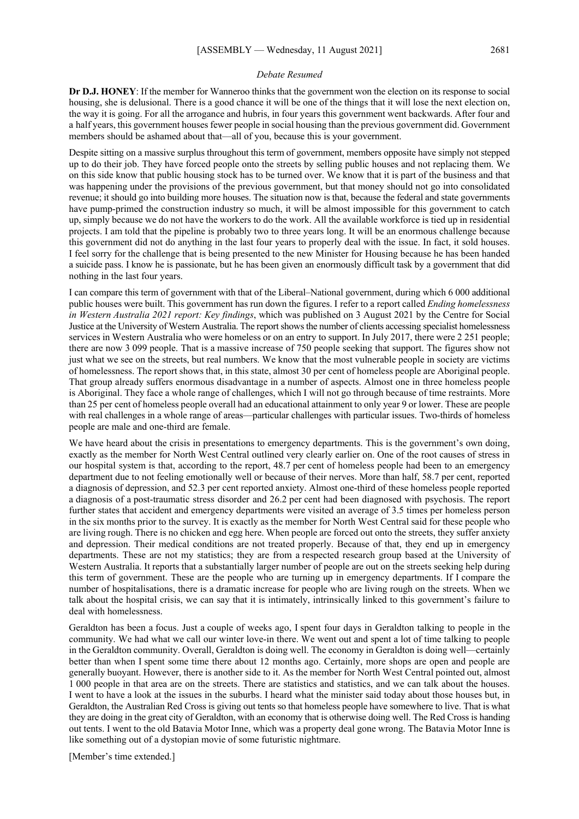#### *Debate Resumed*

**Dr D.J. HONEY**: If the member for Wanneroo thinks that the government won the election on its response to social housing, she is delusional. There is a good chance it will be one of the things that it will lose the next election on, the way it is going. For all the arrogance and hubris, in four years this government went backwards. After four and a half years, this government houses fewer people in social housing than the previous government did. Government members should be ashamed about that—all of you, because this is your government.

Despite sitting on a massive surplus throughout this term of government, members opposite have simply not stepped up to do their job. They have forced people onto the streets by selling public houses and not replacing them. We on this side know that public housing stock has to be turned over. We know that it is part of the business and that was happening under the provisions of the previous government, but that money should not go into consolidated revenue; it should go into building more houses. The situation now is that, because the federal and state governments have pump-primed the construction industry so much, it will be almost impossible for this government to catch up, simply because we do not have the workers to do the work. All the available workforce is tied up in residential projects. I am told that the pipeline is probably two to three years long. It will be an enormous challenge because this government did not do anything in the last four years to properly deal with the issue. In fact, it sold houses. I feel sorry for the challenge that is being presented to the new Minister for Housing because he has been handed a suicide pass. I know he is passionate, but he has been given an enormously difficult task by a government that did nothing in the last four years.

I can compare this term of government with that of the Liberal–National government, during which 6 000 additional public houses were built. This government has run down the figures. I refer to a report called *Ending homelessness in Western Australia 2021 report: Key findings*, which was published on 3 August 2021 by the Centre for Social Justice at the University of Western Australia. The report shows the number of clients accessing specialist homelessness services in Western Australia who were homeless or on an entry to support. In July 2017, there were 2 251 people; there are now 3 099 people. That is a massive increase of 750 people seeking that support. The figures show not just what we see on the streets, but real numbers. We know that the most vulnerable people in society are victims of homelessness. The report shows that, in this state, almost 30 per cent of homeless people are Aboriginal people. That group already suffers enormous disadvantage in a number of aspects. Almost one in three homeless people is Aboriginal. They face a whole range of challenges, which I will not go through because of time restraints. More than 25 per cent of homeless people overall had an educational attainment to only year 9 or lower. These are people with real challenges in a whole range of areas—particular challenges with particular issues. Two-thirds of homeless people are male and one-third are female.

We have heard about the crisis in presentations to emergency departments. This is the government's own doing, exactly as the member for North West Central outlined very clearly earlier on. One of the root causes of stress in our hospital system is that, according to the report, 48.7 per cent of homeless people had been to an emergency department due to not feeling emotionally well or because of their nerves. More than half, 58.7 per cent, reported a diagnosis of depression, and 52.3 per cent reported anxiety. Almost one-third of these homeless people reported a diagnosis of a post-traumatic stress disorder and 26.2 per cent had been diagnosed with psychosis. The report further states that accident and emergency departments were visited an average of 3.5 times per homeless person in the six months prior to the survey. It is exactly as the member for North West Central said for these people who are living rough. There is no chicken and egg here. When people are forced out onto the streets, they suffer anxiety and depression. Their medical conditions are not treated properly. Because of that, they end up in emergency departments. These are not my statistics; they are from a respected research group based at the University of Western Australia. It reports that a substantially larger number of people are out on the streets seeking help during this term of government. These are the people who are turning up in emergency departments. If I compare the number of hospitalisations, there is a dramatic increase for people who are living rough on the streets. When we talk about the hospital crisis, we can say that it is intimately, intrinsically linked to this government's failure to deal with homelessness.

Geraldton has been a focus. Just a couple of weeks ago, I spent four days in Geraldton talking to people in the community. We had what we call our winter love-in there. We went out and spent a lot of time talking to people in the Geraldton community. Overall, Geraldton is doing well. The economy in Geraldton is doing well—certainly better than when I spent some time there about 12 months ago. Certainly, more shops are open and people are generally buoyant. However, there is another side to it. As the member for North West Central pointed out, almost 1 000 people in that area are on the streets. There are statistics and statistics, and we can talk about the houses. I went to have a look at the issues in the suburbs. I heard what the minister said today about those houses but, in Geraldton, the Australian Red Cross is giving out tents so that homeless people have somewhere to live. That is what they are doing in the great city of Geraldton, with an economy that is otherwise doing well. The Red Cross is handing out tents. I went to the old Batavia Motor Inne, which was a property deal gone wrong. The Batavia Motor Inne is like something out of a dystopian movie of some futuristic nightmare.

[Member's time extended.]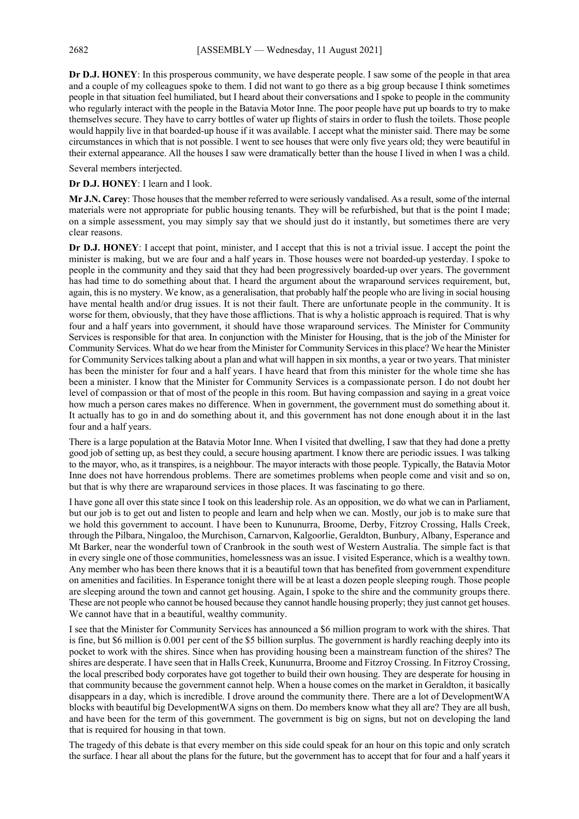**Dr D.J. HONEY**: In this prosperous community, we have desperate people. I saw some of the people in that area and a couple of my colleagues spoke to them. I did not want to go there as a big group because I think sometimes people in that situation feel humiliated, but I heard about their conversations and I spoke to people in the community who regularly interact with the people in the Batavia Motor Inne. The poor people have put up boards to try to make themselves secure. They have to carry bottles of water up flights of stairs in order to flush the toilets. Those people would happily live in that boarded-up house if it was available. I accept what the minister said. There may be some circumstances in which that is not possible. I went to see houses that were only five years old; they were beautiful in their external appearance. All the houses I saw were dramatically better than the house I lived in when I was a child.

Several members interjected.

**Dr D.J. HONEY**: I learn and I look.

**Mr J.N. Carey**: Those houses that the member referred to were seriously vandalised. As a result, some of the internal materials were not appropriate for public housing tenants. They will be refurbished, but that is the point I made; on a simple assessment, you may simply say that we should just do it instantly, but sometimes there are very clear reasons.

**Dr D.J. HONEY**: I accept that point, minister, and I accept that this is not a trivial issue. I accept the point the minister is making, but we are four and a half years in. Those houses were not boarded-up yesterday. I spoke to people in the community and they said that they had been progressively boarded-up over years. The government has had time to do something about that. I heard the argument about the wraparound services requirement, but, again, this is no mystery. We know, as a generalisation, that probably half the people who are living in social housing have mental health and/or drug issues. It is not their fault. There are unfortunate people in the community. It is worse for them, obviously, that they have those afflictions. That is why a holistic approach is required. That is why four and a half years into government, it should have those wraparound services. The Minister for Community Services is responsible for that area. In conjunction with the Minister for Housing, that is the job of the Minister for Community Services. What do we hear from the Minister for Community Services in this place? We hear the Minister for Community Services talking about a plan and what will happen in six months, a year or two years. That minister has been the minister for four and a half years. I have heard that from this minister for the whole time she has been a minister. I know that the Minister for Community Services is a compassionate person. I do not doubt her level of compassion or that of most of the people in this room. But having compassion and saying in a great voice how much a person cares makes no difference. When in government, the government must do something about it. It actually has to go in and do something about it, and this government has not done enough about it in the last four and a half years.

There is a large population at the Batavia Motor Inne. When I visited that dwelling, I saw that they had done a pretty good job of setting up, as best they could, a secure housing apartment. I know there are periodic issues. I was talking to the mayor, who, as it transpires, is a neighbour. The mayor interacts with those people. Typically, the Batavia Motor Inne does not have horrendous problems. There are sometimes problems when people come and visit and so on, but that is why there are wraparound services in those places. It was fascinating to go there.

I have gone all over this state since I took on this leadership role. As an opposition, we do what we can in Parliament, but our job is to get out and listen to people and learn and help when we can. Mostly, our job is to make sure that we hold this government to account. I have been to Kununurra, Broome, Derby, Fitzroy Crossing, Halls Creek, through the Pilbara, Ningaloo, the Murchison, Carnarvon, Kalgoorlie, Geraldton, Bunbury, Albany, Esperance and Mt Barker, near the wonderful town of Cranbrook in the south west of Western Australia. The simple fact is that in every single one of those communities, homelessness was an issue. I visited Esperance, which is a wealthy town. Any member who has been there knows that it is a beautiful town that has benefited from government expenditure on amenities and facilities. In Esperance tonight there will be at least a dozen people sleeping rough. Those people are sleeping around the town and cannot get housing. Again, I spoke to the shire and the community groups there. These are not people who cannot be housed because they cannot handle housing properly; they just cannot get houses. We cannot have that in a beautiful, wealthy community.

I see that the Minister for Community Services has announced a \$6 million program to work with the shires. That is fine, but \$6 million is 0.001 per cent of the \$5 billion surplus. The government is hardly reaching deeply into its pocket to work with the shires. Since when has providing housing been a mainstream function of the shires? The shires are desperate. I have seen that in Halls Creek, Kununurra, Broome and Fitzroy Crossing. In Fitzroy Crossing, the local prescribed body corporates have got together to build their own housing. They are desperate for housing in that community because the government cannot help. When a house comes on the market in Geraldton, it basically disappears in a day, which is incredible. I drove around the community there. There are a lot of DevelopmentWA blocks with beautiful big DevelopmentWA signs on them. Do members know what they all are? They are all bush, and have been for the term of this government. The government is big on signs, but not on developing the land that is required for housing in that town.

The tragedy of this debate is that every member on this side could speak for an hour on this topic and only scratch the surface. I hear all about the plans for the future, but the government has to accept that for four and a half years it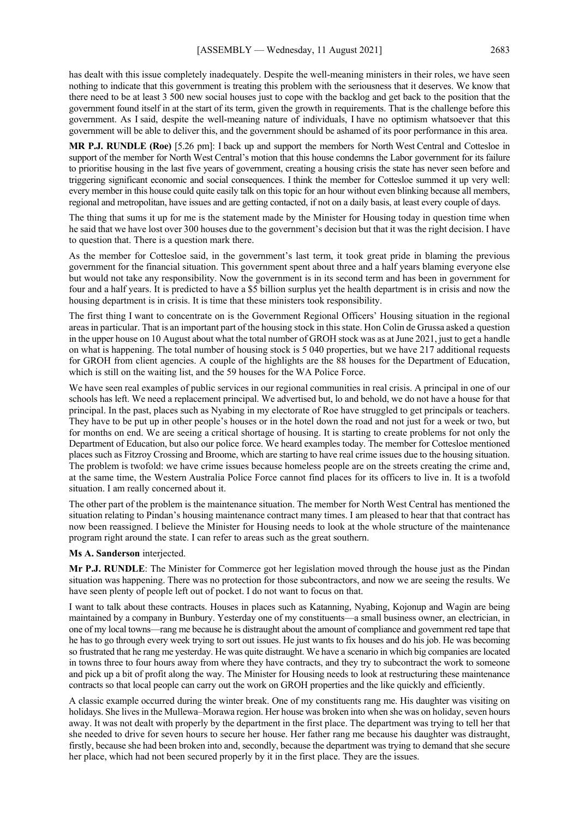has dealt with this issue completely inadequately. Despite the well-meaning ministers in their roles, we have seen nothing to indicate that this government is treating this problem with the seriousness that it deserves. We know that there need to be at least 3 500 new social houses just to cope with the backlog and get back to the position that the government found itself in at the start of its term, given the growth in requirements. That is the challenge before this government. As I said, despite the well-meaning nature of individuals, I have no optimism whatsoever that this government will be able to deliver this, and the government should be ashamed of its poor performance in this area.

**MR P.J. RUNDLE (Roe)** [5.26 pm]: I back up and support the members for North West Central and Cottesloe in support of the member for North West Central's motion that this house condemns the Labor government for its failure to prioritise housing in the last five years of government, creating a housing crisis the state has never seen before and triggering significant economic and social consequences. I think the member for Cottesloe summed it up very well: every member in this house could quite easily talk on this topic for an hour without even blinking because all members, regional and metropolitan, have issues and are getting contacted, if not on a daily basis, at least every couple of days.

The thing that sums it up for me is the statement made by the Minister for Housing today in question time when he said that we have lost over 300 houses due to the government's decision but that it was the right decision. I have to question that. There is a question mark there.

As the member for Cottesloe said, in the government's last term, it took great pride in blaming the previous government for the financial situation. This government spent about three and a half years blaming everyone else but would not take any responsibility. Now the government is in its second term and has been in government for four and a half years. It is predicted to have a \$5 billion surplus yet the health department is in crisis and now the housing department is in crisis. It is time that these ministers took responsibility.

The first thing I want to concentrate on is the Government Regional Officers' Housing situation in the regional areas in particular. That is an important part of the housing stock in this state. Hon Colin de Grussa asked a question in the upper house on 10 August about what the total number of GROH stock was as at June 2021, just to get a handle on what is happening. The total number of housing stock is 5 040 properties, but we have 217 additional requests for GROH from client agencies. A couple of the highlights are the 88 houses for the Department of Education, which is still on the waiting list, and the 59 houses for the WA Police Force.

We have seen real examples of public services in our regional communities in real crisis. A principal in one of our schools has left. We need a replacement principal. We advertised but, lo and behold, we do not have a house for that principal. In the past, places such as Nyabing in my electorate of Roe have struggled to get principals or teachers. They have to be put up in other people's houses or in the hotel down the road and not just for a week or two, but for months on end. We are seeing a critical shortage of housing. It is starting to create problems for not only the Department of Education, but also our police force. We heard examples today. The member for Cottesloe mentioned places such as Fitzroy Crossing and Broome, which are starting to have real crime issues due to the housing situation. The problem is twofold: we have crime issues because homeless people are on the streets creating the crime and, at the same time, the Western Australia Police Force cannot find places for its officers to live in. It is a twofold situation. I am really concerned about it.

The other part of the problem is the maintenance situation. The member for North West Central has mentioned the situation relating to Pindan's housing maintenance contract many times. I am pleased to hear that that contract has now been reassigned. I believe the Minister for Housing needs to look at the whole structure of the maintenance program right around the state. I can refer to areas such as the great southern.

#### **Ms A. Sanderson** interjected.

**Mr P.J. RUNDLE**: The Minister for Commerce got her legislation moved through the house just as the Pindan situation was happening. There was no protection for those subcontractors, and now we are seeing the results. We have seen plenty of people left out of pocket. I do not want to focus on that.

I want to talk about these contracts. Houses in places such as Katanning, Nyabing, Kojonup and Wagin are being maintained by a company in Bunbury. Yesterday one of my constituents—a small business owner, an electrician, in one of my local towns—rang me because he is distraught about the amount of compliance and government red tape that he has to go through every week trying to sort out issues. He just wants to fix houses and do his job. He was becoming so frustrated that he rang me yesterday. He was quite distraught. We have a scenario in which big companies are located in towns three to four hours away from where they have contracts, and they try to subcontract the work to someone and pick up a bit of profit along the way. The Minister for Housing needs to look at restructuring these maintenance contracts so that local people can carry out the work on GROH properties and the like quickly and efficiently.

A classic example occurred during the winter break. One of my constituents rang me. His daughter was visiting on holidays. She lives in the Mullewa–Morawa region. Her house was broken into when she was on holiday, seven hours away. It was not dealt with properly by the department in the first place. The department was trying to tell her that she needed to drive for seven hours to secure her house. Her father rang me because his daughter was distraught, firstly, because she had been broken into and, secondly, because the department was trying to demand that she secure her place, which had not been secured properly by it in the first place. They are the issues.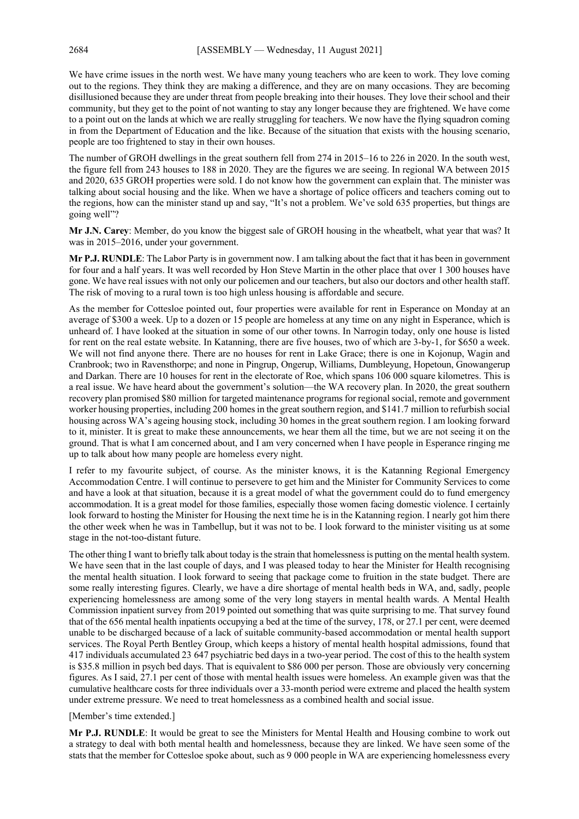We have crime issues in the north west. We have many young teachers who are keen to work. They love coming out to the regions. They think they are making a difference, and they are on many occasions. They are becoming disillusioned because they are under threat from people breaking into their houses. They love their school and their community, but they get to the point of not wanting to stay any longer because they are frightened. We have come to a point out on the lands at which we are really struggling for teachers. We now have the flying squadron coming in from the Department of Education and the like. Because of the situation that exists with the housing scenario, people are too frightened to stay in their own houses.

The number of GROH dwellings in the great southern fell from 274 in 2015–16 to 226 in 2020. In the south west, the figure fell from 243 houses to 188 in 2020. They are the figures we are seeing. In regional WA between 2015 and 2020, 635 GROH properties were sold. I do not know how the government can explain that. The minister was talking about social housing and the like. When we have a shortage of police officers and teachers coming out to the regions, how can the minister stand up and say, "It's not a problem. We've sold 635 properties, but things are going well"?

**Mr J.N. Carey**: Member, do you know the biggest sale of GROH housing in the wheatbelt, what year that was? It was in 2015–2016, under your government.

**Mr P.J. RUNDLE**: The Labor Party is in government now. I am talking about the fact that it has been in government for four and a half years. It was well recorded by Hon Steve Martin in the other place that over 1 300 houses have gone. We have real issues with not only our policemen and our teachers, but also our doctors and other health staff. The risk of moving to a rural town is too high unless housing is affordable and secure.

As the member for Cottesloe pointed out, four properties were available for rent in Esperance on Monday at an average of \$300 a week. Up to a dozen or 15 people are homeless at any time on any night in Esperance, which is unheard of. I have looked at the situation in some of our other towns. In Narrogin today, only one house is listed for rent on the real estate website. In Katanning, there are five houses, two of which are 3-by-1, for \$650 a week. We will not find anyone there. There are no houses for rent in Lake Grace; there is one in Kojonup, Wagin and Cranbrook; two in Ravensthorpe; and none in Pingrup, Ongerup, Williams, Dumbleyung, Hopetoun, Gnowangerup and Darkan. There are 10 houses for rent in the electorate of Roe, which spans 106 000 square kilometres. This is a real issue. We have heard about the government's solution—the WA recovery plan. In 2020, the great southern recovery plan promised \$80 million for targeted maintenance programs for regional social, remote and government worker housing properties, including 200 homes in the great southern region, and \$141.7 million to refurbish social housing across WA's ageing housing stock, including 30 homes in the great southern region. I am looking forward to it, minister. It is great to make these announcements, we hear them all the time, but we are not seeing it on the ground. That is what I am concerned about, and I am very concerned when I have people in Esperance ringing me up to talk about how many people are homeless every night.

I refer to my favourite subject, of course. As the minister knows, it is the Katanning Regional Emergency Accommodation Centre. I will continue to persevere to get him and the Minister for Community Services to come and have a look at that situation, because it is a great model of what the government could do to fund emergency accommodation. It is a great model for those families, especially those women facing domestic violence. I certainly look forward to hosting the Minister for Housing the next time he is in the Katanning region. I nearly got him there the other week when he was in Tambellup, but it was not to be. I look forward to the minister visiting us at some stage in the not-too-distant future.

The other thing I want to briefly talk about today is the strain that homelessness is putting on the mental health system. We have seen that in the last couple of days, and I was pleased today to hear the Minister for Health recognising the mental health situation. I look forward to seeing that package come to fruition in the state budget. There are some really interesting figures. Clearly, we have a dire shortage of mental health beds in WA, and, sadly, people experiencing homelessness are among some of the very long stayers in mental health wards. A Mental Health Commission inpatient survey from 2019 pointed out something that was quite surprising to me. That survey found that of the 656 mental health inpatients occupying a bed at the time of the survey, 178, or 27.1 per cent, were deemed unable to be discharged because of a lack of suitable community-based accommodation or mental health support services. The Royal Perth Bentley Group, which keeps a history of mental health hospital admissions, found that 417 individuals accumulated 23 647 psychiatric bed days in a two-year period. The cost of this to the health system is \$35.8 million in psych bed days. That is equivalent to \$86 000 per person. Those are obviously very concerning figures. As I said, 27.1 per cent of those with mental health issues were homeless. An example given was that the cumulative healthcare costs for three individuals over a 33-month period were extreme and placed the health system under extreme pressure. We need to treat homelessness as a combined health and social issue.

#### [Member's time extended.]

**Mr P.J. RUNDLE**: It would be great to see the Ministers for Mental Health and Housing combine to work out a strategy to deal with both mental health and homelessness, because they are linked. We have seen some of the stats that the member for Cottesloe spoke about, such as 9 000 people in WA are experiencing homelessness every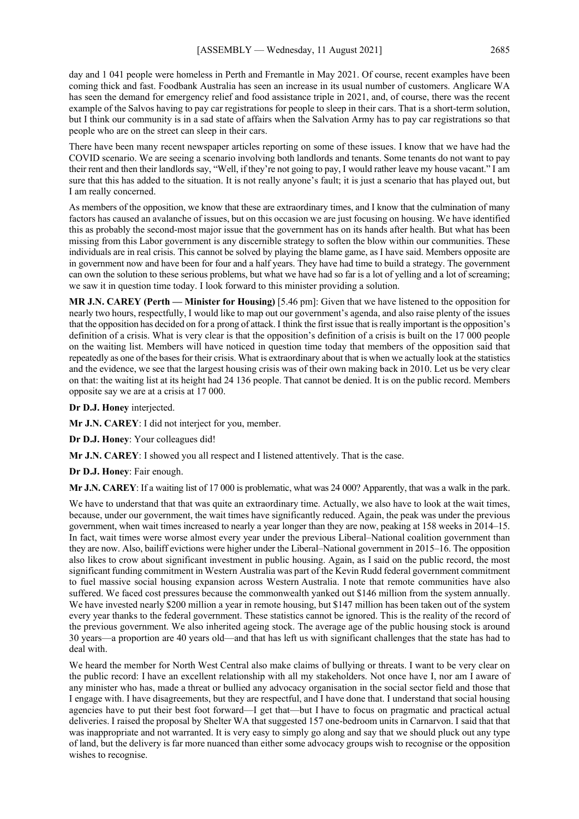day and 1 041 people were homeless in Perth and Fremantle in May 2021. Of course, recent examples have been coming thick and fast. Foodbank Australia has seen an increase in its usual number of customers. Anglicare WA has seen the demand for emergency relief and food assistance triple in 2021, and, of course, there was the recent example of the Salvos having to pay car registrations for people to sleep in their cars. That is a short-term solution, but I think our community is in a sad state of affairs when the Salvation Army has to pay car registrations so that people who are on the street can sleep in their cars.

There have been many recent newspaper articles reporting on some of these issues. I know that we have had the COVID scenario. We are seeing a scenario involving both landlords and tenants. Some tenants do not want to pay their rent and then their landlords say, "Well, if they're not going to pay, I would rather leave my house vacant." I am sure that this has added to the situation. It is not really anyone's fault; it is just a scenario that has played out, but I am really concerned.

As members of the opposition, we know that these are extraordinary times, and I know that the culmination of many factors has caused an avalanche of issues, but on this occasion we are just focusing on housing. We have identified this as probably the second-most major issue that the government has on its hands after health. But what has been missing from this Labor government is any discernible strategy to soften the blow within our communities. These individuals are in real crisis. This cannot be solved by playing the blame game, as I have said. Members opposite are in government now and have been for four and a half years. They have had time to build a strategy. The government can own the solution to these serious problems, but what we have had so far is a lot of yelling and a lot of screaming; we saw it in question time today. I look forward to this minister providing a solution.

**MR J.N. CAREY (Perth — Minister for Housing)** [5.46 pm]: Given that we have listened to the opposition for nearly two hours, respectfully, I would like to map out our government's agenda, and also raise plenty of the issues that the opposition has decided on for a prong of attack. I think the first issue that is really important is the opposition's definition of a crisis. What is very clear is that the opposition's definition of a crisis is built on the 17 000 people on the waiting list. Members will have noticed in question time today that members of the opposition said that repeatedly as one of the bases for their crisis. What is extraordinary about that is when we actually look at the statistics and the evidence, we see that the largest housing crisis was of their own making back in 2010. Let us be very clear on that: the waiting list at its height had 24 136 people. That cannot be denied. It is on the public record. Members opposite say we are at a crisis at 17 000.

**Dr D.J. Honey** interjected.

**Mr J.N. CAREY**: I did not interject for you, member.

**Dr D.J. Honey**: Your colleagues did!

**Mr J.N. CAREY**: I showed you all respect and I listened attentively. That is the case.

**Dr D.J. Honey**: Fair enough.

**Mr J.N. CAREY**: If a waiting list of 17 000 is problematic, what was 24 000? Apparently, that was a walk in the park.

We have to understand that that was quite an extraordinary time. Actually, we also have to look at the wait times, because, under our government, the wait times have significantly reduced. Again, the peak was under the previous government, when wait times increased to nearly a year longer than they are now, peaking at 158 weeks in 2014–15. In fact, wait times were worse almost every year under the previous Liberal–National coalition government than they are now. Also, bailiff evictions were higher under the Liberal–National government in 2015–16. The opposition also likes to crow about significant investment in public housing. Again, as I said on the public record, the most significant funding commitment in Western Australia was part of the Kevin Rudd federal government commitment to fuel massive social housing expansion across Western Australia. I note that remote communities have also suffered. We faced cost pressures because the commonwealth yanked out \$146 million from the system annually. We have invested nearly \$200 million a year in remote housing, but \$147 million has been taken out of the system every year thanks to the federal government. These statistics cannot be ignored. This is the reality of the record of the previous government. We also inherited ageing stock. The average age of the public housing stock is around 30 years—a proportion are 40 years old—and that has left us with significant challenges that the state has had to deal with.

We heard the member for North West Central also make claims of bullying or threats. I want to be very clear on the public record: I have an excellent relationship with all my stakeholders. Not once have I, nor am I aware of any minister who has, made a threat or bullied any advocacy organisation in the social sector field and those that I engage with. I have disagreements, but they are respectful, and I have done that. I understand that social housing agencies have to put their best foot forward—I get that—but I have to focus on pragmatic and practical actual deliveries. I raised the proposal by Shelter WA that suggested 157 one-bedroom units in Carnarvon. I said that that was inappropriate and not warranted. It is very easy to simply go along and say that we should pluck out any type of land, but the delivery is far more nuanced than either some advocacy groups wish to recognise or the opposition wishes to recognise.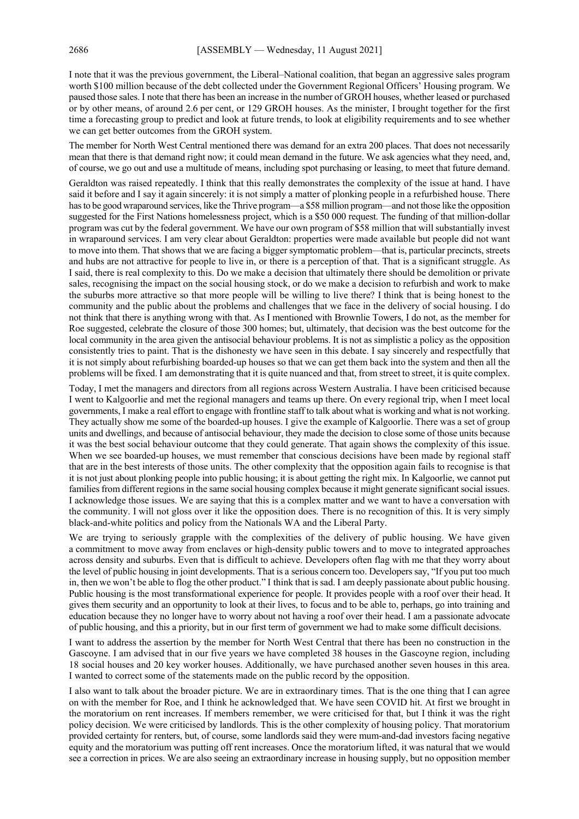I note that it was the previous government, the Liberal–National coalition, that began an aggressive sales program worth \$100 million because of the debt collected under the Government Regional Officers' Housing program. We paused those sales. I note that there has been an increase in the number of GROH houses, whether leased or purchased or by other means, of around 2.6 per cent, or 129 GROH houses. As the minister, I brought together for the first time a forecasting group to predict and look at future trends, to look at eligibility requirements and to see whether we can get better outcomes from the GROH system.

The member for North West Central mentioned there was demand for an extra 200 places. That does not necessarily mean that there is that demand right now; it could mean demand in the future. We ask agencies what they need, and, of course, we go out and use a multitude of means, including spot purchasing or leasing, to meet that future demand.

Geraldton was raised repeatedly. I think that this really demonstrates the complexity of the issue at hand. I have said it before and I say it again sincerely: it is not simply a matter of plonking people in a refurbished house. There has to be good wraparound services, like the Thrive program—a \$58 million program—and not those like the opposition suggested for the First Nations homelessness project, which is a \$50 000 request. The funding of that million-dollar program was cut by the federal government. We have our own program of \$58 million that will substantially invest in wraparound services. I am very clear about Geraldton: properties were made available but people did not want to move into them. That shows that we are facing a bigger symptomatic problem—that is, particular precincts, streets and hubs are not attractive for people to live in, or there is a perception of that. That is a significant struggle. As I said, there is real complexity to this. Do we make a decision that ultimately there should be demolition or private sales, recognising the impact on the social housing stock, or do we make a decision to refurbish and work to make the suburbs more attractive so that more people will be willing to live there? I think that is being honest to the community and the public about the problems and challenges that we face in the delivery of social housing. I do not think that there is anything wrong with that. As I mentioned with Brownlie Towers, I do not, as the member for Roe suggested, celebrate the closure of those 300 homes; but, ultimately, that decision was the best outcome for the local community in the area given the antisocial behaviour problems. It is not as simplistic a policy as the opposition consistently tries to paint. That is the dishonesty we have seen in this debate. I say sincerely and respectfully that it is not simply about refurbishing boarded-up houses so that we can get them back into the system and then all the problems will be fixed. I am demonstrating that it is quite nuanced and that, from street to street, it is quite complex.

Today, I met the managers and directors from all regions across Western Australia. I have been criticised because I went to Kalgoorlie and met the regional managers and teams up there. On every regional trip, when I meet local governments, I make a real effort to engage with frontline staff to talk about what is working and what is not working. They actually show me some of the boarded-up houses. I give the example of Kalgoorlie. There was a set of group units and dwellings, and because of antisocial behaviour, they made the decision to close some of those units because it was the best social behaviour outcome that they could generate. That again shows the complexity of this issue. When we see boarded-up houses, we must remember that conscious decisions have been made by regional staff that are in the best interests of those units. The other complexity that the opposition again fails to recognise is that it is not just about plonking people into public housing; it is about getting the right mix. In Kalgoorlie, we cannot put families from different regions in the same social housing complex because it might generate significant social issues. I acknowledge those issues. We are saying that this is a complex matter and we want to have a conversation with the community. I will not gloss over it like the opposition does. There is no recognition of this. It is very simply black-and-white politics and policy from the Nationals WA and the Liberal Party.

We are trying to seriously grapple with the complexities of the delivery of public housing. We have given a commitment to move away from enclaves or high-density public towers and to move to integrated approaches across density and suburbs. Even that is difficult to achieve. Developers often flag with me that they worry about the level of public housing in joint developments. That is a serious concern too. Developers say, "If you put too much in, then we won't be able to flog the other product." I think that is sad. I am deeply passionate about public housing. Public housing is the most transformational experience for people. It provides people with a roof over their head. It gives them security and an opportunity to look at their lives, to focus and to be able to, perhaps, go into training and education because they no longer have to worry about not having a roof over their head. I am a passionate advocate of public housing, and this a priority, but in our first term of government we had to make some difficult decisions.

I want to address the assertion by the member for North West Central that there has been no construction in the Gascoyne. I am advised that in our five years we have completed 38 houses in the Gascoyne region, including 18 social houses and 20 key worker houses. Additionally, we have purchased another seven houses in this area. I wanted to correct some of the statements made on the public record by the opposition.

I also want to talk about the broader picture. We are in extraordinary times. That is the one thing that I can agree on with the member for Roe, and I think he acknowledged that. We have seen COVID hit. At first we brought in the moratorium on rent increases. If members remember, we were criticised for that, but I think it was the right policy decision. We were criticised by landlords. This is the other complexity of housing policy. That moratorium provided certainty for renters, but, of course, some landlords said they were mum-and-dad investors facing negative equity and the moratorium was putting off rent increases. Once the moratorium lifted, it was natural that we would see a correction in prices. We are also seeing an extraordinary increase in housing supply, but no opposition member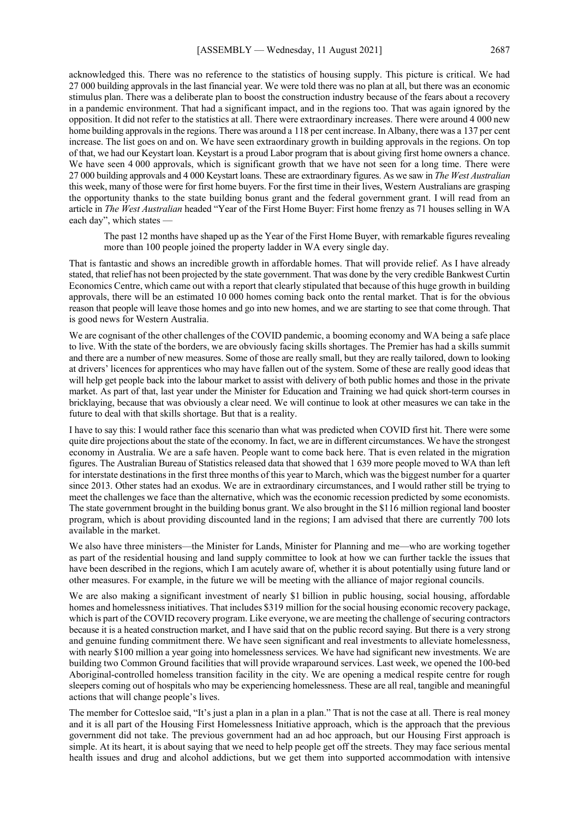acknowledged this. There was no reference to the statistics of housing supply. This picture is critical. We had 27 000 building approvals in the last financial year. We were told there was no plan at all, but there was an economic stimulus plan. There was a deliberate plan to boost the construction industry because of the fears about a recovery in a pandemic environment. That had a significant impact, and in the regions too. That was again ignored by the opposition. It did not refer to the statistics at all. There were extraordinary increases. There were around 4 000 new home building approvals in the regions. There was around a 118 per cent increase. In Albany, there was a 137 per cent increase. The list goes on and on. We have seen extraordinary growth in building approvals in the regions. On top of that, we had our Keystart loan. Keystart is a proud Labor program that is about giving first home owners a chance. We have seen 4 000 approvals, which is significant growth that we have not seen for a long time. There were 27 000 building approvals and 4 000 Keystart loans. These are extraordinary figures. As we saw in *The West Australian* this week, many of those were for first home buyers. For the first time in their lives, Western Australians are grasping the opportunity thanks to the state building bonus grant and the federal government grant. I will read from an article in *The West Australian* headed "Year of the First Home Buyer: First home frenzy as 71 houses selling in WA each day", which states —

The past 12 months have shaped up as the Year of the First Home Buyer, with remarkable figures revealing more than 100 people joined the property ladder in WA every single day.

That is fantastic and shows an incredible growth in affordable homes. That will provide relief. As I have already stated, that relief has not been projected by the state government. That was done by the very credible Bankwest Curtin Economics Centre, which came out with a report that clearly stipulated that because of this huge growth in building approvals, there will be an estimated 10 000 homes coming back onto the rental market. That is for the obvious reason that people will leave those homes and go into new homes, and we are starting to see that come through. That is good news for Western Australia.

We are cognisant of the other challenges of the COVID pandemic, a booming economy and WA being a safe place to live. With the state of the borders, we are obviously facing skills shortages. The Premier has had a skills summit and there are a number of new measures. Some of those are really small, but they are really tailored, down to looking at drivers' licences for apprentices who may have fallen out of the system. Some of these are really good ideas that will help get people back into the labour market to assist with delivery of both public homes and those in the private market. As part of that, last year under the Minister for Education and Training we had quick short-term courses in bricklaying, because that was obviously a clear need. We will continue to look at other measures we can take in the future to deal with that skills shortage. But that is a reality.

I have to say this: I would rather face this scenario than what was predicted when COVID first hit. There were some quite dire projections about the state of the economy. In fact, we are in different circumstances. We have the strongest economy in Australia. We are a safe haven. People want to come back here. That is even related in the migration figures. The Australian Bureau of Statistics released data that showed that 1 639 more people moved to WA than left for interstate destinations in the first three months of this year to March, which was the biggest number for a quarter since 2013. Other states had an exodus. We are in extraordinary circumstances, and I would rather still be trying to meet the challenges we face than the alternative, which was the economic recession predicted by some economists. The state government brought in the building bonus grant. We also brought in the \$116 million regional land booster program, which is about providing discounted land in the regions; I am advised that there are currently 700 lots available in the market.

We also have three ministers—the Minister for Lands, Minister for Planning and me—who are working together as part of the residential housing and land supply committee to look at how we can further tackle the issues that have been described in the regions, which I am acutely aware of, whether it is about potentially using future land or other measures. For example, in the future we will be meeting with the alliance of major regional councils.

We are also making a significant investment of nearly \$1 billion in public housing, social housing, affordable homes and homelessness initiatives. That includes \$319 million for the social housing economic recovery package, which is part of the COVID recovery program. Like everyone, we are meeting the challenge of securing contractors because it is a heated construction market, and I have said that on the public record saying. But there is a very strong and genuine funding commitment there. We have seen significant and real investments to alleviate homelessness, with nearly \$100 million a year going into homelessness services. We have had significant new investments. We are building two Common Ground facilities that will provide wraparound services. Last week, we opened the 100-bed Aboriginal-controlled homeless transition facility in the city. We are opening a medical respite centre for rough sleepers coming out of hospitals who may be experiencing homelessness. These are all real, tangible and meaningful actions that will change people's lives.

The member for Cottesloe said, "It's just a plan in a plan in a plan." That is not the case at all. There is real money and it is all part of the Housing First Homelessness Initiative approach, which is the approach that the previous government did not take. The previous government had an ad hoc approach, but our Housing First approach is simple. At its heart, it is about saying that we need to help people get off the streets. They may face serious mental health issues and drug and alcohol addictions, but we get them into supported accommodation with intensive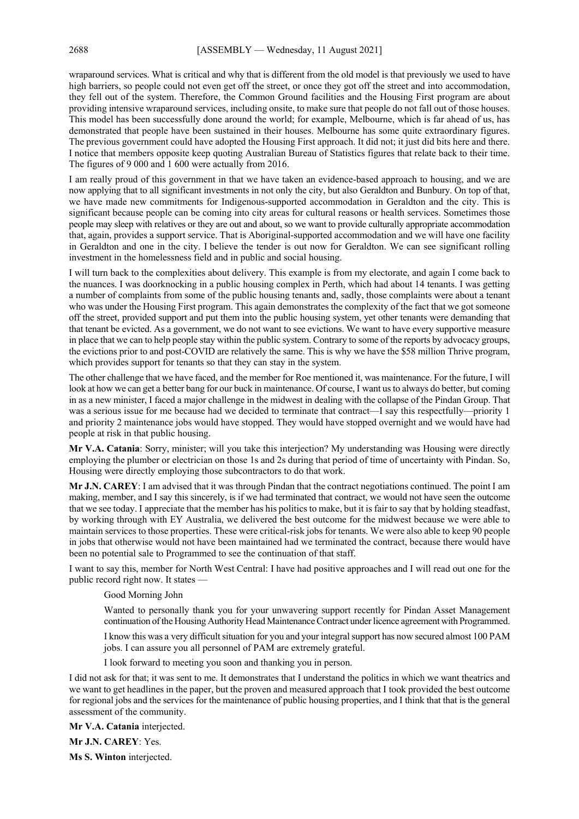wraparound services. What is critical and why that is different from the old model is that previously we used to have high barriers, so people could not even get off the street, or once they got off the street and into accommodation, they fell out of the system. Therefore, the Common Ground facilities and the Housing First program are about providing intensive wraparound services, including onsite, to make sure that people do not fall out of those houses. This model has been successfully done around the world; for example, Melbourne, which is far ahead of us, has demonstrated that people have been sustained in their houses. Melbourne has some quite extraordinary figures. The previous government could have adopted the Housing First approach. It did not; it just did bits here and there. I notice that members opposite keep quoting Australian Bureau of Statistics figures that relate back to their time. The figures of 9 000 and 1 600 were actually from 2016.

I am really proud of this government in that we have taken an evidence-based approach to housing, and we are now applying that to all significant investments in not only the city, but also Geraldton and Bunbury. On top of that, we have made new commitments for Indigenous-supported accommodation in Geraldton and the city. This is significant because people can be coming into city areas for cultural reasons or health services. Sometimes those people may sleep with relatives or they are out and about, so we want to provide culturally appropriate accommodation that, again, provides a support service. That is Aboriginal-supported accommodation and we will have one facility in Geraldton and one in the city. I believe the tender is out now for Geraldton. We can see significant rolling investment in the homelessness field and in public and social housing.

I will turn back to the complexities about delivery. This example is from my electorate, and again I come back to the nuances. I was doorknocking in a public housing complex in Perth, which had about 14 tenants. I was getting a number of complaints from some of the public housing tenants and, sadly, those complaints were about a tenant who was under the Housing First program. This again demonstrates the complexity of the fact that we got someone off the street, provided support and put them into the public housing system, yet other tenants were demanding that that tenant be evicted. As a government, we do not want to see evictions. We want to have every supportive measure in place that we can to help people stay within the public system. Contrary to some of the reports by advocacy groups, the evictions prior to and post-COVID are relatively the same. This is why we have the \$58 million Thrive program, which provides support for tenants so that they can stay in the system.

The other challenge that we have faced, and the member for Roe mentioned it, was maintenance. For the future, I will look at how we can get a better bang for our buck in maintenance. Of course, I want us to always do better, but coming in as a new minister, I faced a major challenge in the midwest in dealing with the collapse of the Pindan Group. That was a serious issue for me because had we decided to terminate that contract—I say this respectfully—priority 1 and priority 2 maintenance jobs would have stopped. They would have stopped overnight and we would have had people at risk in that public housing.

**Mr V.A. Catania**: Sorry, minister; will you take this interjection? My understanding was Housing were directly employing the plumber or electrician on those 1s and 2s during that period of time of uncertainty with Pindan. So, Housing were directly employing those subcontractors to do that work.

**Mr J.N. CAREY**: I am advised that it was through Pindan that the contract negotiations continued. The point I am making, member, and I say this sincerely, is if we had terminated that contract, we would not have seen the outcome that we see today. I appreciate that the member has his politics to make, but it is fair to say that by holding steadfast, by working through with EY Australia, we delivered the best outcome for the midwest because we were able to maintain services to those properties. These were critical-risk jobs for tenants. We were also able to keep 90 people in jobs that otherwise would not have been maintained had we terminated the contract, because there would have been no potential sale to Programmed to see the continuation of that staff.

I want to say this, member for North West Central: I have had positive approaches and I will read out one for the public record right now. It states —

#### Good Morning John

Wanted to personally thank you for your unwavering support recently for Pindan Asset Management continuation of the Housing Authority Head Maintenance Contract under licence agreement with Programmed.

I know this was a very difficult situation for you and your integral support has now secured almost 100 PAM jobs. I can assure you all personnel of PAM are extremely grateful.

I look forward to meeting you soon and thanking you in person.

I did not ask for that; it was sent to me. It demonstrates that I understand the politics in which we want theatrics and we want to get headlines in the paper, but the proven and measured approach that I took provided the best outcome for regional jobs and the services for the maintenance of public housing properties, and I think that that is the general assessment of the community.

**Mr V.A. Catania** interjected.

**Mr J.N. CAREY**: Yes.

**Ms S. Winton** interjected.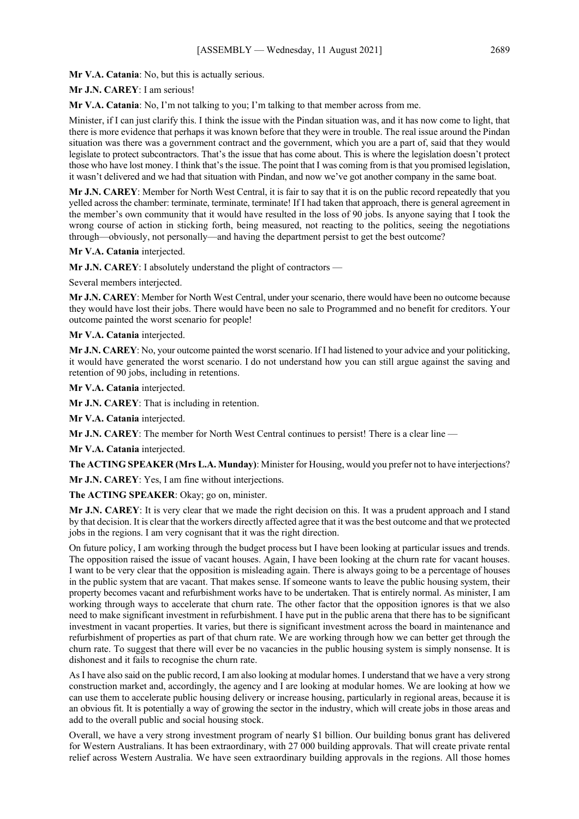**Mr V.A. Catania**: No, but this is actually serious.

**Mr J.N. CAREY**: I am serious!

**Mr V.A. Catania**: No, I'm not talking to you; I'm talking to that member across from me.

Minister, if I can just clarify this. I think the issue with the Pindan situation was, and it has now come to light, that there is more evidence that perhaps it was known before that they were in trouble. The real issue around the Pindan situation was there was a government contract and the government, which you are a part of, said that they would legislate to protect subcontractors. That's the issue that has come about. This is where the legislation doesn't protect those who have lost money. I think that's the issue. The point that I was coming from is that you promised legislation, it wasn't delivered and we had that situation with Pindan, and now we've got another company in the same boat.

**Mr J.N. CAREY**: Member for North West Central, it is fair to say that it is on the public record repeatedly that you yelled across the chamber: terminate, terminate, terminate! If I had taken that approach, there is general agreement in the member's own community that it would have resulted in the loss of 90 jobs. Is anyone saying that I took the wrong course of action in sticking forth, being measured, not reacting to the politics, seeing the negotiations through—obviously, not personally—and having the department persist to get the best outcome?

**Mr V.A. Catania** interjected.

**Mr J.N. CAREY**: I absolutely understand the plight of contractors —

Several members interjected.

**Mr J.N. CAREY**: Member for North West Central, under your scenario, there would have been no outcome because they would have lost their jobs. There would have been no sale to Programmed and no benefit for creditors. Your outcome painted the worst scenario for people!

**Mr V.A. Catania** interjected.

**Mr J.N. CAREY**: No, your outcome painted the worst scenario. If I had listened to your advice and your politicking, it would have generated the worst scenario. I do not understand how you can still argue against the saving and retention of 90 jobs, including in retentions.

**Mr V.A. Catania** interjected.

**Mr J.N. CAREY**: That is including in retention.

**Mr V.A. Catania** interjected.

**Mr J.N. CAREY**: The member for North West Central continues to persist! There is a clear line —

**Mr V.A. Catania** interjected.

**The ACTING SPEAKER (Mrs L.A. Munday)**: Minister for Housing, would you prefer not to have interjections?

**Mr J.N. CAREY**: Yes, I am fine without interjections.

**The ACTING SPEAKER**: Okay; go on, minister.

**Mr J.N. CAREY**: It is very clear that we made the right decision on this. It was a prudent approach and I stand by that decision. It is clear that the workers directly affected agree that it was the best outcome and that we protected jobs in the regions. I am very cognisant that it was the right direction.

On future policy, I am working through the budget process but I have been looking at particular issues and trends. The opposition raised the issue of vacant houses. Again, I have been looking at the churn rate for vacant houses. I want to be very clear that the opposition is misleading again. There is always going to be a percentage of houses in the public system that are vacant. That makes sense. If someone wants to leave the public housing system, their property becomes vacant and refurbishment works have to be undertaken. That is entirely normal. As minister, I am working through ways to accelerate that churn rate. The other factor that the opposition ignores is that we also need to make significant investment in refurbishment. I have put in the public arena that there has to be significant investment in vacant properties. It varies, but there is significant investment across the board in maintenance and refurbishment of properties as part of that churn rate. We are working through how we can better get through the churn rate. To suggest that there will ever be no vacancies in the public housing system is simply nonsense. It is dishonest and it fails to recognise the churn rate.

As I have also said on the public record, I am also looking at modular homes. I understand that we have a very strong construction market and, accordingly, the agency and I are looking at modular homes. We are looking at how we can use them to accelerate public housing delivery or increase housing, particularly in regional areas, because it is an obvious fit. It is potentially a way of growing the sector in the industry, which will create jobs in those areas and add to the overall public and social housing stock.

Overall, we have a very strong investment program of nearly \$1 billion. Our building bonus grant has delivered for Western Australians. It has been extraordinary, with 27 000 building approvals. That will create private rental relief across Western Australia. We have seen extraordinary building approvals in the regions. All those homes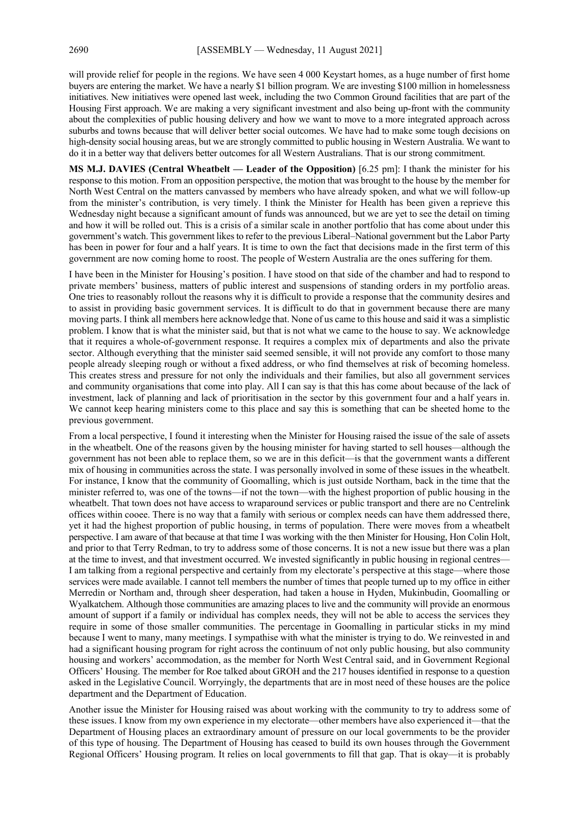will provide relief for people in the regions. We have seen 4 000 Keystart homes, as a huge number of first home buyers are entering the market. We have a nearly \$1 billion program. We are investing \$100 million in homelessness initiatives. New initiatives were opened last week, including the two Common Ground facilities that are part of the Housing First approach. We are making a very significant investment and also being up-front with the community about the complexities of public housing delivery and how we want to move to a more integrated approach across suburbs and towns because that will deliver better social outcomes. We have had to make some tough decisions on high-density social housing areas, but we are strongly committed to public housing in Western Australia. We want to do it in a better way that delivers better outcomes for all Western Australians. That is our strong commitment.

**MS M.J. DAVIES (Central Wheatbelt — Leader of the Opposition)** [6.25 pm]: I thank the minister for his response to this motion. From an opposition perspective, the motion that was brought to the house by the member for North West Central on the matters canvassed by members who have already spoken, and what we will follow-up from the minister's contribution, is very timely. I think the Minister for Health has been given a reprieve this Wednesday night because a significant amount of funds was announced, but we are yet to see the detail on timing and how it will be rolled out. This is a crisis of a similar scale in another portfolio that has come about under this government's watch. This government likes to refer to the previous Liberal–National government but the Labor Party has been in power for four and a half years. It is time to own the fact that decisions made in the first term of this government are now coming home to roost. The people of Western Australia are the ones suffering for them.

I have been in the Minister for Housing's position. I have stood on that side of the chamber and had to respond to private members' business, matters of public interest and suspensions of standing orders in my portfolio areas. One tries to reasonably rollout the reasons why it is difficult to provide a response that the community desires and to assist in providing basic government services. It is difficult to do that in government because there are many moving parts. I think all members here acknowledge that. None of us came to this house and said it was a simplistic problem. I know that is what the minister said, but that is not what we came to the house to say. We acknowledge that it requires a whole-of-government response. It requires a complex mix of departments and also the private sector. Although everything that the minister said seemed sensible, it will not provide any comfort to those many people already sleeping rough or without a fixed address, or who find themselves at risk of becoming homeless. This creates stress and pressure for not only the individuals and their families, but also all government services and community organisations that come into play. All I can say is that this has come about because of the lack of investment, lack of planning and lack of prioritisation in the sector by this government four and a half years in. We cannot keep hearing ministers come to this place and say this is something that can be sheeted home to the previous government.

From a local perspective, I found it interesting when the Minister for Housing raised the issue of the sale of assets in the wheatbelt. One of the reasons given by the housing minister for having started to sell houses—although the government has not been able to replace them, so we are in this deficit—is that the government wants a different mix of housing in communities across the state. I was personally involved in some of these issues in the wheatbelt. For instance, I know that the community of Goomalling, which is just outside Northam, back in the time that the minister referred to, was one of the towns—if not the town—with the highest proportion of public housing in the wheatbelt. That town does not have access to wraparound services or public transport and there are no Centrelink offices within cooee. There is no way that a family with serious or complex needs can have them addressed there, yet it had the highest proportion of public housing, in terms of population. There were moves from a wheatbelt perspective. I am aware of that because at that time I was working with the then Minister for Housing, Hon Colin Holt, and prior to that Terry Redman, to try to address some of those concerns. It is not a new issue but there was a plan at the time to invest, and that investment occurred. We invested significantly in public housing in regional centres— I am talking from a regional perspective and certainly from my electorate's perspective at this stage—where those services were made available. I cannot tell members the number of times that people turned up to my office in either Merredin or Northam and, through sheer desperation, had taken a house in Hyden, Mukinbudin, Goomalling or Wyalkatchem. Although those communities are amazing places to live and the community will provide an enormous amount of support if a family or individual has complex needs, they will not be able to access the services they require in some of those smaller communities. The percentage in Goomalling in particular sticks in my mind because I went to many, many meetings. I sympathise with what the minister is trying to do. We reinvested in and had a significant housing program for right across the continuum of not only public housing, but also community housing and workers' accommodation, as the member for North West Central said, and in Government Regional Officers' Housing. The member for Roe talked about GROH and the 217 houses identified in response to a question asked in the Legislative Council. Worryingly, the departments that are in most need of these houses are the police department and the Department of Education.

Another issue the Minister for Housing raised was about working with the community to try to address some of these issues. I know from my own experience in my electorate—other members have also experienced it—that the Department of Housing places an extraordinary amount of pressure on our local governments to be the provider of this type of housing. The Department of Housing has ceased to build its own houses through the Government Regional Officers' Housing program. It relies on local governments to fill that gap. That is okay—it is probably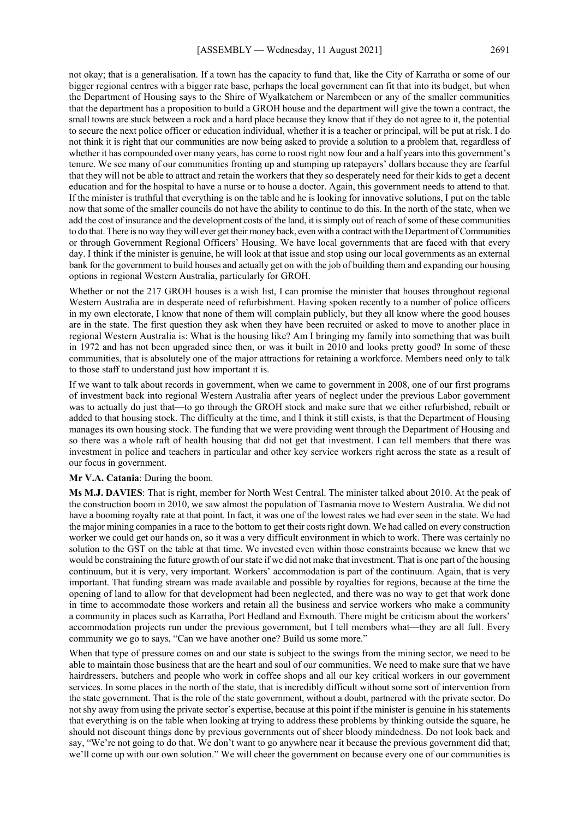not okay; that is a generalisation. If a town has the capacity to fund that, like the City of Karratha or some of our bigger regional centres with a bigger rate base, perhaps the local government can fit that into its budget, but when the Department of Housing says to the Shire of Wyalkatchem or Narembeen or any of the smaller communities

that the department has a proposition to build a GROH house and the department will give the town a contract, the small towns are stuck between a rock and a hard place because they know that if they do not agree to it, the potential to secure the next police officer or education individual, whether it is a teacher or principal, will be put at risk. I do not think it is right that our communities are now being asked to provide a solution to a problem that, regardless of whether it has compounded over many years, has come to roost right now four and a half years into this government's tenure. We see many of our communities fronting up and stumping up ratepayers' dollars because they are fearful that they will not be able to attract and retain the workers that they so desperately need for their kids to get a decent education and for the hospital to have a nurse or to house a doctor. Again, this government needs to attend to that. If the minister is truthful that everything is on the table and he is looking for innovative solutions, I put on the table now that some of the smaller councils do not have the ability to continue to do this. In the north of the state, when we add the cost of insurance and the development costs of the land, it is simply out of reach of some of these communities to do that. There is no way they will ever get their money back, even with a contract with the Department of Communities or through Government Regional Officers' Housing. We have local governments that are faced with that every day. I think if the minister is genuine, he will look at that issue and stop using our local governments as an external bank for the government to build houses and actually get on with the job of building them and expanding our housing options in regional Western Australia, particularly for GROH.

Whether or not the 217 GROH houses is a wish list, I can promise the minister that houses throughout regional Western Australia are in desperate need of refurbishment. Having spoken recently to a number of police officers in my own electorate, I know that none of them will complain publicly, but they all know where the good houses are in the state. The first question they ask when they have been recruited or asked to move to another place in regional Western Australia is: What is the housing like? Am I bringing my family into something that was built in 1972 and has not been upgraded since then, or was it built in 2010 and looks pretty good? In some of these communities, that is absolutely one of the major attractions for retaining a workforce. Members need only to talk to those staff to understand just how important it is.

If we want to talk about records in government, when we came to government in 2008, one of our first programs of investment back into regional Western Australia after years of neglect under the previous Labor government was to actually do just that—to go through the GROH stock and make sure that we either refurbished, rebuilt or added to that housing stock. The difficulty at the time, and I think it still exists, is that the Department of Housing manages its own housing stock. The funding that we were providing went through the Department of Housing and so there was a whole raft of health housing that did not get that investment. I can tell members that there was investment in police and teachers in particular and other key service workers right across the state as a result of our focus in government.

#### **Mr V.A. Catania**: During the boom.

**Ms M.J. DAVIES**: That is right, member for North West Central. The minister talked about 2010. At the peak of the construction boom in 2010, we saw almost the population of Tasmania move to Western Australia. We did not have a booming royalty rate at that point. In fact, it was one of the lowest rates we had ever seen in the state. We had the major mining companies in a race to the bottom to get their costs right down. We had called on every construction worker we could get our hands on, so it was a very difficult environment in which to work. There was certainly no solution to the GST on the table at that time. We invested even within those constraints because we knew that we would be constraining the future growth of our state if we did not make that investment. That is one part of the housing continuum, but it is very, very important. Workers' accommodation is part of the continuum. Again, that is very important. That funding stream was made available and possible by royalties for regions, because at the time the opening of land to allow for that development had been neglected, and there was no way to get that work done in time to accommodate those workers and retain all the business and service workers who make a community a community in places such as Karratha, Port Hedland and Exmouth. There might be criticism about the workers' accommodation projects run under the previous government, but I tell members what—they are all full. Every community we go to says, "Can we have another one? Build us some more."

When that type of pressure comes on and our state is subject to the swings from the mining sector, we need to be able to maintain those business that are the heart and soul of our communities. We need to make sure that we have hairdressers, butchers and people who work in coffee shops and all our key critical workers in our government services. In some places in the north of the state, that is incredibly difficult without some sort of intervention from the state government. That is the role of the state government, without a doubt, partnered with the private sector. Do not shy away from using the private sector's expertise, because at this point if the minister is genuine in his statements that everything is on the table when looking at trying to address these problems by thinking outside the square, he should not discount things done by previous governments out of sheer bloody mindedness. Do not look back and say, "We're not going to do that. We don't want to go anywhere near it because the previous government did that; we'll come up with our own solution." We will cheer the government on because every one of our communities is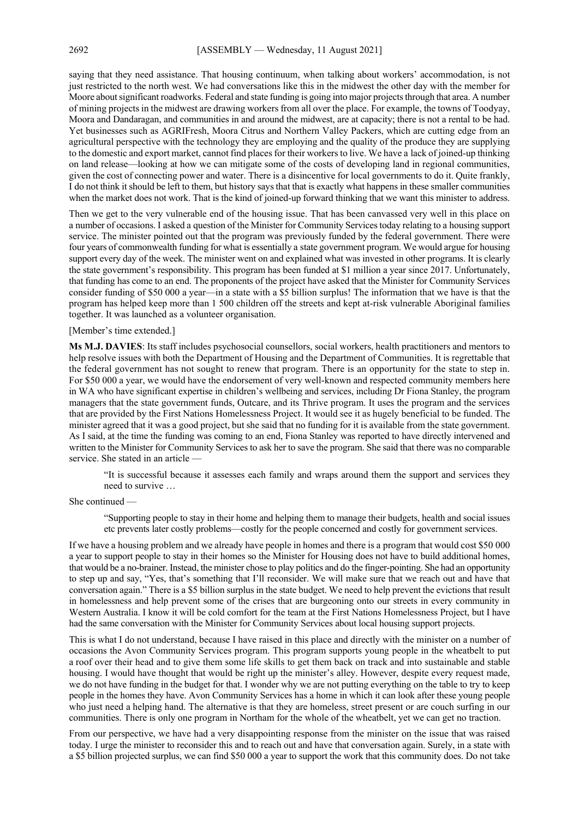saying that they need assistance. That housing continuum, when talking about workers' accommodation, is not just restricted to the north west. We had conversations like this in the midwest the other day with the member for Moore about significant roadworks. Federal and state funding is going into major projects through that area. A number of mining projects in the midwest are drawing workers from all over the place. For example, the towns of Toodyay, Moora and Dandaragan, and communities in and around the midwest, are at capacity; there is not a rental to be had. Yet businesses such as AGRIFresh, Moora Citrus and Northern Valley Packers, which are cutting edge from an agricultural perspective with the technology they are employing and the quality of the produce they are supplying to the domestic and export market, cannot find places for their workers to live. We have a lack of joined-up thinking on land release—looking at how we can mitigate some of the costs of developing land in regional communities, given the cost of connecting power and water. There is a disincentive for local governments to do it. Quite frankly, I do not think it should be left to them, but history says that that is exactly what happens in these smaller communities when the market does not work. That is the kind of joined-up forward thinking that we want this minister to address.

Then we get to the very vulnerable end of the housing issue. That has been canvassed very well in this place on a number of occasions. I asked a question of the Minister for Community Services today relating to a housing support service. The minister pointed out that the program was previously funded by the federal government. There were four years of commonwealth funding for what is essentially a state government program. We would argue for housing support every day of the week. The minister went on and explained what was invested in other programs. It is clearly the state government's responsibility. This program has been funded at \$1 million a year since 2017. Unfortunately, that funding has come to an end. The proponents of the project have asked that the Minister for Community Services consider funding of \$50 000 a year—in a state with a \$5 billion surplus! The information that we have is that the program has helped keep more than 1 500 children off the streets and kept at-risk vulnerable Aboriginal families together. It was launched as a volunteer organisation.

#### [Member's time extended.]

**Ms M.J. DAVIES**: Its staff includes psychosocial counsellors, social workers, health practitioners and mentors to help resolve issues with both the Department of Housing and the Department of Communities. It is regrettable that the federal government has not sought to renew that program. There is an opportunity for the state to step in. For \$50 000 a year, we would have the endorsement of very well-known and respected community members here in WA who have significant expertise in children's wellbeing and services, including Dr Fiona Stanley, the program managers that the state government funds, Outcare, and its Thrive program. It uses the program and the services that are provided by the First Nations Homelessness Project. It would see it as hugely beneficial to be funded. The minister agreed that it was a good project, but she said that no funding for it is available from the state government. As I said, at the time the funding was coming to an end, Fiona Stanley was reported to have directly intervened and written to the Minister for Community Services to ask her to save the program. She said that there was no comparable service. She stated in an article —

"It is successful because it assesses each family and wraps around them the support and services they need to survive …

#### She continued —

"Supporting people to stay in their home and helping them to manage their budgets, health and social issues etc prevents later costly problems—costly for the people concerned and costly for government services.

If we have a housing problem and we already have people in homes and there is a program that would cost \$50 000 a year to support people to stay in their homes so the Minister for Housing does not have to build additional homes, that would be a no-brainer. Instead, the minister chose to play politics and do the finger-pointing. She had an opportunity to step up and say, "Yes, that's something that I'll reconsider. We will make sure that we reach out and have that conversation again." There is a \$5 billion surplus in the state budget. We need to help prevent the evictions that result in homelessness and help prevent some of the crises that are burgeoning onto our streets in every community in Western Australia. I know it will be cold comfort for the team at the First Nations Homelessness Project, but I have had the same conversation with the Minister for Community Services about local housing support projects.

This is what I do not understand, because I have raised in this place and directly with the minister on a number of occasions the Avon Community Services program. This program supports young people in the wheatbelt to put a roof over their head and to give them some life skills to get them back on track and into sustainable and stable housing. I would have thought that would be right up the minister's alley. However, despite every request made, we do not have funding in the budget for that. I wonder why we are not putting everything on the table to try to keep people in the homes they have. Avon Community Services has a home in which it can look after these young people who just need a helping hand. The alternative is that they are homeless, street present or are couch surfing in our communities. There is only one program in Northam for the whole of the wheatbelt, yet we can get no traction.

From our perspective, we have had a very disappointing response from the minister on the issue that was raised today. I urge the minister to reconsider this and to reach out and have that conversation again. Surely, in a state with a \$5 billion projected surplus, we can find \$50 000 a year to support the work that this community does. Do not take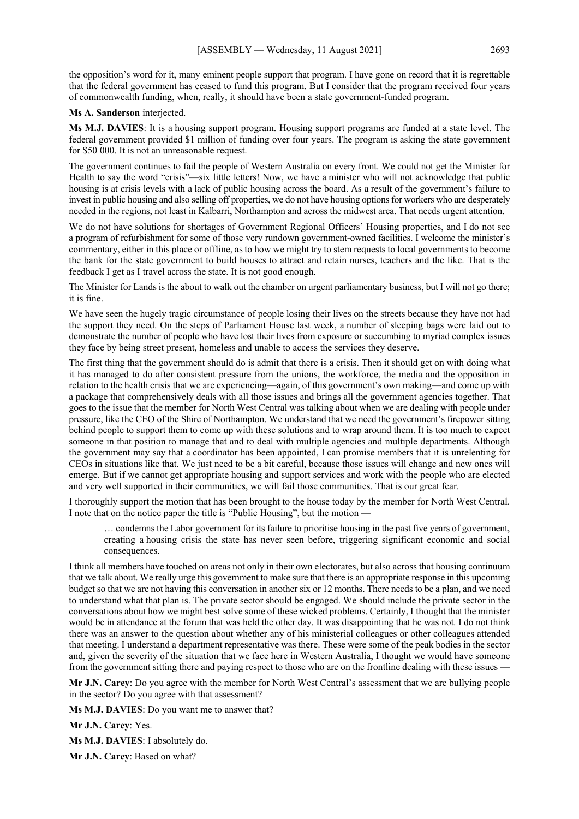the opposition's word for it, many eminent people support that program. I have gone on record that it is regrettable that the federal government has ceased to fund this program. But I consider that the program received four years of commonwealth funding, when, really, it should have been a state government-funded program.

#### **Ms A. Sanderson** interjected.

**Ms M.J. DAVIES**: It is a housing support program. Housing support programs are funded at a state level. The federal government provided \$1 million of funding over four years. The program is asking the state government for \$50 000. It is not an unreasonable request.

The government continues to fail the people of Western Australia on every front. We could not get the Minister for Health to say the word "crisis"—six little letters! Now, we have a minister who will not acknowledge that public housing is at crisis levels with a lack of public housing across the board. As a result of the government's failure to invest in public housing and also selling off properties, we do not have housing options for workers who are desperately needed in the regions, not least in Kalbarri, Northampton and across the midwest area. That needs urgent attention.

We do not have solutions for shortages of Government Regional Officers' Housing properties, and I do not see a program of refurbishment for some of those very rundown government-owned facilities. I welcome the minister's commentary, either in this place or offline, as to how we might try to stem requests to local governments to become the bank for the state government to build houses to attract and retain nurses, teachers and the like. That is the feedback I get as I travel across the state. It is not good enough.

The Minister for Lands is the about to walk out the chamber on urgent parliamentary business, but I will not go there; it is fine.

We have seen the hugely tragic circumstance of people losing their lives on the streets because they have not had the support they need. On the steps of Parliament House last week, a number of sleeping bags were laid out to demonstrate the number of people who have lost their lives from exposure or succumbing to myriad complex issues they face by being street present, homeless and unable to access the services they deserve.

The first thing that the government should do is admit that there is a crisis. Then it should get on with doing what it has managed to do after consistent pressure from the unions, the workforce, the media and the opposition in relation to the health crisis that we are experiencing—again, of this government's own making—and come up with a package that comprehensively deals with all those issues and brings all the government agencies together. That goes to the issue that the member for North West Central was talking about when we are dealing with people under pressure, like the CEO of the Shire of Northampton. We understand that we need the government's firepower sitting behind people to support them to come up with these solutions and to wrap around them. It is too much to expect someone in that position to manage that and to deal with multiple agencies and multiple departments. Although the government may say that a coordinator has been appointed, I can promise members that it is unrelenting for CEOs in situations like that. We just need to be a bit careful, because those issues will change and new ones will emerge. But if we cannot get appropriate housing and support services and work with the people who are elected and very well supported in their communities, we will fail those communities. That is our great fear.

I thoroughly support the motion that has been brought to the house today by the member for North West Central. I note that on the notice paper the title is "Public Housing", but the motion —

… condemns the Labor government for its failure to prioritise housing in the past five years of government, creating a housing crisis the state has never seen before, triggering significant economic and social consequences.

I think all members have touched on areas not only in their own electorates, but also across that housing continuum that we talk about. We really urge this government to make sure that there is an appropriate response in this upcoming budget so that we are not having this conversation in another six or 12 months. There needs to be a plan, and we need to understand what that plan is. The private sector should be engaged. We should include the private sector in the conversations about how we might best solve some of these wicked problems. Certainly, I thought that the minister would be in attendance at the forum that was held the other day. It was disappointing that he was not. I do not think there was an answer to the question about whether any of his ministerial colleagues or other colleagues attended that meeting. I understand a department representative was there. These were some of the peak bodies in the sector and, given the severity of the situation that we face here in Western Australia, I thought we would have someone from the government sitting there and paying respect to those who are on the frontline dealing with these issues  $\cdot$ 

**Mr J.N. Carey**: Do you agree with the member for North West Central's assessment that we are bullying people in the sector? Do you agree with that assessment?

**Ms M.J. DAVIES**: Do you want me to answer that?

**Mr J.N. Carey**: Yes.

**Ms M.J. DAVIES**: I absolutely do.

**Mr J.N. Carey**: Based on what?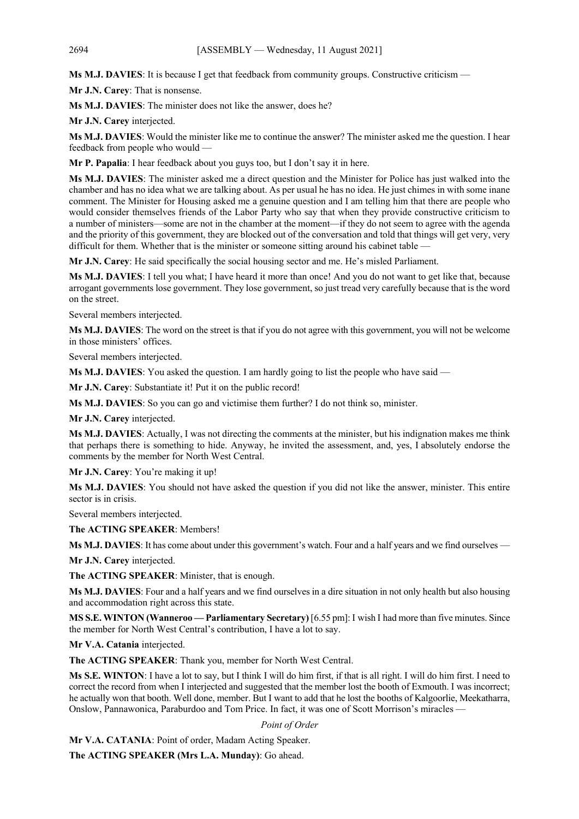**Ms M.J. DAVIES**: It is because I get that feedback from community groups. Constructive criticism —

**Mr J.N. Carey**: That is nonsense.

**Ms M.J. DAVIES**: The minister does not like the answer, does he?

**Mr J.N. Carey** interjected.

**Ms M.J. DAVIES**: Would the minister like me to continue the answer? The minister asked me the question. I hear feedback from people who would —

**Mr P. Papalia**: I hear feedback about you guys too, but I don't say it in here.

**Ms M.J. DAVIES**: The minister asked me a direct question and the Minister for Police has just walked into the chamber and has no idea what we are talking about. As per usual he has no idea. He just chimes in with some inane comment. The Minister for Housing asked me a genuine question and I am telling him that there are people who would consider themselves friends of the Labor Party who say that when they provide constructive criticism to a number of ministers—some are not in the chamber at the moment—if they do not seem to agree with the agenda and the priority of this government, they are blocked out of the conversation and told that things will get very, very difficult for them. Whether that is the minister or someone sitting around his cabinet table —

**Mr J.N. Carey**: He said specifically the social housing sector and me. He's misled Parliament.

**Ms M.J. DAVIES**: I tell you what; I have heard it more than once! And you do not want to get like that, because arrogant governments lose government. They lose government, so just tread very carefully because that is the word on the street.

Several members interjected.

**Ms M.J. DAVIES**: The word on the street is that if you do not agree with this government, you will not be welcome in those ministers' offices.

Several members interjected.

**Ms M.J. DAVIES**: You asked the question. I am hardly going to list the people who have said —

**Mr J.N. Carey**: Substantiate it! Put it on the public record!

**Ms M.J. DAVIES**: So you can go and victimise them further? I do not think so, minister.

**Mr J.N. Carey** interjected.

**Ms M.J. DAVIES**: Actually, I was not directing the comments at the minister, but his indignation makes me think that perhaps there is something to hide. Anyway, he invited the assessment, and, yes, I absolutely endorse the comments by the member for North West Central.

**Mr J.N. Carey**: You're making it up!

**Ms M.J. DAVIES**: You should not have asked the question if you did not like the answer, minister. This entire sector is in crisis.

Several members interjected.

**The ACTING SPEAKER**: Members!

**Ms M.J. DAVIES**: It has come about under this government's watch. Four and a half years and we find ourselves —

**Mr J.N. Carey** interjected.

**The ACTING SPEAKER**: Minister, that is enough.

**Ms M.J. DAVIES**: Four and a half years and we find ourselves in a dire situation in not only health but also housing and accommodation right across this state.

**MS S.E. WINTON (Wanneroo — Parliamentary Secretary)** [6.55 pm]: I wish I had more than five minutes. Since the member for North West Central's contribution, I have a lot to say.

**Mr V.A. Catania** interjected.

**The ACTING SPEAKER**: Thank you, member for North West Central.

**Ms S.E. WINTON**: I have a lot to say, but I think I will do him first, if that is all right. I will do him first. I need to correct the record from when I interjected and suggested that the member lost the booth of Exmouth. I was incorrect; he actually won that booth. Well done, member. But I want to add that he lost the booths of Kalgoorlie, Meekatharra, Onslow, Pannawonica, Paraburdoo and Tom Price. In fact, it was one of Scott Morrison's miracles —

#### *Point of Order*

**Mr V.A. CATANIA**: Point of order, Madam Acting Speaker.

**The ACTING SPEAKER (Mrs L.A. Munday)**: Go ahead.